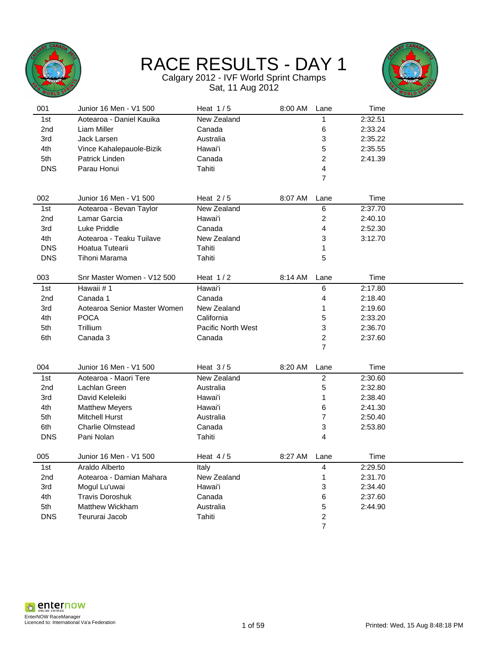

Calgary 2012 - IVF World Sprint Champs Sat, 11 Aug 2012



| 001        | Junior 16 Men - V1 500       | Heat $1/5$                | 8:00 AM | Lane           | Time    |  |
|------------|------------------------------|---------------------------|---------|----------------|---------|--|
| 1st        | Aotearoa - Daniel Kauika     | New Zealand               |         | 1              | 2:32.51 |  |
| 2nd        | Liam Miller                  | Canada                    |         | 6              | 2:33.24 |  |
| 3rd        | Jack Larsen                  | Australia                 |         | 3              | 2:35.22 |  |
| 4th        | Vince Kahalepauole-Bizik     | Hawai'i                   |         | 5              | 2:35.55 |  |
| 5th        | Patrick Linden               | Canada                    |         | $\overline{2}$ | 2:41.39 |  |
| <b>DNS</b> | Parau Honui                  | Tahiti                    |         | 4              |         |  |
|            |                              |                           |         | $\overline{7}$ |         |  |
|            |                              |                           |         |                |         |  |
| 002        | Junior 16 Men - V1 500       | Heat $2/5$                | 8:07 AM | Lane           | Time    |  |
| 1st        | Aotearoa - Bevan Taylor      | New Zealand               |         | 6              | 2:37.70 |  |
| 2nd        | Lamar Garcia                 | Hawai'i                   |         | $\overline{c}$ | 2:40.10 |  |
| 3rd        | Luke Priddle                 | Canada                    |         | 4              | 2:52.30 |  |
| 4th        | Aotearoa - Teaku Tuilave     | New Zealand               |         | 3              | 3:12.70 |  |
| <b>DNS</b> | Hoatua Tutearii              | Tahiti                    |         | 1              |         |  |
| <b>DNS</b> | Tihoni Marama                | Tahiti                    |         | 5              |         |  |
|            |                              |                           |         |                |         |  |
| 003        | Snr Master Women - V12 500   | Heat $1/2$                | 8:14 AM | Lane           | Time    |  |
| 1st        | Hawaii #1                    | Hawai'i                   |         | 6              | 2:17.80 |  |
| 2nd        | Canada 1                     | Canada                    |         | 4              | 2:18.40 |  |
| 3rd        | Aotearoa Senior Master Women | New Zealand               |         | 1              | 2:19.60 |  |
| 4th        | <b>POCA</b>                  | California                |         | 5              | 2:33.20 |  |
| 5th        | Trillium                     | <b>Pacific North West</b> |         | 3              | 2:36.70 |  |
| 6th        | Canada 3                     | Canada                    |         | $\overline{2}$ | 2:37.60 |  |
|            |                              |                           |         | 7              |         |  |
|            |                              |                           |         |                |         |  |
| 004        | Junior 16 Men - V1 500       | Heat $3/5$                | 8:20 AM | Lane           | Time    |  |
| 1st        | Aotearoa - Maori Tere        | New Zealand               |         | $\overline{2}$ | 2:30.60 |  |
| 2nd        | Lachlan Green                | Australia                 |         | 5              | 2:32.80 |  |
| 3rd        | David Keleleiki              | Hawai'i                   |         | 1              | 2:38.40 |  |
| 4th        | <b>Matthew Meyers</b>        | Hawai'i                   |         | 6              | 2:41.30 |  |
| 5th        | Mitchell Hurst               | Australia                 |         | 7              | 2:50.40 |  |
| 6th        | <b>Charlie Olmstead</b>      | Canada                    |         | 3              | 2:53.80 |  |
| <b>DNS</b> | Pani Nolan                   | Tahiti                    |         | 4              |         |  |
| 005        | Junior 16 Men - V1 500       | Heat $4/5$                | 8:27 AM | Lane           | Time    |  |
|            | Araldo Alberto               | Italy                     |         |                | 2:29.50 |  |
| 1st        |                              |                           |         | 4              |         |  |
| 2nd        | Aotearoa - Damian Mahara     | New Zealand               |         | 1              | 2:31.70 |  |
| 3rd        | Mogul Lu'uwai                | Hawai'i                   |         | 3              | 2:34.40 |  |
| 4th        | <b>Travis Doroshuk</b>       | Canada                    |         | 6              | 2:37.60 |  |
| 5th        | Matthew Wickham              | Australia                 |         | 5              | 2:44.90 |  |
| <b>DNS</b> | Teururai Jacob               | Tahiti                    |         | $\overline{c}$ |         |  |

7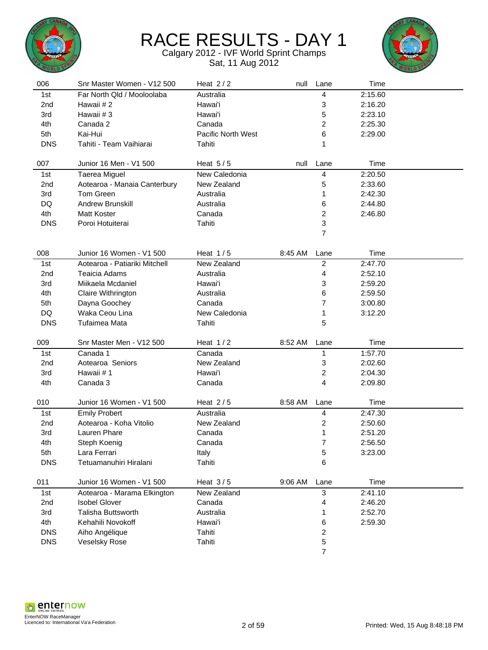



| 006        | Snr Master Women - V12 500    | Heat $2/2$         | null    | Lane                    | Time    |  |
|------------|-------------------------------|--------------------|---------|-------------------------|---------|--|
| 1st        | Far North Qld / Mooloolaba    | Australia          |         | 4                       | 2:15.60 |  |
| 2nd        | Hawaii #2                     | Hawai'i            |         | 3                       | 2:16.20 |  |
| 3rd        | Hawaii #3                     | Hawai'i            |         | 5                       | 2:23.10 |  |
| 4th        | Canada 2                      | Canada             |         | $\overline{c}$          | 2:25.30 |  |
| 5th        | Kai-Hui                       | Pacific North West |         | 6                       | 2:29.00 |  |
| <b>DNS</b> | Tahiti - Team Vaihiarai       | Tahiti             |         | 1                       |         |  |
|            |                               |                    |         |                         |         |  |
| 007        | Junior 16 Men - V1 500        | Heat $5/5$         | null    | Lane                    | Time    |  |
| 1st        | Taerea Miguel                 | New Caledonia      |         | 4                       | 2:20.50 |  |
| 2nd        | Aotearoa - Manaia Canterbury  | New Zealand        |         | 5                       | 2:33.60 |  |
| 3rd        | Tom Green                     | Australia          |         | 1                       | 2:42.30 |  |
| DQ         | Andrew Brunskill              | Australia          |         | 6                       | 2:44.80 |  |
| 4th        | <b>Matt Koster</b>            | Canada             |         | $\overline{\mathbf{c}}$ | 2:46.80 |  |
| <b>DNS</b> | Poroi Hotuiterai              | Tahiti             |         | 3                       |         |  |
|            |                               |                    |         | $\overline{7}$          |         |  |
|            |                               |                    |         |                         |         |  |
| 008        | Junior 16 Women - V1 500      | Heat $1/5$         | 8:45 AM | Lane                    | Time    |  |
| 1st        | Aotearoa - Patiariki Mitchell | New Zealand        |         | $\overline{2}$          | 2:47.70 |  |
| 2nd        | Teaicia Adams                 | Australia          |         | 4                       | 2:52.10 |  |
| 3rd        | Miikaela Mcdaniel             | Hawai'i            |         | 3                       | 2:59.20 |  |
| 4th        | Claire Withrington            | Australia          |         | 6                       | 2:59.50 |  |
| 5th        | Dayna Goochey                 | Canada             |         | $\overline{7}$          | 3:00.80 |  |
| DQ         | Waka Ceou Lina                | New Caledonia      |         | 1                       | 3:12.20 |  |
| <b>DNS</b> | Tufaimea Mata                 | Tahiti             |         | 5                       |         |  |
|            |                               |                    |         |                         |         |  |
| 009        | Snr Master Men - V12 500      | Heat $1/2$         | 8:52 AM | Lane                    | Time    |  |
| 1st        | Canada 1                      | Canada             |         | 1                       | 1:57.70 |  |
| 2nd        | Aotearoa Seniors              | New Zealand        |         | 3                       | 2:02.60 |  |
| 3rd        | Hawaii #1                     | Hawai'i            |         | 2                       | 2:04.30 |  |
| 4th        | Canada 3                      | Canada             |         | 4                       | 2:09.80 |  |
|            |                               |                    |         |                         |         |  |
| 010        | Junior 16 Women - V1 500      | Heat $2/5$         | 8:58 AM | Lane                    | Time    |  |
| 1st        | <b>Emily Probert</b>          | Australia          |         | 4                       | 2:47.30 |  |
| 2nd        | Aotearoa - Koha Vitolio       | New Zealand        |         | 2                       | 2:50.60 |  |
| 3rd        | Lauren Phare                  | Canada             |         | 1                       | 2:51.20 |  |
| 4th        | Steph Koenig                  | Canada             |         | $\overline{7}$          | 2:56.50 |  |
| 5th        | Lara Ferrari                  | Italy              |         | 5                       | 3:23.00 |  |
| <b>DNS</b> | Tetuamanuhiri Hiralani        | Tahiti             |         | 6                       |         |  |
|            |                               |                    |         |                         |         |  |
| 011        | Junior 16 Women - V1 500      | Heat $3/5$         | 9:06 AM | Lane                    | Time    |  |
| 1st        | Aotearoa - Marama Elkington   | New Zealand        |         | 3                       | 2:41.10 |  |
| 2nd        | <b>Isobel Glover</b>          | Canada             |         | 4                       | 2:46.20 |  |
| 3rd        | <b>Talisha Buttsworth</b>     | Australia          |         | 1                       | 2:52.70 |  |
| 4th        | Kehahili Novokoff             | Hawai'i            |         | 6                       | 2:59.30 |  |
| <b>DNS</b> | Aiho Angélique                | Tahiti             |         | $\overline{\mathbf{c}}$ |         |  |
| <b>DNS</b> | <b>Veselsky Rose</b>          | Tahiti             |         | $\mathbf 5$             |         |  |
|            |                               |                    |         | $\overline{7}$          |         |  |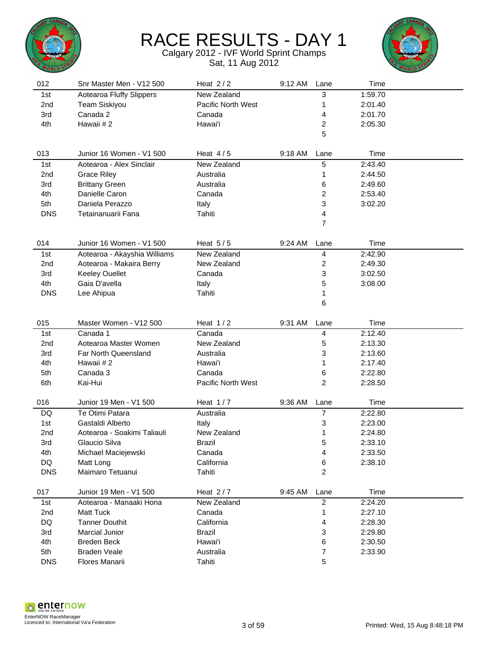



| 012             | Snr Master Men - V12 500     | Heat $2/2$         | 9:12 AM | Lane           | Time    |  |
|-----------------|------------------------------|--------------------|---------|----------------|---------|--|
| 1st             | Aotearoa Fluffy Slippers     | New Zealand        |         | 3              | 1:59.70 |  |
| 2nd             | <b>Team Siskiyou</b>         | Pacific North West |         | 1              | 2:01.40 |  |
| 3rd             | Canada 2                     | Canada             |         | 4              | 2:01.70 |  |
| 4th             | Hawaii #2                    | Hawai'i            |         | 2              | 2:05.30 |  |
|                 |                              |                    |         | 5              |         |  |
|                 |                              |                    |         |                |         |  |
| 013             | Junior 16 Women - V1 500     | Heat $4/5$         | 9:18 AM | Lane           | Time    |  |
| 1st             | Aotearoa - Alex Sinclair     | New Zealand        |         | 5              | 2:43.40 |  |
| 2nd             | <b>Grace Riley</b>           | Australia          |         | 1              | 2:44.50 |  |
| 3rd             | <b>Brittany Green</b>        | Australia          |         | 6              | 2:49.60 |  |
| 4th             | Danielle Caron               | Canada             |         | 2              | 2:53.40 |  |
| 5th             | Daniela Perazzo              | Italy              |         | 3              | 3:02.20 |  |
| <b>DNS</b>      | Tetainanuarii Fana           | Tahiti             |         | 4              |         |  |
|                 |                              |                    |         | 7              |         |  |
|                 |                              |                    |         |                |         |  |
| 014             | Junior 16 Women - V1 500     | Heat $5/5$         | 9:24 AM | Lane           | Time    |  |
| 1st             | Aotearoa - Akayshia Williams | New Zealand        |         | 4              | 2:42.90 |  |
| 2 <sub>nd</sub> | Aotearoa - Makaira Berry     | New Zealand        |         | 2              | 2:49.30 |  |
| 3rd             | <b>Keeley Ouellet</b>        | Canada             |         | 3              | 3:02.50 |  |
| 4th             | Gaia D'avella                | Italy              |         | 5              | 3:08.00 |  |
| <b>DNS</b>      | Lee Ahipua                   | Tahiti             |         | 1              |         |  |
|                 |                              |                    |         | 6              |         |  |
|                 |                              |                    |         |                |         |  |
| 015             | Master Women - V12 500       | Heat $1/2$         | 9:31 AM | Lane           | Time    |  |
| 1st             | Canada 1                     | Canada             |         | 4              | 2:12.40 |  |
| 2 <sub>nd</sub> | Aotearoa Master Women        | New Zealand        |         | 5              | 2:13.30 |  |
| 3rd             | Far North Queensland         | Australia          |         | 3              | 2:13.60 |  |
| 4th             | Hawaii #2                    | Hawai'i            |         | 1              | 2:17.40 |  |
| 5th             | Canada 3                     | Canada             |         | 6              | 2:22.80 |  |
| 6th             | Kai-Hui                      | Pacific North West |         | 2              | 2:28.50 |  |
|                 |                              |                    |         |                |         |  |
| 016             | Junior 19 Men - V1 500       | Heat $1/7$         | 9:36 AM | Lane           | Time    |  |
| DQ              | Te Otimi Patara              | Australia          |         | 7              | 2:22.80 |  |
| 1st             | Gastaldi Alberto             | Italy              |         | 3              | 2:23.00 |  |
| 2nd             | Aotearoa - Soakimi Taliauli  | New Zealand        |         | 1              | 2:24.80 |  |
| 3rd             | Glaucio Silva                | <b>Brazil</b>      |         | 5              | 2:33.10 |  |
| 4th             | Michael Maciejewski          | Canada             |         | 4              | 2:33.50 |  |
| DQ              | Matt Long                    | California         |         | 6              | 2:38.10 |  |
| <b>DNS</b>      | Maimaro Tetuanui             | Tahiti             |         | 2              |         |  |
|                 |                              |                    |         |                |         |  |
| 017             | Junior 19 Men - V1 500       | Heat $2/7$         | 9:45 AM | Lane           | Time    |  |
| 1st             | Aotearoa - Manaaki Hona      | New Zealand        |         | $\overline{2}$ | 2:24.20 |  |
| 2nd             | <b>Matt Tuck</b>             | Canada             |         | 1              | 2:27.10 |  |
| DQ              | <b>Tanner Douthit</b>        | California         |         | 4              | 2:28.30 |  |
| 3rd             | Marcial Junior               | <b>Brazil</b>      |         | 3              | 2:29.80 |  |
| 4th             | <b>Breden Beck</b>           | Hawai'i            |         | 6              | 2:30.50 |  |
| 5th             | <b>Braden Veale</b>          | Australia          |         | 7              | 2:33.90 |  |
| <b>DNS</b>      | Flores Manarii               | Tahiti             |         | 5              |         |  |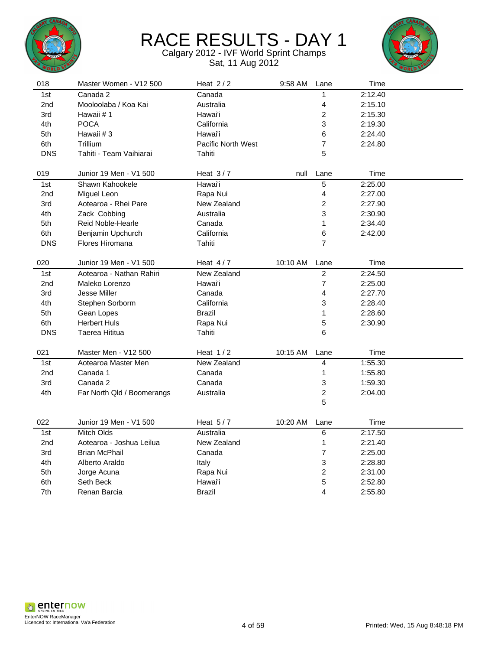



| 018             | Master Women - V12 500     | Heat $2/2$                | 9:58 AM  | Lane                    | Time    |  |
|-----------------|----------------------------|---------------------------|----------|-------------------------|---------|--|
| 1st             | Canada 2                   | Canada                    |          | 1                       | 2:12.40 |  |
| 2nd             | Mooloolaba / Koa Kai       | Australia                 |          | 4                       | 2:15.10 |  |
| 3rd             | Hawaii #1                  | Hawai'i                   |          | $\overline{\mathbf{c}}$ | 2:15.30 |  |
| 4th             | <b>POCA</b>                | California                |          | 3                       | 2:19.30 |  |
| 5th             | Hawaii #3                  | Hawai'i                   |          | 6                       | 2:24.40 |  |
| 6th             | Trillium                   | <b>Pacific North West</b> |          | $\boldsymbol{7}$        | 2:24.80 |  |
| <b>DNS</b>      | Tahiti - Team Vaihiarai    | Tahiti                    |          | 5                       |         |  |
| 019             | Junior 19 Men - V1 500     | Heat $3/7$                | null     | Lane                    | Time    |  |
| 1st             | Shawn Kahookele            | Hawai'i                   |          | 5                       | 2:25.00 |  |
| 2nd             | Miguel Leon                | Rapa Nui                  |          | 4                       | 2:27.00 |  |
| 3rd             | Aotearoa - Rhei Pare       | New Zealand               |          | $\overline{c}$          | 2:27.90 |  |
| 4th             | Zack Cobbing               | Australia                 |          | 3                       | 2:30.90 |  |
| 5th             | Reid Noble-Hearle          | Canada                    |          | $\mathbf 1$             | 2:34.40 |  |
| 6th             | Benjamin Upchurch          | California                |          | 6                       | 2:42.00 |  |
| <b>DNS</b>      | Flores Hiromana            | Tahiti                    |          | $\overline{7}$          |         |  |
|                 |                            |                           |          |                         |         |  |
| 020             | Junior 19 Men - V1 500     | Heat $4/7$                | 10:10 AM | Lane                    | Time    |  |
| 1st             | Aotearoa - Nathan Rahiri   | New Zealand               |          | $\overline{c}$          | 2:24.50 |  |
| 2nd             | Maleko Lorenzo             | Hawai'i                   |          | $\overline{7}$          | 2:25.00 |  |
| 3rd             | Jesse Miller               | Canada                    |          | 4                       | 2:27.70 |  |
| 4th             | Stephen Sorborm            | California                |          | 3                       | 2:28.40 |  |
| 5th             | Gean Lopes                 | <b>Brazil</b>             |          | 1                       | 2:28.60 |  |
| 6th             | <b>Herbert Huls</b>        | Rapa Nui                  |          | 5                       | 2:30.90 |  |
| <b>DNS</b>      | Taerea Hititua             | Tahiti                    |          | 6                       |         |  |
| 021             | Master Men - V12 500       | Heat $1/2$                | 10:15 AM | Lane                    | Time    |  |
| 1st             | Aotearoa Master Men        | New Zealand               |          | $\overline{4}$          | 1:55.30 |  |
| 2nd             | Canada 1                   | Canada                    |          | 1                       | 1:55.80 |  |
| 3rd             | Canada 2                   | Canada                    |          | 3                       | 1:59.30 |  |
| 4th             | Far North Qld / Boomerangs | Australia                 |          | $\overline{c}$          | 2:04.00 |  |
|                 |                            |                           |          | 5                       |         |  |
|                 |                            |                           |          |                         |         |  |
| 022             | Junior 19 Men - V1 500     | Heat $5/7$                | 10:20 AM | Lane                    | Time    |  |
| 1st             | Mitch Olds                 | Australia                 |          | 6                       | 2:17.50 |  |
| 2 <sub>nd</sub> | Aotearoa - Joshua Leilua   | New Zealand               |          | 1                       | 2:21.40 |  |
| 3rd             | <b>Brian McPhail</b>       | Canada                    |          | $\overline{7}$          | 2:25.00 |  |
| 4th             | Alberto Araldo             | Italy                     |          | 3                       | 2:28.80 |  |
| 5th             | Jorge Acuna                | Rapa Nui                  |          | $\overline{c}$          | 2:31.00 |  |
| 6th             | Seth Beck                  | Hawai'i                   |          | 5                       | 2:52.80 |  |
| 7th             | Renan Barcia               | Brazil                    |          | 4                       | 2:55.80 |  |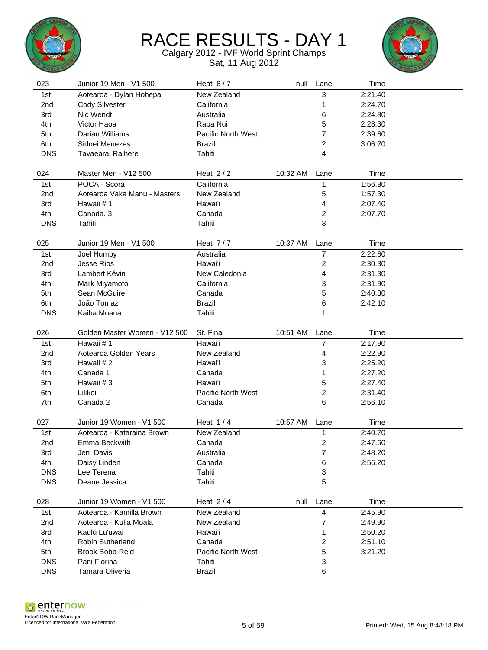



| 023             | Junior 19 Men - V1 500        | Heat $6/7$         | null     | Lane           | Time    |  |
|-----------------|-------------------------------|--------------------|----------|----------------|---------|--|
| 1st             | Aotearoa - Dylan Hohepa       | New Zealand        |          | 3              | 2:21.40 |  |
| 2nd             | Cody Silvester                | California         |          | 1              | 2:24.70 |  |
| 3rd             | Nic Wendt                     | Australia          |          | 6              | 2:24.80 |  |
| 4th             | Victor Haoa                   | Rapa Nui           |          | 5              | 2:28.30 |  |
| 5th             | Darian Williams               | Pacific North West |          | 7              | 2:39.60 |  |
| 6th             | Sidnei Menezes                | <b>Brazil</b>      |          | 2              | 3:06.70 |  |
| <b>DNS</b>      | Tavaearai Raihere             | Tahiti             |          | 4              |         |  |
|                 |                               |                    |          |                |         |  |
| 024             | Master Men - V12 500          | Heat $2/2$         | 10:32 AM | Lane           | Time    |  |
| 1st             | POCA - Scora                  | California         |          | 1              | 1:56.80 |  |
| 2nd             | Aotearoa Vaka Manu - Masters  | New Zealand        |          | 5              | 1:57.30 |  |
| 3rd             | Hawaii #1                     | Hawai'i            |          | 4              | 2:07.40 |  |
| 4th             | Canada. 3                     | Canada             |          | 2              | 2:07.70 |  |
| <b>DNS</b>      | Tahiti                        | Tahiti             |          | 3              |         |  |
|                 |                               |                    |          |                |         |  |
| 025             | Junior 19 Men - V1 500        | Heat $7/7$         | 10:37 AM | Lane           | Time    |  |
| 1st             | Joel Humby                    | Australia          |          | $\overline{7}$ | 2:22.60 |  |
| 2 <sub>nd</sub> | <b>Jesse Rios</b>             | Hawai'i            |          | 2              | 2:30.30 |  |
| 3rd             | Lambert Kévin                 | New Caledonia      |          | 4              | 2:31.30 |  |
| 4th             | Mark Miyamoto                 | California         |          | 3              | 2:31.90 |  |
| 5th             | Sean McGuire                  | Canada             |          | 5              | 2:40.80 |  |
| 6th             | João Tomaz                    | <b>Brazil</b>      |          | 6              | 2:42.10 |  |
| <b>DNS</b>      | Kaiha Moana                   | Tahiti             |          | 1              |         |  |
|                 |                               |                    |          |                |         |  |
| 026             | Golden Master Women - V12 500 | St. Final          | 10:51 AM | Lane           | Time    |  |
| 1st             | Hawaii #1                     | Hawai'i            |          | 7              | 2:17.90 |  |
| 2nd             | Aotearoa Golden Years         | New Zealand        |          | 4              | 2:22.90 |  |
| 3rd             | Hawaii #2                     | Hawai'i            |          | 3              | 2:25.20 |  |
| 4th             | Canada 1                      | Canada             |          | 1              | 2:27.20 |  |
| 5th             | Hawaii #3                     | Hawai'i            |          | 5              | 2:27.40 |  |
| 6th             | Lilikoi                       | Pacific North West |          | 2              | 2:31.40 |  |
| 7th             | Canada 2                      | Canada             |          | 6              | 2:56.10 |  |
|                 |                               |                    |          |                |         |  |
| 027             | Junior 19 Women - V1 500      | Heat $1/4$         | 10:57 AM | Lane           | Time    |  |
| 1st             | Aotearoa - Kataraina Brown    | New Zealand        |          | 1              | 2:40.70 |  |
| 2nd             | Emma Beckwith                 | Canada             |          | 2              | 2:47.60 |  |
| 3rd             | Jen Davis                     | Australia          |          | 7              | 2:48.20 |  |
| 4th             | Daisy Linden                  | Canada             |          | 6              | 2:56.20 |  |
| <b>DNS</b>      | Lee Terena                    | Tahiti             |          | 3              |         |  |
| <b>DNS</b>      | Deane Jessica                 | Tahiti             |          | 5              |         |  |
|                 |                               |                    |          |                |         |  |
| 028             | Junior 19 Women - V1 500      | Heat $2/4$         | null     | Lane           | Time    |  |
| 1st             | Aotearoa - Kamilla Brown      | New Zealand        |          | 4              | 2:45.90 |  |
| 2nd             | Aotearoa - Kulia Moala        | New Zealand        |          | 7              | 2:49.90 |  |
| 3rd             | Kaulu Lu'uwai                 | Hawai'i            |          | 1              | 2:50.20 |  |
| 4th             | Robin Sutherland              | Canada             |          | 2              | 2:51.10 |  |
| 5th             | <b>Brook Bobb-Reid</b>        | Pacific North West |          | 5              | 3:21.20 |  |
| <b>DNS</b>      | Pani Florina                  | Tahiti             |          | 3              |         |  |
| <b>DNS</b>      | Tamara Oliveria               | <b>Brazil</b>      |          | 6              |         |  |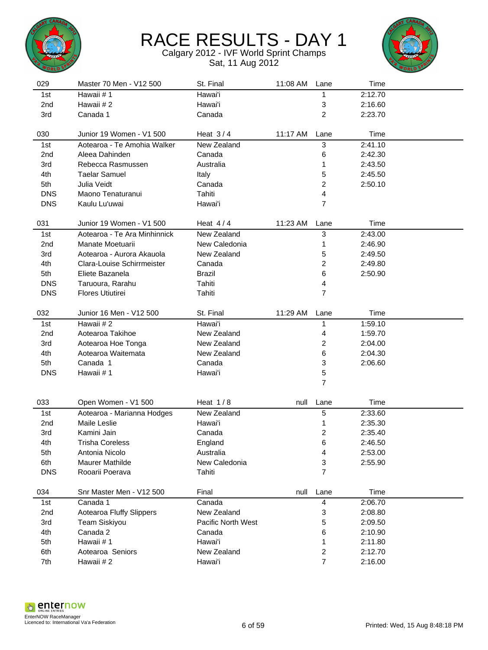



| 029             | Master 70 Men - V12 500      | St. Final          | 11:08 AM | Lane           | Time    |  |
|-----------------|------------------------------|--------------------|----------|----------------|---------|--|
| 1st             | Hawaii #1                    | Hawai'i            |          | 1              | 2:12.70 |  |
| 2 <sub>nd</sub> | Hawaii #2                    | Hawai'i            |          | 3              | 2:16.60 |  |
| 3rd             | Canada 1                     | Canada             |          | $\overline{2}$ | 2:23.70 |  |
|                 |                              |                    |          |                |         |  |
| 030             | Junior 19 Women - V1 500     | Heat $3/4$         | 11:17 AM | Lane           | Time    |  |
| 1st             | Aotearoa - Te Amohia Walker  | New Zealand        |          | 3              | 2:41.10 |  |
| 2nd             | Aleea Dahinden               | Canada             |          | 6              | 2:42.30 |  |
| 3rd             | Rebecca Rasmussen            | Australia          |          | 1              | 2:43.50 |  |
| 4th             | <b>Taelar Samuel</b>         | Italy              |          | 5              | 2:45.50 |  |
| 5th             | Julia Veidt                  | Canada             |          | 2              | 2:50.10 |  |
| <b>DNS</b>      | Maono Tenaturanui            | Tahiti             |          | 4              |         |  |
| <b>DNS</b>      | Kaulu Lu'uwai                | Hawai'i            |          | 7              |         |  |
|                 |                              |                    |          |                |         |  |
| 031             | Junior 19 Women - V1 500     | Heat $4/4$         | 11:23 AM | Lane           | Time    |  |
| 1st             | Aotearoa - Te Ara Minhinnick | New Zealand        |          | 3              | 2:43.00 |  |
| 2nd             | Manate Moetuarii             | New Caledonia      |          | 1              | 2:46.90 |  |
| 3rd             | Aotearoa - Aurora Akauola    | New Zealand        |          | 5              | 2:49.50 |  |
| 4th             | Clara-Louise Schirrmeister   | Canada             |          | 2              | 2:49.80 |  |
| 5th             | Eliete Bazanela              | <b>Brazil</b>      |          | 6              | 2:50.90 |  |
| <b>DNS</b>      | Taruoura, Rarahu             | Tahiti             |          | 4              |         |  |
| <b>DNS</b>      | <b>Flores Utiutirei</b>      | Tahiti             |          | $\overline{7}$ |         |  |
|                 |                              |                    |          |                |         |  |
| 032             | Junior 16 Men - V12 500      | St. Final          | 11:29 AM | Lane           | Time    |  |
| 1st             | Hawaii #2                    | Hawai'i            |          | 1              | 1:59.10 |  |
| 2nd             | Aotearoa Takihoe             | New Zealand        |          | 4              | 1:59.70 |  |
| 3rd             | Aotearoa Hoe Tonga           | New Zealand        |          | $\overline{c}$ | 2:04.00 |  |
| 4th             | Aotearoa Waitemata           | New Zealand        |          | 6              | 2:04.30 |  |
| 5th             | Canada 1                     | Canada             |          | 3              | 2:06.60 |  |
| <b>DNS</b>      | Hawaii #1                    | Hawai'i            |          | 5              |         |  |
|                 |                              |                    |          | 7              |         |  |
| 033             | Open Women - V1 500          | Heat $1/8$         | null     | Lane           | Time    |  |
|                 |                              |                    |          |                |         |  |
| 1st             | Aotearoa - Marianna Hodges   | New Zealand        |          | 5              | 2:33.60 |  |
| 2nd             | Maile Leslie                 | Hawai'i            |          | 1              | 2:35.30 |  |
| 3rd             | Kamini Jain                  | Canada             |          | 2              | 2:35.40 |  |
| 4th             | <b>Trisha Coreless</b>       | England            |          | 6              | 2:46.50 |  |
| 5th             | Antonia Nicolo               | Australia          |          | 4              | 2:53.00 |  |
| 6th             | <b>Maurer Mathilde</b>       | New Caledonia      |          | 3              | 2:55.90 |  |
| <b>DNS</b>      | Rooarii Poerava              | Tahiti             |          | $\overline{7}$ |         |  |
| 034             | Snr Master Men - V12 500     | Final              | null     | Lane           | Time    |  |
| 1st             | Canada 1                     | Canada             |          | 4              | 2:06.70 |  |
| 2nd             | Aotearoa Fluffy Slippers     | New Zealand        |          | 3              | 2:08.80 |  |
| 3rd             | <b>Team Siskiyou</b>         | Pacific North West |          | 5              | 2:09.50 |  |
| 4th             | Canada 2                     | Canada             |          | 6              | 2:10.90 |  |
| 5th             | Hawaii #1                    | Hawai'i            |          | 1              | 2:11.80 |  |
| 6th             | Aotearoa Seniors             | New Zealand        |          | 2              | 2:12.70 |  |
| 7th             | Hawaii #2                    | Hawai'i            |          | 7              | 2:16.00 |  |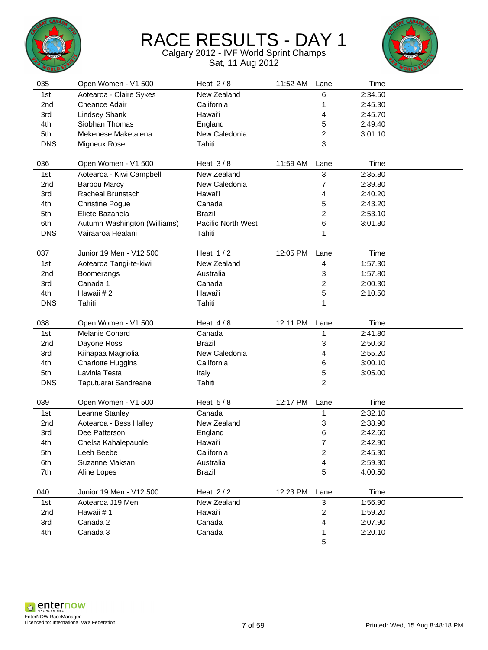



| 035             | Open Women - V1 500          | Heat $2/8$         | 11:52 AM | Lane           | Time    |  |
|-----------------|------------------------------|--------------------|----------|----------------|---------|--|
| 1st             | Aotearoa - Claire Sykes      | New Zealand        |          | 6              | 2:34.50 |  |
| 2nd             | Cheance Adair                | California         |          | 1              | 2:45.30 |  |
| 3rd             | <b>Lindsey Shank</b>         | Hawai'i            |          | 4              | 2:45.70 |  |
| 4th             | Siobhan Thomas               | England            |          | 5              | 2:49.40 |  |
| 5th             | Mekenese Maketalena          | New Caledonia      |          | 2              | 3:01.10 |  |
| <b>DNS</b>      | Migneux Rose                 | Tahiti             |          | 3              |         |  |
|                 |                              |                    |          |                |         |  |
| 036             | Open Women - V1 500          | Heat $3/8$         | 11:59 AM | Lane           | Time    |  |
| 1st             | Aotearoa - Kiwi Campbell     | New Zealand        |          | 3              | 2:35.80 |  |
| 2nd             | <b>Barbou Marcy</b>          | New Caledonia      |          | 7              | 2:39.80 |  |
| 3rd             | <b>Racheal Brunstsch</b>     | Hawai'i            |          | 4              | 2:40.20 |  |
| 4th             | <b>Christine Pogue</b>       | Canada             |          | 5              | 2:43.20 |  |
| 5th             | Eliete Bazanela              | <b>Brazil</b>      |          | 2              | 2:53.10 |  |
| 6th             | Autumn Washington (Williams) | Pacific North West |          | 6              | 3:01.80 |  |
| <b>DNS</b>      | Vairaaroa Healani            | Tahiti             |          | 1              |         |  |
|                 |                              |                    |          |                |         |  |
| 037             | Junior 19 Men - V12 500      | Heat $1/2$         | 12:05 PM | Lane           | Time    |  |
| 1st             | Aotearoa Tangi-te-kiwi       | New Zealand        |          | 4              | 1:57.30 |  |
| 2 <sub>nd</sub> | Boomerangs                   | Australia          |          | 3              | 1:57.80 |  |
| 3rd             | Canada 1                     | Canada             |          | 2              | 2:00.30 |  |
| 4th             | Hawaii #2                    | Hawai'i            |          | 5              | 2:10.50 |  |
| <b>DNS</b>      | Tahiti                       | Tahiti             |          | 1              |         |  |
|                 |                              |                    |          |                |         |  |
|                 |                              |                    |          |                |         |  |
| 038             | Open Women - V1 500          | Heat $4/8$         | 12:11 PM | Lane           | Time    |  |
| 1st             | Melanie Conard               | Canada             |          | 1              | 2:41.80 |  |
| 2 <sub>nd</sub> | Dayone Rossi                 | <b>Brazil</b>      |          | 3              | 2:50.60 |  |
| 3rd             | Kiihapaa Magnolia            | New Caledonia      |          | 4              | 2:55.20 |  |
| 4th             | <b>Charlotte Huggins</b>     | California         |          | 6              | 3:00.10 |  |
| 5th             | Lavinia Testa                | Italy              |          | 5              | 3:05.00 |  |
| <b>DNS</b>      | Taputuarai Sandreane         | Tahiti             |          | $\overline{c}$ |         |  |
|                 |                              |                    |          |                |         |  |
| 039             | Open Women - V1 500          | Heat $5/8$         | 12:17 PM | Lane           | Time    |  |
| 1st             | Leanne Stanley               | Canada             |          | 1              | 2:32.10 |  |
| 2nd             | Aotearoa - Bess Halley       | New Zealand        |          | 3              | 2:38.90 |  |
| 3rd             | Dee Patterson                | England            |          | 6              | 2:42.60 |  |
| 4th             | Chelsa Kahalepauole          | Hawai'i            |          | 7              | 2:42.90 |  |
| 5th             | Leeh Beebe                   | California         |          | 2              | 2:45.30 |  |
| 6th             | Suzanne Maksan               | Australia          |          | 4              | 2:59.30 |  |
| 7th             | Aline Lopes                  | <b>Brazil</b>      |          | 5              | 4:00.50 |  |
| 040             | Junior 19 Men - V12 500      | Heat $2/2$         | 12:23 PM | Lane           | Time    |  |
| 1st             | Aotearoa J19 Men             | New Zealand        |          | $\sqrt{3}$     | 1:56.90 |  |
| 2nd             | Hawaii #1                    | Hawai'i            |          | $\overline{c}$ | 1:59.20 |  |
| 3rd             | Canada 2                     | Canada             |          | 4              | 2:07.90 |  |
| 4th             | Canada 3                     | Canada             |          | 1              | 2:20.10 |  |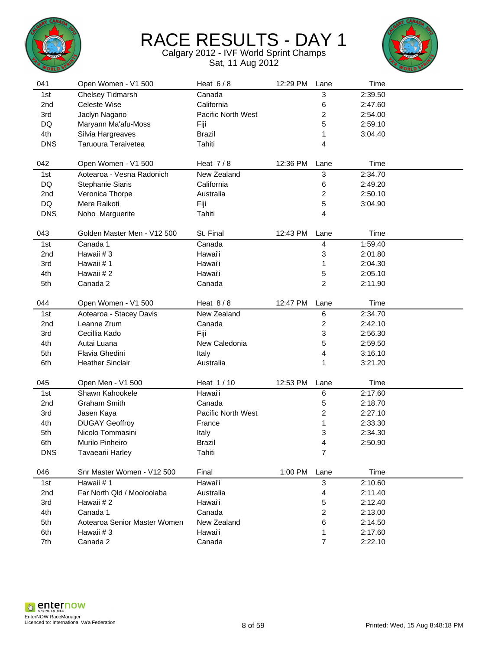



| 041             | Open Women - V1 500          | Heat $6/8$         | 12:29 PM | Lane           | Time    |  |
|-----------------|------------------------------|--------------------|----------|----------------|---------|--|
| 1st             | Chelsey Tidmarsh             | Canada             |          | 3              | 2:39.50 |  |
| 2nd             | Celeste Wise                 | California         |          | 6              | 2:47.60 |  |
| 3rd             | Jaclyn Nagano                | Pacific North West |          | 2              | 2:54.00 |  |
| DQ              | Maryann Ma'afu-Moss          | Fiji               |          | 5              | 2:59.10 |  |
| 4th             | Silvia Hargreaves            | <b>Brazil</b>      |          | 1              | 3:04.40 |  |
| <b>DNS</b>      | Taruoura Teraivetea          | Tahiti             |          | 4              |         |  |
|                 |                              |                    |          |                |         |  |
| 042             | Open Women - V1 500          | Heat $7/8$         | 12:36 PM | Lane           | Time    |  |
| 1st             | Aotearoa - Vesna Radonich    | New Zealand        |          | 3              | 2:34.70 |  |
| <b>DQ</b>       | Stephanie Siaris             | California         |          | 6              | 2:49.20 |  |
| 2nd             | Veronica Thorpe              | Australia          |          | 2              | 2:50.10 |  |
| DQ              | Mere Raikoti                 | Fiji               |          | 5              | 3:04.90 |  |
| <b>DNS</b>      | Noho Marguerite              | Tahiti             |          | 4              |         |  |
|                 |                              |                    |          |                |         |  |
| 043             | Golden Master Men - V12 500  | St. Final          | 12:43 PM | Lane           | Time    |  |
| 1st             | Canada 1                     | Canada             |          | 4              | 1:59.40 |  |
| 2nd             | Hawaii #3                    | Hawai'i            |          | 3              | 2:01.80 |  |
| 3rd             | Hawaii #1                    | Hawai'i            |          | 1              | 2:04.30 |  |
| 4th             | Hawaii #2                    | Hawai'i            |          | 5              | 2:05.10 |  |
| 5th             | Canada 2                     | Canada             |          | $\overline{2}$ | 2:11.90 |  |
| 044             | Open Women - V1 500          | Heat $8/8$         | 12:47 PM | Lane           | Time    |  |
| 1st             | Aotearoa - Stacey Davis      | New Zealand        |          | 6              | 2:34.70 |  |
| 2 <sub>nd</sub> | Leanne Zrum                  | Canada             |          | 2              | 2:42.10 |  |
| 3rd             | Cecillia Kado                | Fiji               |          | 3              | 2:56.30 |  |
| 4th             | Autai Luana                  | New Caledonia      |          | 5              | 2:59.50 |  |
| 5th             | Flavia Ghedini               | Italy              |          | 4              | 3:16.10 |  |
| 6th             | <b>Heather Sinclair</b>      | Australia          |          | 1              | 3:21.20 |  |
|                 |                              |                    |          |                |         |  |
| 045             | Open Men - V1 500            | Heat 1/10          | 12:53 PM | Lane           | Time    |  |
| 1st             | Shawn Kahookele              | Hawai'i            |          | 6              | 2:17.60 |  |
| 2nd             | Graham Smith                 | Canada             |          | 5              | 2:18.70 |  |
| 3rd             | Jasen Kaya                   | Pacific North West |          | 2              | 2:27.10 |  |
| 4th             | <b>DUGAY Geoffroy</b>        | France             |          | 1              | 2:33.30 |  |
| 5th             | Nicolo Tommasini             | Italy              |          | 3              | 2:34.30 |  |
| 6th             | Murilo Pinheiro              | <b>Brazil</b>      |          | 4              | 2:50.90 |  |
| <b>DNS</b>      | Tavaearii Harley             | Tahiti             |          | $\overline{7}$ |         |  |
| 046             | Snr Master Women - V12 500   | Final              | 1:00 PM  | Lane           | Time    |  |
| 1st             | Hawaii #1                    | Hawai'i            |          | 3              | 2:10.60 |  |
| 2nd             | Far North Qld / Mooloolaba   | Australia          |          | 4              | 2:11.40 |  |
| 3rd             | Hawaii #2                    | Hawai'i            |          | 5              | 2:12.40 |  |
| 4th             | Canada 1                     | Canada             |          | 2              | 2:13.00 |  |
| 5th             | Aotearoa Senior Master Women | New Zealand        |          | 6              | 2:14.50 |  |
| 6th             | Hawaii #3                    | Hawai'i            |          | 1              | 2:17.60 |  |
| 7th             | Canada 2                     | Canada             |          | $\overline{7}$ | 2:22.10 |  |
|                 |                              |                    |          |                |         |  |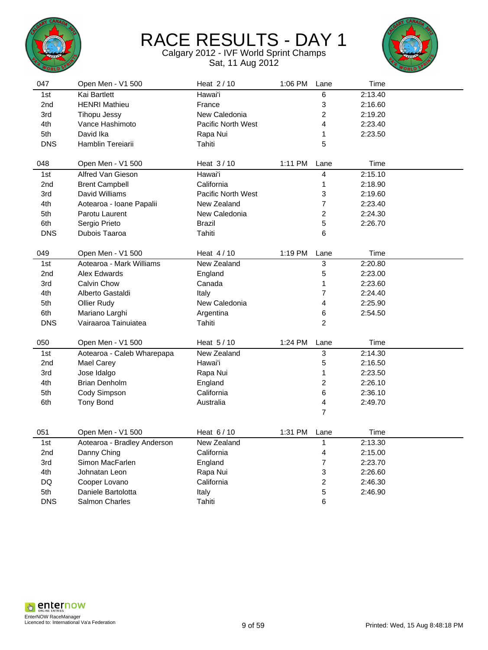



| 047        | Open Men - V1 500           | Heat 2/10                 | 1:06 PM   | Lane                      | Time    |  |
|------------|-----------------------------|---------------------------|-----------|---------------------------|---------|--|
| 1st        | Kai Bartlett                | Hawai'i                   |           | 6                         | 2:13.40 |  |
| 2nd        | <b>HENRI Mathieu</b>        | France                    |           | $\ensuremath{\mathsf{3}}$ | 2:16.60 |  |
| 3rd        | <b>Tihopu Jessy</b>         | New Caledonia             |           | $\overline{c}$            | 2:19.20 |  |
| 4th        | Vance Hashimoto             | Pacific North West        |           | $\overline{\mathbf{4}}$   | 2:23.40 |  |
| 5th        | David Ika                   | Rapa Nui                  |           | 1                         | 2:23.50 |  |
| <b>DNS</b> | Hamblin Tereiarii           | Tahiti                    |           | 5                         |         |  |
|            |                             |                           |           |                           |         |  |
| 048        | Open Men - V1 500           | Heat 3/10                 | $1:11$ PM | Lane                      | Time    |  |
| 1st        | Alfred Van Gieson           | Hawai'i                   |           | $\overline{\mathbf{4}}$   | 2:15.10 |  |
| 2nd        | <b>Brent Campbell</b>       | California                |           | 1                         | 2:18.90 |  |
| 3rd        | David Williams              | <b>Pacific North West</b> |           | 3                         | 2:19.60 |  |
| 4th        | Aotearoa - Ioane Papalii    | New Zealand               |           | $\overline{7}$            | 2:23.40 |  |
| 5th        | Parotu Laurent              | New Caledonia             |           | $\overline{c}$            | 2:24.30 |  |
| 6th        | Sergio Prieto               | Brazil                    |           | 5                         | 2:26.70 |  |
| <b>DNS</b> | Dubois Taaroa               | Tahiti                    |           | 6                         |         |  |
|            |                             |                           |           |                           |         |  |
| 049        | Open Men - V1 500           | Heat 4/10                 | 1:19 PM   | Lane                      | Time    |  |
| 1st        | Aotearoa - Mark Williams    | New Zealand               |           | $\overline{3}$            | 2:20.80 |  |
| 2nd        | Alex Edwards                | England                   |           | 5                         | 2:23.00 |  |
| 3rd        | <b>Calvin Chow</b>          | Canada                    |           | $\mathbf{1}$              | 2:23.60 |  |
| 4th        | Alberto Gastaldi            | Italy                     |           | $\overline{7}$            | 2:24.40 |  |
| 5th        | Ollier Rudy                 | New Caledonia             |           | 4                         | 2:25.90 |  |
| 6th        | Mariano Larghi              | Argentina                 |           | 6                         | 2:54.50 |  |
| <b>DNS</b> | Vairaaroa Tainuiatea        | Tahiti                    |           | $\overline{2}$            |         |  |
|            |                             |                           |           |                           |         |  |
| 050        | Open Men - V1 500           | Heat 5/10                 | 1:24 PM   | Lane                      | Time    |  |
| 1st        | Aotearoa - Caleb Wharepapa  | New Zealand               |           | $\overline{3}$            | 2:14.30 |  |
| 2nd        | <b>Mael Carey</b>           | Hawai'i                   |           | 5                         | 2:16.50 |  |
| 3rd        | Jose Idalgo                 | Rapa Nui                  |           | 1                         | 2:23.50 |  |
| 4th        | <b>Brian Denholm</b>        | England                   |           | $\overline{c}$            | 2:26.10 |  |
| 5th        | Cody Simpson                | California                |           | 6                         | 2:36.10 |  |
| 6th        | <b>Tony Bond</b>            | Australia                 |           | $\overline{\mathbf{4}}$   | 2:49.70 |  |
|            |                             |                           |           | $\overline{7}$            |         |  |
| 051        | Open Men - V1 500           | Heat 6/10                 | 1:31 PM   | Lane                      | Time    |  |
| 1st        | Aotearoa - Bradley Anderson | New Zealand               |           | $\overline{1}$            | 2:13.30 |  |
| 2nd        | Danny Ching                 | California                |           | $\overline{\mathbf{4}}$   | 2:15.00 |  |
| 3rd        | Simon MacFarlen             | England                   |           | $\overline{7}$            | 2:23.70 |  |
| 4th        | Johnatan Leon               | Rapa Nui                  |           | 3                         | 2:26.60 |  |
| DQ         | Cooper Lovano               | California                |           | $\overline{c}$            | 2:46.30 |  |
| 5th        | Daniele Bartolotta          | Italy                     |           | 5                         | 2:46.90 |  |
| <b>DNS</b> | <b>Salmon Charles</b>       | Tahiti                    |           | 6                         |         |  |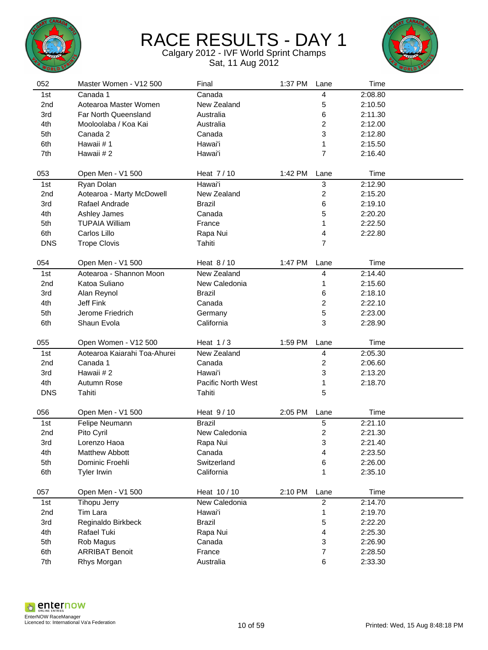



| 052             | Master Women - V12 500              | Final                      | 1:37 PM | Lane                    | Time               |  |
|-----------------|-------------------------------------|----------------------------|---------|-------------------------|--------------------|--|
| 1st             | Canada 1                            | Canada                     |         | 4                       | 2:08.80            |  |
| 2nd             | Aotearoa Master Women               | New Zealand                |         | 5                       | 2:10.50            |  |
| 3rd             | Far North Queensland                | Australia                  |         | 6                       | 2:11.30            |  |
| 4th             | Mooloolaba / Koa Kai                | Australia                  |         | $\overline{c}$          | 2:12.00            |  |
| 5th             | Canada 2                            | Canada                     |         | 3                       | 2:12.80            |  |
| 6th             | Hawaii #1                           | Hawai'i                    |         | 1                       | 2:15.50            |  |
| 7th             | Hawaii #2                           | Hawai'i                    |         | $\overline{7}$          | 2:16.40            |  |
|                 |                                     |                            |         |                         |                    |  |
| 053             | Open Men - V1 500                   | Heat 7/10                  | 1:42 PM | Lane                    | Time               |  |
| 1st             | Ryan Dolan                          | Hawai'i                    |         | $\sqrt{3}$              | 2:12.90            |  |
| 2nd             | Aotearoa - Marty McDowell           | New Zealand                |         | $\overline{\mathbf{c}}$ | 2:15.20            |  |
| 3rd             | Rafael Andrade                      | <b>Brazil</b>              |         | 6                       | 2:19.10            |  |
| 4th             | Ashley James                        | Canada                     |         | 5                       | 2:20.20            |  |
| 5th             | <b>TUPAIA William</b>               | France                     |         | 1                       | 2:22.50            |  |
| 6th             | Carlos Lillo                        | Rapa Nui                   |         | 4                       | 2:22.80            |  |
| <b>DNS</b>      | <b>Trope Clovis</b>                 | Tahiti                     |         | $\overline{7}$          |                    |  |
|                 |                                     |                            |         |                         |                    |  |
| 054             | Open Men - V1 500                   | Heat 8/10                  | 1:47 PM | Lane                    | Time               |  |
| 1st             | Aotearoa - Shannon Moon             | New Zealand                |         | 4                       | 2:14.40            |  |
| 2 <sub>nd</sub> | Katoa Suliano                       | New Caledonia              |         | 1                       | 2:15.60            |  |
| 3rd             | Alan Reynol                         | Brazil                     |         | 6                       | 2:18.10            |  |
| 4th             | Jeff Fink                           | Canada                     |         | $\overline{c}$          | 2:22.10            |  |
| 5th             | Jerome Friedrich                    | Germany                    |         | 5                       | 2:23.00            |  |
| 6th             | Shaun Evola                         | California                 |         | 3                       | 2:28.90            |  |
|                 |                                     |                            |         |                         |                    |  |
| 055             | Open Women - V12 500                | Heat $1/3$                 | 1:59 PM | Lane                    | Time               |  |
| 1st             | Aotearoa Kaiarahi Toa-Ahurei        | New Zealand                |         | 4                       | 2:05.30            |  |
| 2nd             | Canada 1                            | Canada                     |         | 2                       | 2:06.60            |  |
| 3rd             | Hawaii #2                           | Hawai'i                    |         | 3                       | 2:13.20            |  |
| 4th             | Autumn Rose                         | Pacific North West         |         | 1                       | 2:18.70            |  |
| <b>DNS</b>      | Tahiti                              | Tahiti                     |         | 5                       |                    |  |
|                 |                                     |                            |         |                         |                    |  |
| 056<br>1st      | Open Men - V1 500<br>Felipe Neumann | Heat 9/10<br><b>Brazil</b> | 2:05 PM | Lane<br>5               | Time<br>2:21.10    |  |
| 2nd             | Pito Cyril                          | New Caledonia              |         | $\overline{\mathbf{c}}$ | 2:21.30            |  |
| 3rd             | Lorenzo Haoa                        | Rapa Nui                   |         | 3                       | 2:21.40            |  |
| 4th             | Matthew Abbott                      | Canada                     |         |                         |                    |  |
| 5th             | Dominic Froehli                     | Switzerland                |         | 4<br>6                  | 2:23.50<br>2:26.00 |  |
| 6th             |                                     | California                 |         |                         | 2:35.10            |  |
|                 | Tyler Irwin                         |                            |         | 1                       |                    |  |
| 057             | Open Men - V1 500                   | Heat 10/10                 | 2:10 PM | Lane                    | Time               |  |
| 1st             | <b>Tihopu Jerry</b>                 | New Caledonia              |         | $\overline{c}$          | 2:14.70            |  |
| 2nd             | Tim Lara                            | Hawai'i                    |         | 1                       | 2:19.70            |  |
| 3rd             | Reginaldo Birkbeck                  | <b>Brazil</b>              |         | 5                       | 2:22.20            |  |
| 4th             | Rafael Tuki                         | Rapa Nui                   |         | 4                       | 2:25.30            |  |
| 5th             | Rob Magus                           | Canada                     |         | 3                       | 2:26.90            |  |
| 6th             | <b>ARRIBAT Benoit</b>               | France                     |         | $\overline{\mathbf{7}}$ | 2:28.50            |  |
| 7th             | Rhys Morgan                         | Australia                  |         | 6                       | 2:33.30            |  |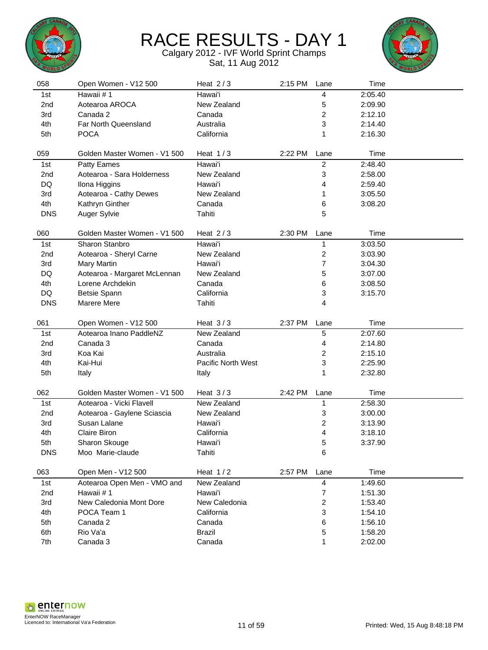



| 058        | Open Women - V12 500                        | Heat $2/3$              | 2:15 PM | Lane                    | Time               |  |
|------------|---------------------------------------------|-------------------------|---------|-------------------------|--------------------|--|
| 1st        | Hawaii #1                                   | Hawai'i                 |         | 4                       | 2:05.40            |  |
| 2nd        | Aotearoa AROCA                              | New Zealand             |         | 5                       | 2:09.90            |  |
| 3rd        | Canada 2                                    | Canada                  |         | $\overline{\mathbf{c}}$ | 2:12.10            |  |
| 4th        | Far North Queensland                        | Australia               |         | 3                       | 2:14.40            |  |
| 5th        | <b>POCA</b>                                 | California              |         | 1                       | 2:16.30            |  |
|            |                                             |                         |         |                         |                    |  |
| 059        | Golden Master Women - V1 500                | Heat $1/3$              | 2:22 PM | Lane                    | Time               |  |
| 1st        | Patty Eames                                 | Hawai'i                 |         | $\overline{c}$          | 2:48.40            |  |
| 2nd        | Aotearoa - Sara Holderness                  | New Zealand             |         | 3                       | 2:58.00            |  |
| DQ         | Ilona Higgins                               | Hawai'i                 |         | 4                       | 2:59.40            |  |
| 3rd        | Aotearoa - Cathy Dewes                      | New Zealand             |         | 1                       | 3:05.50            |  |
| 4th        | Kathryn Ginther                             | Canada                  |         | 6                       | 3:08.20            |  |
| <b>DNS</b> | Auger Sylvie                                | Tahiti                  |         | 5                       |                    |  |
| 060        | Golden Master Women - V1 500                | Heat $2/3$              | 2:30 PM | Lane                    | Time               |  |
| 1st        | Sharon Stanbro                              | Hawai'i                 |         | 1                       | 3:03.50            |  |
| 2nd        | Aotearoa - Sheryl Carne                     | New Zealand             |         | 2                       | 3:03.90            |  |
| 3rd        | Mary Martin                                 | Hawai'i                 |         | 7                       | 3:04.30            |  |
| DQ         | Aotearoa - Margaret McLennan                | New Zealand             |         | 5                       | 3:07.00            |  |
| 4th        | Lorene Archdekin                            | Canada                  |         | 6                       | 3:08.50            |  |
| DQ         | Betsie Spann                                | California              |         | 3                       | 3:15.70            |  |
| <b>DNS</b> | Marere Mere                                 | Tahiti                  |         | 4                       |                    |  |
|            |                                             |                         |         |                         |                    |  |
|            |                                             |                         |         |                         |                    |  |
| 061        | Open Women - V12 500                        | Heat $3/3$              | 2:37 PM | Lane                    | Time               |  |
| 1st        | Aotearoa Inano PaddleNZ                     | New Zealand             |         | 5                       | 2:07.60            |  |
| 2nd        | Canada 3                                    | Canada                  |         | 4                       | 2:14.80            |  |
| 3rd        | Koa Kai                                     | Australia               |         | $\overline{\mathbf{c}}$ | 2:15.10            |  |
| 4th        | Kai-Hui                                     | Pacific North West      |         | 3                       | 2:25.90            |  |
| 5th        | Italy                                       | Italy                   |         | 1                       | 2:32.80            |  |
| 062        | Golden Master Women - V1 500                | Heat $3/3$              | 2:42 PM | Lane                    | Time               |  |
| 1st        | Aotearoa - Vicki Flavell                    | New Zealand             |         | 1                       | 2:58.30            |  |
| 2nd        |                                             | New Zealand             |         |                         | 3:00.00            |  |
| 3rd        | Aotearoa - Gaylene Sciascia<br>Susan Lalane | Hawai'i                 |         | 3                       |                    |  |
|            | Claire Biron                                | California              |         | 2                       | 3:13.90            |  |
| 4th<br>5th |                                             | Hawai'i                 |         | 4<br>5                  | 3:18.10<br>3:37.90 |  |
| <b>DNS</b> | Sharon Skouge<br>Moo Marie-claude           | Tahiti                  |         | 6                       |                    |  |
|            |                                             |                         |         |                         |                    |  |
| 063        | Open Men - V12 500                          | Heat $1/2$              | 2:57 PM | Lane                    | Time               |  |
| 1st        | Aotearoa Open Men - VMO and                 | New Zealand             |         | 4                       | 1:49.60            |  |
| 2nd        | Hawaii #1                                   | Hawai'i                 |         | 7                       | 1:51.30            |  |
| 3rd        | New Caledonia Mont Dore                     | New Caledonia           |         | 2                       | 1:53.40            |  |
| 4th        | POCA Team 1                                 | California              |         | 3                       | 1:54.10            |  |
| 5th        | Canada 2                                    | Canada                  |         | 6                       | 1:56.10            |  |
| 6th<br>7th | Rio Va'a<br>Canada 3                        | <b>Brazil</b><br>Canada |         | 5                       | 1:58.20<br>2:02.00 |  |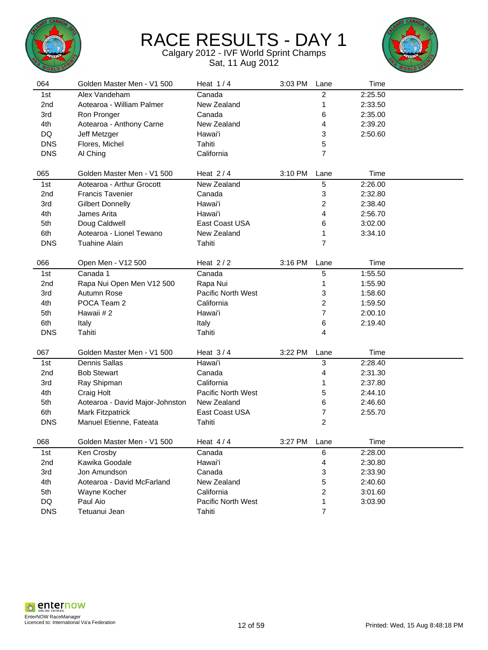



| 064             | Golden Master Men - V1 500      | Heat $1/4$                | 3:03 PM | Lane           | Time    |  |
|-----------------|---------------------------------|---------------------------|---------|----------------|---------|--|
| 1st             | Alex Vandeham                   | Canada                    |         | 2              | 2:25.50 |  |
| 2 <sub>nd</sub> | Aotearoa - William Palmer       | New Zealand               |         | 1              | 2:33.50 |  |
| 3rd             | Ron Pronger                     | Canada                    |         | 6              | 2:35.00 |  |
| 4th             | Aotearoa - Anthony Carne        | New Zealand               |         | 4              | 2:39.20 |  |
| DQ              | Jeff Metzger                    | Hawai'i                   |         | 3              | 2:50.60 |  |
| <b>DNS</b>      | Flores, Michel                  | Tahiti                    |         | 5              |         |  |
| <b>DNS</b>      | Al Ching                        | California                |         | 7              |         |  |
|                 |                                 |                           |         |                |         |  |
| 065             | Golden Master Men - V1 500      | Heat $2/4$                | 3:10 PM | Lane           | Time    |  |
| 1st             | Aotearoa - Arthur Grocott       | New Zealand               |         | 5              | 2:26.00 |  |
| 2nd             | <b>Francis Tavenier</b>         | Canada                    |         | 3              | 2:32.80 |  |
| 3rd             | <b>Gilbert Donnelly</b>         | Hawai'i                   |         | 2              | 2:38.40 |  |
| 4th             | James Arita                     | Hawai'i                   |         | 4              | 2:56.70 |  |
| 5th             | Doug Caldwell                   | East Coast USA            |         | 6              | 3:02.00 |  |
| 6th             | Aotearoa - Lionel Tewano        | New Zealand               |         | 1              | 3:34.10 |  |
| <b>DNS</b>      | <b>Tuahine Alain</b>            | Tahiti                    |         | 7              |         |  |
|                 |                                 |                           |         |                |         |  |
| 066             | Open Men - V12 500              | Heat $2/2$                | 3:16 PM | Lane           | Time    |  |
| 1st             | Canada 1                        | Canada                    |         | 5              | 1:55.50 |  |
| 2nd             | Rapa Nui Open Men V12 500       | Rapa Nui                  |         | 1              | 1:55.90 |  |
| 3rd             | Autumn Rose                     | Pacific North West        |         | 3              | 1:58.60 |  |
| 4th             | POCA Team 2                     | California                |         | 2              | 1:59.50 |  |
| 5th             | Hawaii #2                       | Hawai'i                   |         | 7              | 2:00.10 |  |
| 6th             | Italy                           | Italy                     |         | 6              | 2:19.40 |  |
| <b>DNS</b>      | Tahiti                          | Tahiti                    |         | 4              |         |  |
|                 |                                 |                           |         |                |         |  |
| 067             | Golden Master Men - V1 500      | Heat $3/4$                | 3:22 PM | Lane           | Time    |  |
| 1st             | <b>Dennis Sallas</b>            | Hawai'i                   |         | 3              | 2:28.40 |  |
| 2nd             | <b>Bob Stewart</b>              | Canada                    |         | 4              | 2:31.30 |  |
| 3rd             | Ray Shipman                     | California                |         | 1              | 2:37.80 |  |
| 4th             | Craig Holt                      | <b>Pacific North West</b> |         | 5              | 2:44.10 |  |
| 5th             | Aotearoa - David Major-Johnston | New Zealand               |         | 6              | 2:46.60 |  |
| 6th             | <b>Mark Fitzpatrick</b>         | East Coast USA            |         | 7              | 2:55.70 |  |
| <b>DNS</b>      | Manuel Etienne, Fateata         | Tahiti                    |         | 2              |         |  |
| 068             | Golden Master Men - V1 500      | Heat $4/4$                | 3:27 PM | Lane           | Time    |  |
|                 |                                 |                           |         |                |         |  |
| 1st             | Ken Crosby                      | Canada                    |         | 6              | 2:28.00 |  |
| 2nd             | Kawika Goodale                  | Hawai'i                   |         | 4              | 2:30.80 |  |
| 3rd             | Jon Amundson                    | Canada                    |         | 3              | 2:33.90 |  |
| 4th             | Aotearoa - David McFarland      | New Zealand               |         | 5              | 2:40.60 |  |
| 5th             | Wayne Kocher                    | California                |         | 2              | 3:01.60 |  |
| DQ              | Paul Aio                        | Pacific North West        |         | 1              | 3:03.90 |  |
| <b>DNS</b>      | Tetuanui Jean                   | Tahiti                    |         | $\overline{7}$ |         |  |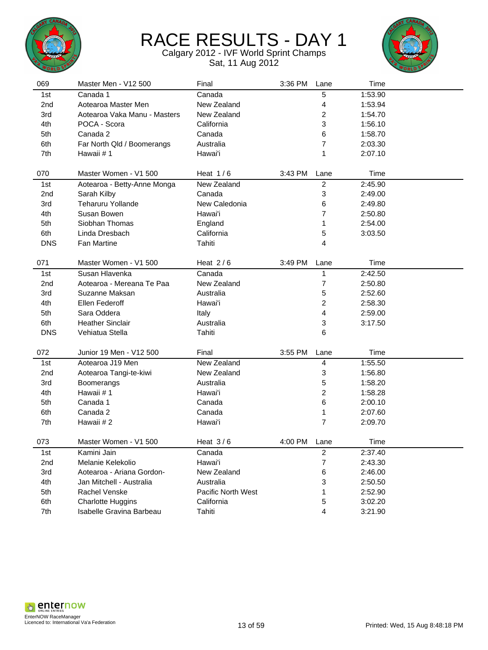



| 069             | Master Men - V12 500         | Final              | 3:36 PM | Lane           | Time    |  |
|-----------------|------------------------------|--------------------|---------|----------------|---------|--|
| 1st             | Canada 1                     | Canada             |         | 5              | 1:53.90 |  |
| 2 <sub>nd</sub> | Aotearoa Master Men          | New Zealand        |         | 4              | 1:53.94 |  |
| 3rd             | Aotearoa Vaka Manu - Masters | New Zealand        |         | 2              | 1:54.70 |  |
| 4th             | POCA - Scora                 | California         |         | 3              | 1:56.10 |  |
| 5th             | Canada 2                     | Canada             |         | 6              | 1:58.70 |  |
| 6th             | Far North Qld / Boomerangs   | Australia          |         | 7              | 2:03.30 |  |
| 7th             | Hawaii #1                    | Hawai'i            |         | 1              | 2:07.10 |  |
|                 |                              |                    |         |                |         |  |
| 070             | Master Women - V1 500        | Heat $1/6$         | 3:43 PM | Lane           | Time    |  |
| 1st             | Aotearoa - Betty-Anne Monga  | New Zealand        |         | $\overline{2}$ | 2:45.90 |  |
| 2 <sub>nd</sub> | Sarah Kilby                  | Canada             |         | 3              | 2:49.00 |  |
| 3rd             | <b>Teharuru Yollande</b>     | New Caledonia      |         | 6              | 2:49.80 |  |
| 4th             | Susan Bowen                  | Hawai'i            |         | 7              | 2:50.80 |  |
| 5th             | Siobhan Thomas               | England            |         | 1              | 2:54.00 |  |
| 6th             | Linda Dresbach               | California         |         | 5              | 3:03.50 |  |
| <b>DNS</b>      | <b>Fan Martine</b>           | Tahiti             |         | 4              |         |  |
|                 |                              |                    |         |                |         |  |
| 071             | Master Women - V1 500        | Heat $2/6$         | 3:49 PM | Lane           | Time    |  |
| 1st             | Susan Hlavenka               | Canada             |         | 1              | 2:42.50 |  |
| 2nd             | Aotearoa - Mereana Te Paa    | New Zealand        |         | 7              | 2:50.80 |  |
| 3rd             | Suzanne Maksan               | Australia          |         | 5              | 2:52.60 |  |
| 4th             | Ellen Federoff               | Hawai'i            |         | 2              | 2:58.30 |  |
| 5th             | Sara Oddera                  | Italy              |         | 4              | 2:59.00 |  |
| 6th             | <b>Heather Sinclair</b>      | Australia          |         | 3              | 3:17.50 |  |
| <b>DNS</b>      | Vehiatua Stella              | Tahiti             |         | 6              |         |  |
|                 |                              |                    |         |                |         |  |
| 072             | Junior 19 Men - V12 500      | Final              | 3:55 PM | Lane           | Time    |  |
| 1st             | Aotearoa J19 Men             | New Zealand        |         | 4              | 1:55.50 |  |
| 2nd             | Aotearoa Tangi-te-kiwi       | New Zealand        |         | 3              | 1:56.80 |  |
| 3rd             | Boomerangs                   | Australia          |         | 5              | 1:58.20 |  |
| 4th             | Hawaii #1                    | Hawai'i            |         | 2              | 1:58.28 |  |
| 5th             | Canada 1                     | Canada             |         | 6              | 2:00.10 |  |
| 6th             | Canada 2                     | Canada             |         | 1              | 2:07.60 |  |
| 7th             | Hawaii #2                    | Hawai'i            |         | $\overline{7}$ | 2:09.70 |  |
| 073             | Master Women - V1 500        | Heat $3/6$         | 4:00 PM | Lane           | Time    |  |
| 1st             | Kamini Jain                  | Canada             |         | $\overline{c}$ | 2:37.40 |  |
| 2nd             | Melanie Kelekolio            | Hawai'i            |         | $\overline{7}$ | 2:43.30 |  |
| 3rd             | Aotearoa - Ariana Gordon-    | New Zealand        |         | 6              | 2:46.00 |  |
| 4th             | Jan Mitchell - Australia     | Australia          |         | 3              | 2:50.50 |  |
| 5th             | Rachel Venske                | Pacific North West |         | 1              | 2:52.90 |  |
| 6th             | <b>Charlotte Huggins</b>     | California         |         | 5              | 3:02.20 |  |
| 7th             | Isabelle Gravina Barbeau     | Tahiti             |         | 4              | 3:21.90 |  |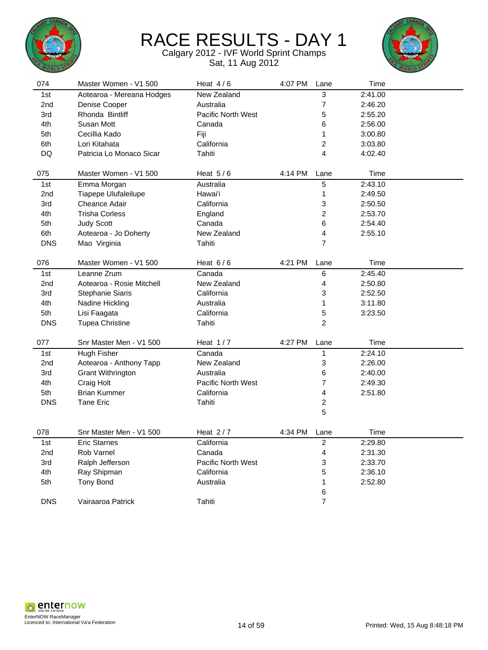



| 074        | Master Women - V1 500     | Heat $4/6$                | 4:07 PM | Lane                    | Time    |  |
|------------|---------------------------|---------------------------|---------|-------------------------|---------|--|
| 1st        | Aotearoa - Mereana Hodges | New Zealand               |         | 3                       | 2:41.00 |  |
| 2nd        | Denise Cooper             | Australia                 |         | $\overline{7}$          | 2:46.20 |  |
| 3rd        | Rhonda Bintliff           | <b>Pacific North West</b> |         | 5                       | 2:55.20 |  |
| 4th        | Susan Mott                | Canada                    |         | 6                       | 2:56.00 |  |
| 5th        | Cecillia Kado             | Fiji                      |         | 1                       | 3:00.80 |  |
| 6th        | Lori Kitahata             | California                |         | 2                       | 3:03.80 |  |
| DQ         | Patricia Lo Monaco Sicar  | Tahiti                    |         | 4                       | 4:02.40 |  |
|            |                           |                           |         |                         |         |  |
| 075        | Master Women - V1 500     | Heat $5/6$                | 4:14 PM | Lane                    | Time    |  |
| 1st        | Emma Morgan               | Australia                 |         | $\overline{5}$          | 2:43.10 |  |
| 2nd        | Tiapepe Ulufaleilupe      | Hawai'i                   |         | $\mathbf 1$             | 2:49.50 |  |
| 3rd        | Cheance Adair             | California                |         | 3                       | 2:50.50 |  |
| 4th        | <b>Trisha Corless</b>     | England                   |         | $\overline{c}$          | 2:53.70 |  |
| 5th        | <b>Judy Scott</b>         | Canada                    |         | 6                       | 2:54.40 |  |
| 6th        | Aotearoa - Jo Doherty     | New Zealand               |         | 4                       | 2:55.10 |  |
| <b>DNS</b> | Mao Virginia              | Tahiti                    |         | $\overline{7}$          |         |  |
|            |                           |                           |         |                         |         |  |
| 076        | Master Women - V1 500     | Heat $6/6$                | 4:21 PM | Lane                    | Time    |  |
| 1st        | Leanne Zrum               | Canada                    |         | $\,6$                   | 2:45.40 |  |
| 2nd        | Aotearoa - Rosie Mitchell | New Zealand               |         | 4                       | 2:50.80 |  |
| 3rd        | Stephanie Siaris          | California                |         | 3                       | 2:52.50 |  |
| 4th        | Nadine Hickling           | Australia                 |         | 1                       | 3:11.80 |  |
| 5th        | Lisi Faagata              | California                |         | 5                       | 3:23.50 |  |
| <b>DNS</b> | <b>Tupea Christine</b>    | Tahiti                    |         | $\overline{2}$          |         |  |
|            |                           |                           |         |                         |         |  |
| 077        | Snr Master Men - V1 500   | Heat $1/7$                | 4:27 PM | Lane                    | Time    |  |
| 1st        | Hugh Fisher               | Canada                    |         | 1                       | 2:24.10 |  |
| 2nd        | Aotearoa - Anthony Tapp   | New Zealand               |         | 3                       | 2:26.00 |  |
| 3rd        | <b>Grant Withrington</b>  | Australia                 |         | 6                       | 2:40.00 |  |
| 4th        | Craig Holt                | Pacific North West        |         | $\overline{7}$          | 2:49.30 |  |
| 5th        | <b>Brian Kummer</b>       | California                |         | 4                       | 2:51.80 |  |
| <b>DNS</b> | <b>Tane Eric</b>          | Tahiti                    |         | $\boldsymbol{2}$        |         |  |
|            |                           |                           |         | 5                       |         |  |
|            |                           | Heat $2/7$                |         |                         |         |  |
| 078        | Snr Master Men - V1 500   |                           | 4:34 PM | Lane                    | Time    |  |
| 1st        | <b>Eric Starnes</b>       | California                |         | $\overline{c}$          | 2:29.80 |  |
| 2nd        | Rob Varnel                | Canada                    |         | $\overline{\mathbf{4}}$ | 2:31.30 |  |
| 3rd        | Ralph Jefferson           | Pacific North West        |         | 3                       | 2:33.70 |  |
| 4th        | Ray Shipman               | California                |         | 5                       | 2:36.10 |  |
| 5th        | <b>Tony Bond</b>          | Australia                 |         | 1                       | 2:52.80 |  |
|            |                           |                           |         | 6                       |         |  |
| <b>DNS</b> | Vairaaroa Patrick         | Tahiti                    |         | $\overline{7}$          |         |  |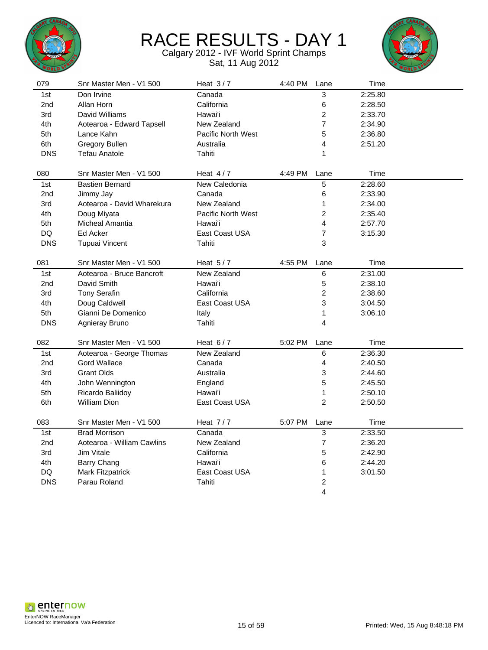



| 079        | Snr Master Men - V1 500    | Heat $3/7$                | 4:40 PM | Lane                    | Time    |  |
|------------|----------------------------|---------------------------|---------|-------------------------|---------|--|
| 1st        | Don Irvine                 | Canada                    |         | 3                       | 2:25.80 |  |
| 2nd        | Allan Horn                 | California                |         | $\,6$                   | 2:28.50 |  |
| 3rd        | David Williams             | Hawai'i                   |         | $\overline{\mathbf{c}}$ | 2:33.70 |  |
| 4th        | Aotearoa - Edward Tapsell  | New Zealand               |         | 7                       | 2:34.90 |  |
| 5th        | Lance Kahn                 | <b>Pacific North West</b> |         | 5                       | 2:36.80 |  |
| 6th        | Gregory Bullen             | Australia                 |         | 4                       | 2:51.20 |  |
| <b>DNS</b> | <b>Tefau Anatole</b>       | Tahiti                    |         | 1                       |         |  |
| 080        | Snr Master Men - V1 500    | Heat $4/7$                | 4:49 PM | Lane                    | Time    |  |
| 1st        | <b>Bastien Bernard</b>     | New Caledonia             |         | 5                       | 2:28.60 |  |
| 2nd        | Jimmy Jay                  | Canada                    |         | 6                       | 2:33.90 |  |
| 3rd        | Aotearoa - David Wharekura | New Zealand               |         | 1                       | 2:34.00 |  |
| 4th        | Doug Miyata                | <b>Pacific North West</b> |         | 2                       | 2:35.40 |  |
| 5th        | <b>Micheal Amantia</b>     | Hawai'i                   |         | 4                       | 2:57.70 |  |
| DQ         | Ed Acker                   | East Coast USA            |         | 7                       | 3:15.30 |  |
| <b>DNS</b> | <b>Tupuai Vincent</b>      | Tahiti                    |         | 3                       |         |  |
|            |                            |                           |         |                         |         |  |
| 081        | Snr Master Men - V1 500    | Heat $5/7$                | 4:55 PM | Lane                    | Time    |  |
| 1st        | Aotearoa - Bruce Bancroft  | New Zealand               |         | 6                       | 2:31.00 |  |
| 2nd        | David Smith                | Hawai'i                   |         | 5                       | 2:38.10 |  |
| 3rd        | <b>Tony Serafin</b>        | California                |         | $\overline{c}$          | 2:38.60 |  |
| 4th        | Doug Caldwell              | East Coast USA            |         | 3                       | 3:04.50 |  |
| 5th        | Gianni De Domenico         | Italy                     |         | 1                       | 3:06.10 |  |
| <b>DNS</b> | Agnieray Bruno             | Tahiti                    |         | 4                       |         |  |
|            |                            |                           |         |                         |         |  |
| 082        | Snr Master Men - V1 500    | Heat $6/7$                | 5:02 PM | Lane                    | Time    |  |
| 1st        | Aotearoa - George Thomas   | New Zealand               |         | 6                       | 2:36.30 |  |
| 2nd        | <b>Gord Wallace</b>        | Canada                    |         | 4                       | 2:40.50 |  |
| 3rd        | <b>Grant Olds</b>          | Australia                 |         | 3                       | 2:44.60 |  |
| 4th        | John Wennington            | England                   |         | 5                       | 2:45.50 |  |
| 5th        | Ricardo Baliidoy           | Hawai'i                   |         | 1                       | 2:50.10 |  |
| 6th        | <b>William Dion</b>        | East Coast USA            |         | $\overline{c}$          | 2:50.50 |  |
| 083        | Snr Master Men - V1 500    | Heat $7/7$                | 5:07 PM | Lane                    | Time    |  |
| 1st        | <b>Brad Morrison</b>       | Canada                    |         | 3                       | 2:33.50 |  |
| 2nd        | Aotearoa - William Cawlins | New Zealand               |         | 7                       | 2:36.20 |  |
| 3rd        | Jim Vitale                 | California                |         | 5                       | 2:42.90 |  |
| 4th        | <b>Barry Chang</b>         | Hawai'i                   |         | 6                       | 2:44.20 |  |
| DQ         | Mark Fitzpatrick           | East Coast USA            |         | 1                       | 3:01.50 |  |
| <b>DNS</b> | Parau Roland               | Tahiti                    |         | $\overline{c}$          |         |  |
|            |                            |                           |         | 4                       |         |  |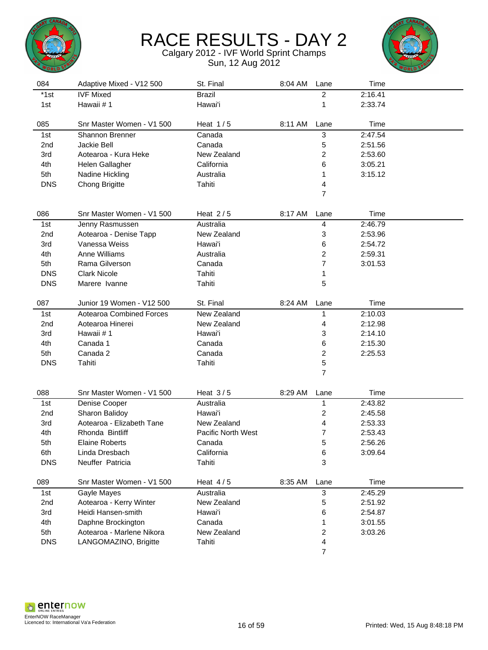



| 084             | Adaptive Mixed - V12 500  | St. Final          | 8:04 AM | Lane                    | Time    |  |
|-----------------|---------------------------|--------------------|---------|-------------------------|---------|--|
| $*1st$          | <b>IVF Mixed</b>          | <b>Brazil</b>      |         | $\overline{2}$          | 2:16.41 |  |
| 1st             | Hawaii #1                 | Hawai'i            |         | 1                       | 2:33.74 |  |
| 085             | Snr Master Women - V1 500 | Heat $1/5$         | 8:11 AM | Lane                    | Time    |  |
| 1st             | Shannon Brenner           | Canada             |         | 3                       | 2:47.54 |  |
| 2nd             | Jackie Bell               | Canada             |         | 5                       | 2:51.56 |  |
| 3rd             | Aotearoa - Kura Heke      | New Zealand        |         | 2                       | 2:53.60 |  |
| 4th             | Helen Gallagher           | California         |         | 6                       | 3:05.21 |  |
| 5th             | Nadine Hickling           | Australia          |         | 1                       | 3:15.12 |  |
| <b>DNS</b>      | <b>Chong Brigitte</b>     | Tahiti             |         | 4                       |         |  |
|                 |                           |                    |         | $\overline{7}$          |         |  |
|                 |                           |                    |         |                         |         |  |
| 086             | Snr Master Women - V1 500 | Heat $2/5$         | 8:17 AM | Lane                    | Time    |  |
| 1st             | Jenny Rasmussen           | Australia          |         | $\overline{\mathbf{4}}$ | 2:46.79 |  |
| 2nd             | Aotearoa - Denise Tapp    | New Zealand        |         | 3                       | 2:53.96 |  |
| 3rd             | Vanessa Weiss             | Hawai'i            |         | 6                       | 2:54.72 |  |
| 4th             | Anne Williams             | Australia          |         | 2                       | 2:59.31 |  |
| 5th             | Rama Gilverson            | Canada             |         | 7                       | 3:01.53 |  |
| <b>DNS</b>      | <b>Clark Nicole</b>       | Tahiti             |         | 1                       |         |  |
| <b>DNS</b>      | Marere Ivanne             | Tahiti             |         | 5                       |         |  |
| 087             | Junior 19 Women - V12 500 | St. Final          | 8:24 AM | Lane                    | Time    |  |
| 1st             | Aotearoa Combined Forces  | New Zealand        |         | 1                       | 2:10.03 |  |
| 2 <sub>nd</sub> | Aotearoa Hinerei          | New Zealand        |         | 4                       | 2:12.98 |  |
| 3rd             | Hawaii #1                 | Hawai'i            |         | 3                       | 2:14.10 |  |
| 4th             | Canada 1                  | Canada             |         | 6                       | 2:15.30 |  |
| 5th             | Canada 2                  | Canada             |         | $\boldsymbol{2}$        | 2:25.53 |  |
| <b>DNS</b>      | Tahiti                    | Tahiti             |         | 5                       |         |  |
|                 |                           |                    |         | $\overline{7}$          |         |  |
| 088             | Snr Master Women - V1 500 | Heat $3/5$         | 8:29 AM | Lane                    | Time    |  |
| 1st             | Denise Cooper             | Australia          |         | 1                       | 2:43.82 |  |
| 2nd             | Sharon Balidoy            | Hawai'i            |         | $\overline{\mathbf{c}}$ | 2:45.58 |  |
| 3rd             | Aotearoa - Elizabeth Tane | New Zealand        |         | 4                       | 2:53.33 |  |
| 4th             | Rhonda Bintliff           | Pacific North West |         | 7                       | 2:53.43 |  |
| 5th             | <b>Elaine Roberts</b>     | Canada             |         | 5                       | 2:56.26 |  |
| 6th             | Linda Dresbach            | California         |         | 6                       | 3:09.64 |  |
| <b>DNS</b>      | Neuffer Patricia          | Tahiti             |         | 3                       |         |  |
|                 |                           |                    |         |                         |         |  |
| 089             | Snr Master Women - V1 500 | Heat $4/5$         | 8:35 AM | Lane                    | Time    |  |
| 1st             | Gayle Mayes               | Australia          |         | 3                       | 2:45.29 |  |
| 2nd             | Aotearoa - Kerry Winter   | New Zealand        |         | 5                       | 2:51.92 |  |
| 3rd             | Heidi Hansen-smith        | Hawai'i            |         | 6                       | 2:54.87 |  |
| 4th             | Daphne Brockington        | Canada             |         | 1                       | 3:01.55 |  |
| 5th             | Aotearoa - Marlene Nikora | New Zealand        |         | 2                       | 3:03.26 |  |
| <b>DNS</b>      | LANGOMAZINO, Brigitte     | Tahiti             |         | 4                       |         |  |
|                 |                           |                    |         | $\overline{7}$          |         |  |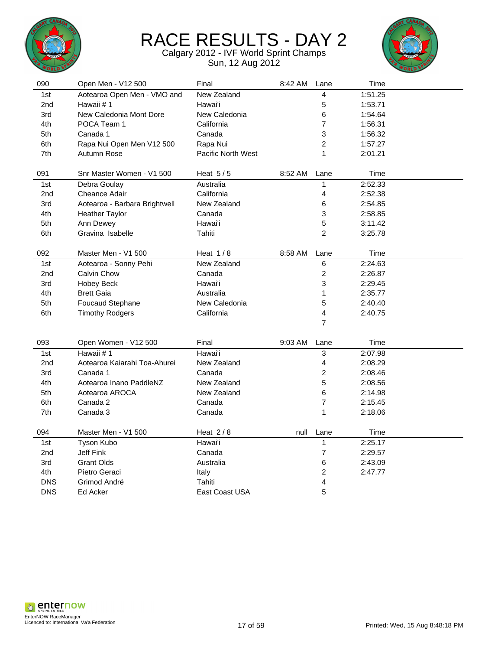



| 090        | Open Men - V12 500            | Final              | 8:42 AM | Lane                    | Time    |  |
|------------|-------------------------------|--------------------|---------|-------------------------|---------|--|
| 1st        | Aotearoa Open Men - VMO and   | New Zealand        |         | 4                       | 1:51.25 |  |
| 2nd        | Hawaii #1                     | Hawai'i            |         | 5                       | 1:53.71 |  |
| 3rd        | New Caledonia Mont Dore       | New Caledonia      |         | 6                       | 1:54.64 |  |
| 4th        | POCA Team 1                   | California         |         | $\overline{7}$          | 1:56.31 |  |
| 5th        | Canada 1                      | Canada             |         | 3                       | 1:56.32 |  |
| 6th        | Rapa Nui Open Men V12 500     | Rapa Nui           |         | $\overline{c}$          | 1:57.27 |  |
| 7th        | Autumn Rose                   | Pacific North West |         | 1                       | 2:01.21 |  |
| 091        | Snr Master Women - V1 500     | Heat $5/5$         | 8:52 AM | Lane                    | Time    |  |
| 1st        | Debra Goulay                  | Australia          |         | 1                       | 2:52.33 |  |
| 2nd        | <b>Cheance Adair</b>          | California         |         | 4                       | 2:52.38 |  |
| 3rd        | Aotearoa - Barbara Brightwell | New Zealand        |         | 6                       | 2:54.85 |  |
| 4th        | <b>Heather Taylor</b>         | Canada             |         | 3                       | 2:58.85 |  |
| 5th        | Ann Dewey                     | Hawai'i            |         | 5                       | 3:11.42 |  |
| 6th        | Gravina Isabelle              | Tahiti             |         | $\overline{2}$          | 3:25.78 |  |
| 092        | Master Men - V1 500           | Heat $1/8$         | 8:58 AM | Lane                    | Time    |  |
| 1st        | Aotearoa - Sonny Pehi         | New Zealand        |         | 6                       | 2:24.63 |  |
| 2nd        | Calvin Chow                   | Canada             |         | $\mathbf 2$             | 2:26.87 |  |
| 3rd        | Hobey Beck                    | Hawai'i            |         | 3                       | 2:29.45 |  |
| 4th        | <b>Brett Gaia</b>             | Australia          |         | 1                       | 2:35.77 |  |
| 5th        | Foucaud Stephane              | New Caledonia      |         | 5                       | 2:40.40 |  |
| 6th        | <b>Timothy Rodgers</b>        | California         |         | 4                       | 2:40.75 |  |
|            |                               |                    |         | $\overline{7}$          |         |  |
|            |                               |                    |         |                         |         |  |
| 093        | Open Women - V12 500          | Final              | 9:03 AM | Lane                    | Time    |  |
| 1st        | Hawaii #1                     | Hawai'i            |         | $\overline{3}$          | 2:07.98 |  |
| 2nd        | Aotearoa Kaiarahi Toa-Ahurei  | New Zealand        |         | $\overline{4}$          | 2:08.29 |  |
| 3rd        | Canada 1                      | Canada             |         | $\overline{\mathbf{c}}$ | 2:08.46 |  |
| 4th        | Aotearoa Inano PaddleNZ       | New Zealand        |         | 5                       | 2:08.56 |  |
| 5th        | Aotearoa AROCA                | New Zealand        |         | 6                       | 2:14.98 |  |
| 6th        | Canada 2                      | Canada             |         | $\overline{7}$          | 2:15.45 |  |
| 7th        | Canada 3                      | Canada             |         | 1                       | 2:18.06 |  |
| 094        | Master Men - V1 500           | Heat $2/8$         | null    | Lane                    | Time    |  |
| 1st        | Tyson Kubo                    | Hawai'i            |         | $\mathbf{1}$            | 2:25.17 |  |
| 2nd        | <b>Jeff Fink</b>              | Canada             |         | $\overline{7}$          | 2:29.57 |  |
| 3rd        | <b>Grant Olds</b>             | Australia          |         | 6                       | 2:43.09 |  |
| 4th        | Pietro Geraci                 | Italy              |         | 2                       | 2:47.77 |  |
| <b>DNS</b> | Grimod André                  | Tahiti             |         | 4                       |         |  |
| <b>DNS</b> | Ed Acker                      | East Coast USA     |         | 5                       |         |  |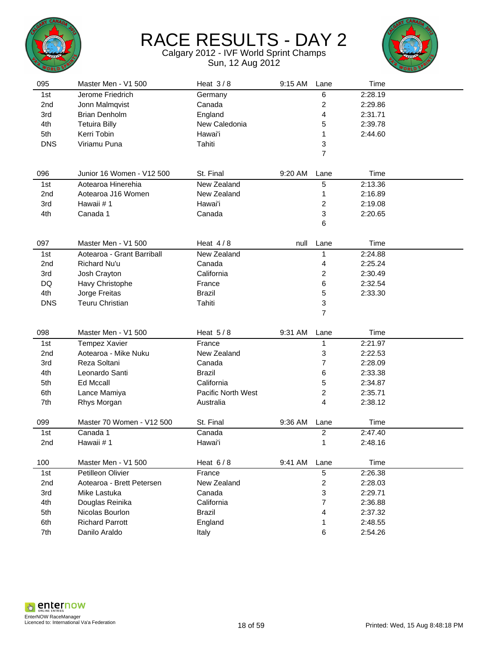



| 095             | Master Men - V1 500        | Heat $3/8$         | 9:15 AM | Lane                    | Time    |  |
|-----------------|----------------------------|--------------------|---------|-------------------------|---------|--|
| 1st             | Jerome Friedrich           | Germany            |         | 6                       | 2:28.19 |  |
| 2nd             | Jonn Malmqvist             | Canada             |         | $\overline{\mathbf{c}}$ | 2:29.86 |  |
| 3rd             | <b>Brian Denholm</b>       | England            |         | 4                       | 2:31.71 |  |
| 4th             | <b>Tetuira Billy</b>       | New Caledonia      |         | 5                       | 2:39.78 |  |
| 5th             | Kerri Tobin                | Hawai'i            |         | 1                       | 2:44.60 |  |
| <b>DNS</b>      | Viriamu Puna               | Tahiti             |         | 3                       |         |  |
|                 |                            |                    |         | $\overline{7}$          |         |  |
|                 |                            |                    |         |                         |         |  |
| 096             | Junior 16 Women - V12 500  | St. Final          | 9:20 AM | Lane                    | Time    |  |
| 1st             | Aotearoa Hinerehia         | New Zealand        |         | 5                       | 2:13.36 |  |
| 2nd             | Aotearoa J16 Women         | New Zealand        |         | 1                       | 2:16.89 |  |
| 3rd             | Hawaii #1                  | Hawai'i            |         | 2                       | 2:19.08 |  |
| 4th             | Canada 1                   | Canada             |         | 3                       | 2:20.65 |  |
|                 |                            |                    |         | 6                       |         |  |
|                 |                            |                    |         |                         |         |  |
| 097             | Master Men - V1 500        | Heat $4/8$         | null    | Lane                    | Time    |  |
| 1st             | Aotearoa - Grant Barriball | New Zealand        |         | 1                       | 2:24.88 |  |
| 2nd             | Richard Nu'u               | Canada             |         | 4                       | 2:25.24 |  |
| 3rd             | Josh Crayton               | California         |         | 2                       | 2:30.49 |  |
| DQ              | Havy Christophe            | France             |         | 6                       | 2:32.54 |  |
| 4th             | Jorge Freitas              | <b>Brazil</b>      |         | 5                       | 2:33.30 |  |
| <b>DNS</b>      | <b>Teuru Christian</b>     | Tahiti             |         | 3                       |         |  |
|                 |                            |                    |         | $\overline{7}$          |         |  |
|                 |                            |                    |         |                         |         |  |
| 098             | Master Men - V1 500        | Heat $5/8$         | 9:31 AM | Lane                    | Time    |  |
| 1st             | Tempez Xavier              | France             |         | $\mathbf{1}$            | 2:21.97 |  |
| 2 <sub>nd</sub> | Aotearoa - Mike Nuku       | New Zealand        |         | 3                       | 2:22.53 |  |
| 3rd             | Reza Soltani               | Canada             |         | 7                       | 2:28.09 |  |
| 4th             | Leonardo Santi             | <b>Brazil</b>      |         | 6                       | 2:33.38 |  |
| 5th             | <b>Ed Mccall</b>           | California         |         | 5                       | 2:34.87 |  |
| 6th             | Lance Mamiya               | Pacific North West |         | 2                       | 2:35.71 |  |
| 7th             | Rhys Morgan                | Australia          |         | 4                       | 2:38.12 |  |
|                 |                            |                    |         |                         |         |  |
| 099             | Master 70 Women - V12 500  | St. Final          | 9:36 AM | Lane                    | Time    |  |
| 1st             | Canada 1                   | Canada             |         | $\overline{\mathbf{c}}$ | 2:47.40 |  |
| 2nd             | Hawaii #1                  | Hawai'i            |         | 1                       | 2:48.16 |  |
|                 |                            |                    |         |                         |         |  |
| 100             | Master Men - V1 500        | Heat $6/8$         | 9:41 AM | Lane                    | Time    |  |
| 1st             | Petilleon Olivier          | France             |         | 5                       | 2:26.38 |  |
| 2nd             | Aotearoa - Brett Petersen  | New Zealand        |         | $\overline{c}$          | 2:28.03 |  |
| 3rd             | Mike Lastuka               | Canada             |         | 3                       | 2:29.71 |  |
| 4th             | Douglas Reinika            | California         |         | 7                       | 2:36.88 |  |
| 5th             | Nicolas Bourlon            | <b>Brazil</b>      |         | 4                       | 2:37.32 |  |
| 6th             | <b>Richard Parrott</b>     | England            |         | 1                       | 2:48.55 |  |
| 7th             | Danilo Araldo              | Italy              |         | 6                       | 2:54.26 |  |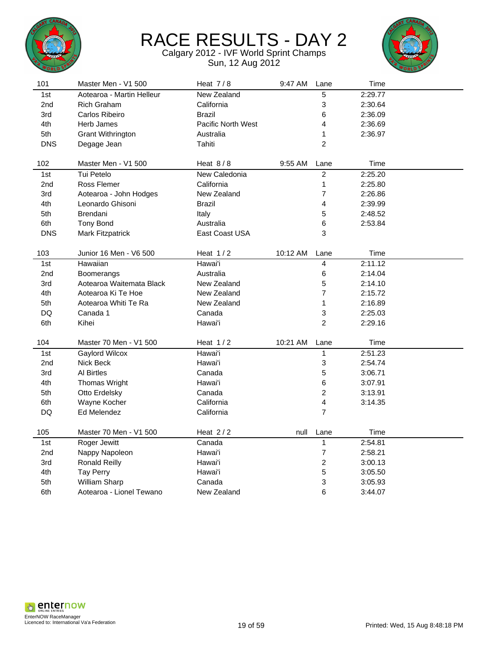



| 101        | Master Men - V1 500       | Heat $7/8$         | 9:47 AM  | Lane           | Time    |  |
|------------|---------------------------|--------------------|----------|----------------|---------|--|
| 1st        | Aotearoa - Martin Helleur | <b>New Zealand</b> |          | 5              | 2:29.77 |  |
| 2nd        | <b>Rich Graham</b>        | California         |          | 3              | 2:30.64 |  |
| 3rd        | Carlos Ribeiro            | <b>Brazil</b>      |          | 6              | 2:36.09 |  |
| 4th        | Herb James                | Pacific North West |          | 4              | 2:36.69 |  |
| 5th        | Grant Withrington         | Australia          |          | 1              | 2:36.97 |  |
| <b>DNS</b> | Degage Jean               | Tahiti             |          | $\overline{2}$ |         |  |
|            |                           |                    |          |                |         |  |
| 102        | Master Men - V1 500       | Heat $8/8$         | 9:55 AM  | Lane           | Time    |  |
| 1st        | Tui Petelo                | New Caledonia      |          | $\overline{2}$ | 2:25.20 |  |
| 2nd        | Ross Flemer               | California         |          | $\mathbf{1}$   | 2:25.80 |  |
| 3rd        | Aotearoa - John Hodges    | New Zealand        |          | $\overline{7}$ | 2:26.86 |  |
| 4th        | Leonardo Ghisoni          | <b>Brazil</b>      |          | 4              | 2:39.99 |  |
| 5th        | Brendani                  | Italy              |          | 5              | 2:48.52 |  |
| 6th        | <b>Tony Bond</b>          | Australia          |          | 6              | 2:53.84 |  |
| <b>DNS</b> | Mark Fitzpatrick          | East Coast USA     |          | 3              |         |  |
|            |                           |                    |          |                |         |  |
| 103        | Junior 16 Men - V6 500    | Heat $1/2$         | 10:12 AM | Lane           | Time    |  |
| 1st        | Hawaiian                  | Hawai'i            |          | 4              | 2:11.12 |  |
| 2nd        | Boomerangs                | Australia          |          | 6              | 2:14.04 |  |
| 3rd        | Aotearoa Waitemata Black  | New Zealand        |          | 5              | 2:14.10 |  |
| 4th        | Aotearoa Ki Te Hoe        | New Zealand        |          | $\overline{7}$ | 2:15.72 |  |
| 5th        | Aotearoa Whiti Te Ra      | New Zealand        |          | 1              | 2:16.89 |  |
| DQ         | Canada 1                  | Canada             |          | 3              | 2:25.03 |  |
| 6th        | Kihei                     | Hawai'i            |          | $\overline{2}$ | 2:29.16 |  |
|            |                           |                    |          |                |         |  |
| 104        | Master 70 Men - V1 500    | Heat $1/2$         | 10:21 AM | Lane           | Time    |  |
| 1st        | Gaylord Wilcox            | Hawai'i            |          | 1              | 2:51.23 |  |
| 2nd        | Nick Beck                 | Hawai'i            |          | 3              | 2:54.74 |  |
| 3rd        | Al Birtles                | Canada             |          | 5              | 3:06.71 |  |
| 4th        | Thomas Wright             | Hawai'i            |          | 6              | 3:07.91 |  |
| 5th        | Otto Erdelsky             | Canada             |          | $\overline{c}$ | 3:13.91 |  |
| 6th        | Wayne Kocher              | California         |          | 4              | 3:14.35 |  |
| DQ         | Ed Melendez               | California         |          | $\overline{7}$ |         |  |
|            |                           |                    |          |                |         |  |
| 105        | Master 70 Men - V1 500    | Heat $2/2$         | null     | Lane           | Time    |  |
| 1st        | Roger Jewitt              | Canada             |          | $\mathbf{1}$   | 2:54.81 |  |
| 2nd        | Nappy Napoleon            | Hawai'i            |          | $\overline{7}$ | 2:58.21 |  |
| 3rd        | <b>Ronald Reilly</b>      | Hawai'i            |          | $\overline{c}$ | 3:00.13 |  |
| 4th        | Tay Perry                 | Hawai'i            |          | 5              | 3:05.50 |  |
| 5th        | William Sharp             | Canada             |          | 3              | 3:05.93 |  |
| 6th        | Aotearoa - Lionel Tewano  | New Zealand        |          | 6              | 3:44.07 |  |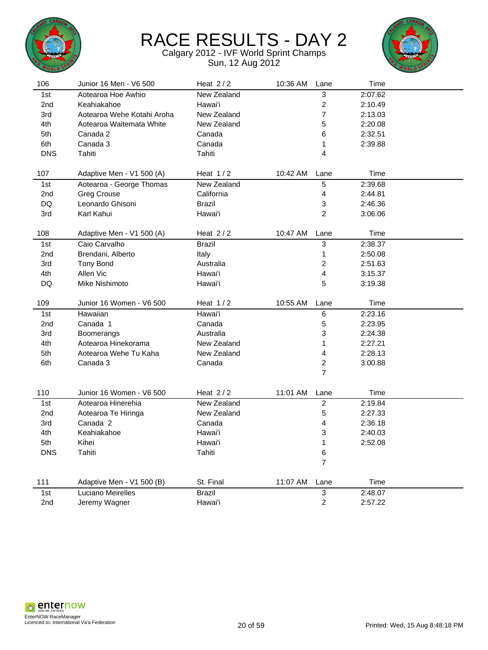



| New Zealand<br>3<br>2:07.62<br>1st<br>Aotearoa Hoe Awhio<br>$\overline{\mathbf{c}}$<br>2nd<br>Keahiakahoe<br>Hawai'i<br>2:10.49<br>7<br>Aotearoa Wehe Kotahi Aroha<br>New Zealand<br>2:13.03<br>3rd<br>4th<br>New Zealand<br>5<br>2:20.08<br>Aotearoa Waitemata White<br>5th<br>2:32.51<br>Canada 2<br>Canada<br>6<br>6th<br>Canada 3<br>Canada<br>2:39.88<br>1<br><b>DNS</b><br>Tahiti<br>Tahiti<br>4<br>Time<br>107<br>Heat $1/2$<br>10:42 AM<br>Adaptive Men - V1 500 (A)<br>Lane<br>New Zealand<br>5<br>2:39.68<br>1st<br>Aotearoa - George Thomas<br>California<br>4<br>2nd<br><b>Greg Crouse</b><br>2:44.81<br>DQ<br>Leonardo Ghisoni<br><b>Brazil</b><br>3<br>2:46.36<br>2<br>Karl Kahui<br>Hawai'i<br>3rd<br>3:06.06<br>108<br>Heat $2/2$<br>10:47 AM<br>Time<br>Adaptive Men - V1 500 (A)<br>Lane<br>3<br>2:38.37<br>Caio Carvalho<br><b>Brazil</b><br>1st<br>Brendani, Alberto<br>1<br>2nd<br>Italy<br>2:50.08<br>2<br>3rd<br><b>Tony Bond</b><br>Australia<br>2:51.63<br>4th<br>Allen Vic<br>Hawai'i<br>4<br>3:15.37<br>5<br>DQ<br>Mike Nishimoto<br>Hawai'i<br>3:19.38<br>Heat $1/2$<br>10:55 AM<br>Time<br>109<br>Junior 16 Women - V6 500<br>Lane<br>Hawaiian<br>Hawai'i<br>6<br>2:23.16<br>1st<br>5<br>Canada 1<br>Canada<br>2:23.95<br>2nd<br>3<br>2:24.38<br>3rd<br>Australia<br>Boomerangs<br>4th<br>New Zealand<br>1<br>2:27.21<br>Aotearoa Hinekorama<br>5th<br>Aotearoa Wehe Tu Kaha<br>New Zealand<br>4<br>2:28.13<br>$\overline{\mathbf{c}}$<br>6th<br>Canada 3<br>Canada<br>3:00.88<br>$\overline{7}$<br>110<br>Junior 16 Women - V6 500<br>Heat $2/2$<br>11:01 AM<br>Lane<br>Time<br>New Zealand<br>$\boldsymbol{2}$<br>Aotearoa Hinerehia<br>2:19.84<br>1st<br>5<br>New Zealand<br>2:27.33<br>2nd<br>Aotearoa Te Hiringa<br>3rd<br>Canada 2<br>Canada<br>4<br>2:36.18<br>3<br>4th<br>Keahiakahoe<br>Hawai'i<br>2:40.03<br>5th<br>1<br>2:52.08<br>Kihei<br>Hawai'i<br>Tahiti<br><b>DNS</b><br>Tahiti<br>6<br>$\overline{7}$<br>111<br>Adaptive Men - V1 500 (B)<br>St. Final<br>11:07 AM<br>Lane<br>Time<br>1st<br>Luciano Meirelles<br><b>Brazil</b><br>3<br>2:48.07<br>Hawai'i<br>2nd<br>Jeremy Wagner<br>$\overline{2}$<br>2:57.22 | 106 | Junior 16 Men - V6 500 | Heat $2/2$ | 10:36 AM | Lane | Time |  |
|----------------------------------------------------------------------------------------------------------------------------------------------------------------------------------------------------------------------------------------------------------------------------------------------------------------------------------------------------------------------------------------------------------------------------------------------------------------------------------------------------------------------------------------------------------------------------------------------------------------------------------------------------------------------------------------------------------------------------------------------------------------------------------------------------------------------------------------------------------------------------------------------------------------------------------------------------------------------------------------------------------------------------------------------------------------------------------------------------------------------------------------------------------------------------------------------------------------------------------------------------------------------------------------------------------------------------------------------------------------------------------------------------------------------------------------------------------------------------------------------------------------------------------------------------------------------------------------------------------------------------------------------------------------------------------------------------------------------------------------------------------------------------------------------------------------------------------------------------------------------------------------------------------------------------------------------------------------------------------------------------------------------------------------------------------------------------------------------------------------------------------------------------------------|-----|------------------------|------------|----------|------|------|--|
|                                                                                                                                                                                                                                                                                                                                                                                                                                                                                                                                                                                                                                                                                                                                                                                                                                                                                                                                                                                                                                                                                                                                                                                                                                                                                                                                                                                                                                                                                                                                                                                                                                                                                                                                                                                                                                                                                                                                                                                                                                                                                                                                                                |     |                        |            |          |      |      |  |
|                                                                                                                                                                                                                                                                                                                                                                                                                                                                                                                                                                                                                                                                                                                                                                                                                                                                                                                                                                                                                                                                                                                                                                                                                                                                                                                                                                                                                                                                                                                                                                                                                                                                                                                                                                                                                                                                                                                                                                                                                                                                                                                                                                |     |                        |            |          |      |      |  |
|                                                                                                                                                                                                                                                                                                                                                                                                                                                                                                                                                                                                                                                                                                                                                                                                                                                                                                                                                                                                                                                                                                                                                                                                                                                                                                                                                                                                                                                                                                                                                                                                                                                                                                                                                                                                                                                                                                                                                                                                                                                                                                                                                                |     |                        |            |          |      |      |  |
|                                                                                                                                                                                                                                                                                                                                                                                                                                                                                                                                                                                                                                                                                                                                                                                                                                                                                                                                                                                                                                                                                                                                                                                                                                                                                                                                                                                                                                                                                                                                                                                                                                                                                                                                                                                                                                                                                                                                                                                                                                                                                                                                                                |     |                        |            |          |      |      |  |
|                                                                                                                                                                                                                                                                                                                                                                                                                                                                                                                                                                                                                                                                                                                                                                                                                                                                                                                                                                                                                                                                                                                                                                                                                                                                                                                                                                                                                                                                                                                                                                                                                                                                                                                                                                                                                                                                                                                                                                                                                                                                                                                                                                |     |                        |            |          |      |      |  |
|                                                                                                                                                                                                                                                                                                                                                                                                                                                                                                                                                                                                                                                                                                                                                                                                                                                                                                                                                                                                                                                                                                                                                                                                                                                                                                                                                                                                                                                                                                                                                                                                                                                                                                                                                                                                                                                                                                                                                                                                                                                                                                                                                                |     |                        |            |          |      |      |  |
|                                                                                                                                                                                                                                                                                                                                                                                                                                                                                                                                                                                                                                                                                                                                                                                                                                                                                                                                                                                                                                                                                                                                                                                                                                                                                                                                                                                                                                                                                                                                                                                                                                                                                                                                                                                                                                                                                                                                                                                                                                                                                                                                                                |     |                        |            |          |      |      |  |
|                                                                                                                                                                                                                                                                                                                                                                                                                                                                                                                                                                                                                                                                                                                                                                                                                                                                                                                                                                                                                                                                                                                                                                                                                                                                                                                                                                                                                                                                                                                                                                                                                                                                                                                                                                                                                                                                                                                                                                                                                                                                                                                                                                |     |                        |            |          |      |      |  |
|                                                                                                                                                                                                                                                                                                                                                                                                                                                                                                                                                                                                                                                                                                                                                                                                                                                                                                                                                                                                                                                                                                                                                                                                                                                                                                                                                                                                                                                                                                                                                                                                                                                                                                                                                                                                                                                                                                                                                                                                                                                                                                                                                                |     |                        |            |          |      |      |  |
|                                                                                                                                                                                                                                                                                                                                                                                                                                                                                                                                                                                                                                                                                                                                                                                                                                                                                                                                                                                                                                                                                                                                                                                                                                                                                                                                                                                                                                                                                                                                                                                                                                                                                                                                                                                                                                                                                                                                                                                                                                                                                                                                                                |     |                        |            |          |      |      |  |
|                                                                                                                                                                                                                                                                                                                                                                                                                                                                                                                                                                                                                                                                                                                                                                                                                                                                                                                                                                                                                                                                                                                                                                                                                                                                                                                                                                                                                                                                                                                                                                                                                                                                                                                                                                                                                                                                                                                                                                                                                                                                                                                                                                |     |                        |            |          |      |      |  |
|                                                                                                                                                                                                                                                                                                                                                                                                                                                                                                                                                                                                                                                                                                                                                                                                                                                                                                                                                                                                                                                                                                                                                                                                                                                                                                                                                                                                                                                                                                                                                                                                                                                                                                                                                                                                                                                                                                                                                                                                                                                                                                                                                                |     |                        |            |          |      |      |  |
|                                                                                                                                                                                                                                                                                                                                                                                                                                                                                                                                                                                                                                                                                                                                                                                                                                                                                                                                                                                                                                                                                                                                                                                                                                                                                                                                                                                                                                                                                                                                                                                                                                                                                                                                                                                                                                                                                                                                                                                                                                                                                                                                                                |     |                        |            |          |      |      |  |
|                                                                                                                                                                                                                                                                                                                                                                                                                                                                                                                                                                                                                                                                                                                                                                                                                                                                                                                                                                                                                                                                                                                                                                                                                                                                                                                                                                                                                                                                                                                                                                                                                                                                                                                                                                                                                                                                                                                                                                                                                                                                                                                                                                |     |                        |            |          |      |      |  |
|                                                                                                                                                                                                                                                                                                                                                                                                                                                                                                                                                                                                                                                                                                                                                                                                                                                                                                                                                                                                                                                                                                                                                                                                                                                                                                                                                                                                                                                                                                                                                                                                                                                                                                                                                                                                                                                                                                                                                                                                                                                                                                                                                                |     |                        |            |          |      |      |  |
|                                                                                                                                                                                                                                                                                                                                                                                                                                                                                                                                                                                                                                                                                                                                                                                                                                                                                                                                                                                                                                                                                                                                                                                                                                                                                                                                                                                                                                                                                                                                                                                                                                                                                                                                                                                                                                                                                                                                                                                                                                                                                                                                                                |     |                        |            |          |      |      |  |
|                                                                                                                                                                                                                                                                                                                                                                                                                                                                                                                                                                                                                                                                                                                                                                                                                                                                                                                                                                                                                                                                                                                                                                                                                                                                                                                                                                                                                                                                                                                                                                                                                                                                                                                                                                                                                                                                                                                                                                                                                                                                                                                                                                |     |                        |            |          |      |      |  |
|                                                                                                                                                                                                                                                                                                                                                                                                                                                                                                                                                                                                                                                                                                                                                                                                                                                                                                                                                                                                                                                                                                                                                                                                                                                                                                                                                                                                                                                                                                                                                                                                                                                                                                                                                                                                                                                                                                                                                                                                                                                                                                                                                                |     |                        |            |          |      |      |  |
|                                                                                                                                                                                                                                                                                                                                                                                                                                                                                                                                                                                                                                                                                                                                                                                                                                                                                                                                                                                                                                                                                                                                                                                                                                                                                                                                                                                                                                                                                                                                                                                                                                                                                                                                                                                                                                                                                                                                                                                                                                                                                                                                                                |     |                        |            |          |      |      |  |
|                                                                                                                                                                                                                                                                                                                                                                                                                                                                                                                                                                                                                                                                                                                                                                                                                                                                                                                                                                                                                                                                                                                                                                                                                                                                                                                                                                                                                                                                                                                                                                                                                                                                                                                                                                                                                                                                                                                                                                                                                                                                                                                                                                |     |                        |            |          |      |      |  |
|                                                                                                                                                                                                                                                                                                                                                                                                                                                                                                                                                                                                                                                                                                                                                                                                                                                                                                                                                                                                                                                                                                                                                                                                                                                                                                                                                                                                                                                                                                                                                                                                                                                                                                                                                                                                                                                                                                                                                                                                                                                                                                                                                                |     |                        |            |          |      |      |  |
|                                                                                                                                                                                                                                                                                                                                                                                                                                                                                                                                                                                                                                                                                                                                                                                                                                                                                                                                                                                                                                                                                                                                                                                                                                                                                                                                                                                                                                                                                                                                                                                                                                                                                                                                                                                                                                                                                                                                                                                                                                                                                                                                                                |     |                        |            |          |      |      |  |
|                                                                                                                                                                                                                                                                                                                                                                                                                                                                                                                                                                                                                                                                                                                                                                                                                                                                                                                                                                                                                                                                                                                                                                                                                                                                                                                                                                                                                                                                                                                                                                                                                                                                                                                                                                                                                                                                                                                                                                                                                                                                                                                                                                |     |                        |            |          |      |      |  |
|                                                                                                                                                                                                                                                                                                                                                                                                                                                                                                                                                                                                                                                                                                                                                                                                                                                                                                                                                                                                                                                                                                                                                                                                                                                                                                                                                                                                                                                                                                                                                                                                                                                                                                                                                                                                                                                                                                                                                                                                                                                                                                                                                                |     |                        |            |          |      |      |  |
|                                                                                                                                                                                                                                                                                                                                                                                                                                                                                                                                                                                                                                                                                                                                                                                                                                                                                                                                                                                                                                                                                                                                                                                                                                                                                                                                                                                                                                                                                                                                                                                                                                                                                                                                                                                                                                                                                                                                                                                                                                                                                                                                                                |     |                        |            |          |      |      |  |
|                                                                                                                                                                                                                                                                                                                                                                                                                                                                                                                                                                                                                                                                                                                                                                                                                                                                                                                                                                                                                                                                                                                                                                                                                                                                                                                                                                                                                                                                                                                                                                                                                                                                                                                                                                                                                                                                                                                                                                                                                                                                                                                                                                |     |                        |            |          |      |      |  |
|                                                                                                                                                                                                                                                                                                                                                                                                                                                                                                                                                                                                                                                                                                                                                                                                                                                                                                                                                                                                                                                                                                                                                                                                                                                                                                                                                                                                                                                                                                                                                                                                                                                                                                                                                                                                                                                                                                                                                                                                                                                                                                                                                                |     |                        |            |          |      |      |  |
|                                                                                                                                                                                                                                                                                                                                                                                                                                                                                                                                                                                                                                                                                                                                                                                                                                                                                                                                                                                                                                                                                                                                                                                                                                                                                                                                                                                                                                                                                                                                                                                                                                                                                                                                                                                                                                                                                                                                                                                                                                                                                                                                                                |     |                        |            |          |      |      |  |
|                                                                                                                                                                                                                                                                                                                                                                                                                                                                                                                                                                                                                                                                                                                                                                                                                                                                                                                                                                                                                                                                                                                                                                                                                                                                                                                                                                                                                                                                                                                                                                                                                                                                                                                                                                                                                                                                                                                                                                                                                                                                                                                                                                |     |                        |            |          |      |      |  |
|                                                                                                                                                                                                                                                                                                                                                                                                                                                                                                                                                                                                                                                                                                                                                                                                                                                                                                                                                                                                                                                                                                                                                                                                                                                                                                                                                                                                                                                                                                                                                                                                                                                                                                                                                                                                                                                                                                                                                                                                                                                                                                                                                                |     |                        |            |          |      |      |  |
|                                                                                                                                                                                                                                                                                                                                                                                                                                                                                                                                                                                                                                                                                                                                                                                                                                                                                                                                                                                                                                                                                                                                                                                                                                                                                                                                                                                                                                                                                                                                                                                                                                                                                                                                                                                                                                                                                                                                                                                                                                                                                                                                                                |     |                        |            |          |      |      |  |
|                                                                                                                                                                                                                                                                                                                                                                                                                                                                                                                                                                                                                                                                                                                                                                                                                                                                                                                                                                                                                                                                                                                                                                                                                                                                                                                                                                                                                                                                                                                                                                                                                                                                                                                                                                                                                                                                                                                                                                                                                                                                                                                                                                |     |                        |            |          |      |      |  |
|                                                                                                                                                                                                                                                                                                                                                                                                                                                                                                                                                                                                                                                                                                                                                                                                                                                                                                                                                                                                                                                                                                                                                                                                                                                                                                                                                                                                                                                                                                                                                                                                                                                                                                                                                                                                                                                                                                                                                                                                                                                                                                                                                                |     |                        |            |          |      |      |  |
|                                                                                                                                                                                                                                                                                                                                                                                                                                                                                                                                                                                                                                                                                                                                                                                                                                                                                                                                                                                                                                                                                                                                                                                                                                                                                                                                                                                                                                                                                                                                                                                                                                                                                                                                                                                                                                                                                                                                                                                                                                                                                                                                                                |     |                        |            |          |      |      |  |
|                                                                                                                                                                                                                                                                                                                                                                                                                                                                                                                                                                                                                                                                                                                                                                                                                                                                                                                                                                                                                                                                                                                                                                                                                                                                                                                                                                                                                                                                                                                                                                                                                                                                                                                                                                                                                                                                                                                                                                                                                                                                                                                                                                |     |                        |            |          |      |      |  |
|                                                                                                                                                                                                                                                                                                                                                                                                                                                                                                                                                                                                                                                                                                                                                                                                                                                                                                                                                                                                                                                                                                                                                                                                                                                                                                                                                                                                                                                                                                                                                                                                                                                                                                                                                                                                                                                                                                                                                                                                                                                                                                                                                                |     |                        |            |          |      |      |  |
|                                                                                                                                                                                                                                                                                                                                                                                                                                                                                                                                                                                                                                                                                                                                                                                                                                                                                                                                                                                                                                                                                                                                                                                                                                                                                                                                                                                                                                                                                                                                                                                                                                                                                                                                                                                                                                                                                                                                                                                                                                                                                                                                                                |     |                        |            |          |      |      |  |
|                                                                                                                                                                                                                                                                                                                                                                                                                                                                                                                                                                                                                                                                                                                                                                                                                                                                                                                                                                                                                                                                                                                                                                                                                                                                                                                                                                                                                                                                                                                                                                                                                                                                                                                                                                                                                                                                                                                                                                                                                                                                                                                                                                |     |                        |            |          |      |      |  |
|                                                                                                                                                                                                                                                                                                                                                                                                                                                                                                                                                                                                                                                                                                                                                                                                                                                                                                                                                                                                                                                                                                                                                                                                                                                                                                                                                                                                                                                                                                                                                                                                                                                                                                                                                                                                                                                                                                                                                                                                                                                                                                                                                                |     |                        |            |          |      |      |  |
|                                                                                                                                                                                                                                                                                                                                                                                                                                                                                                                                                                                                                                                                                                                                                                                                                                                                                                                                                                                                                                                                                                                                                                                                                                                                                                                                                                                                                                                                                                                                                                                                                                                                                                                                                                                                                                                                                                                                                                                                                                                                                                                                                                |     |                        |            |          |      |      |  |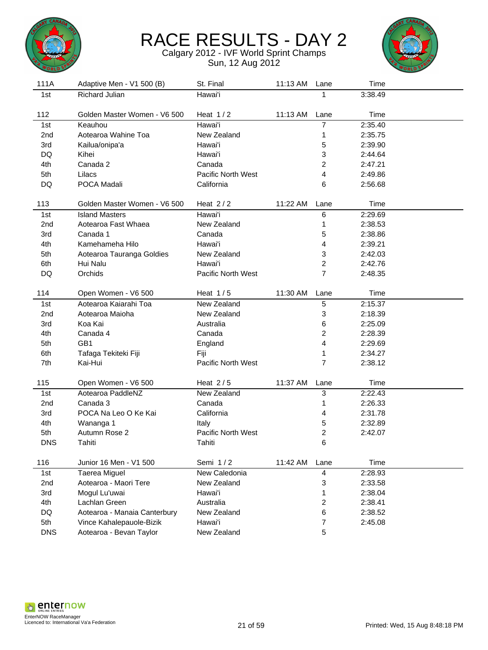



| 111A            | Adaptive Men - V1 500 (B)    | St. Final          | 11:13 AM | Lane | Time    |  |
|-----------------|------------------------------|--------------------|----------|------|---------|--|
| 1st             | Richard Julian               | Hawai'i            |          | 1    | 3:38.49 |  |
|                 |                              |                    |          |      |         |  |
| 112             | Golden Master Women - V6 500 | Heat $1/2$         | 11:13 AM | Lane | Time    |  |
| 1st             | Keauhou                      | Hawai'i            |          | 7    | 2:35.40 |  |
| 2nd             | Aotearoa Wahine Toa          | New Zealand        |          | 1    | 2:35.75 |  |
| 3rd             | Kailua/onipa'a               | Hawai'i            |          | 5    | 2:39.90 |  |
| DQ              | Kihei                        | Hawai'i            |          | 3    | 2:44.64 |  |
| 4th             | Canada 2                     | Canada             |          | 2    | 2:47.21 |  |
| 5th             | Lilacs                       | Pacific North West |          | 4    | 2:49.86 |  |
| DQ              | POCA Madali                  | California         |          | 6    | 2:56.68 |  |
|                 |                              |                    |          |      |         |  |
| 113             | Golden Master Women - V6 500 | Heat $2/2$         | 11:22 AM | Lane | Time    |  |
| 1st             | <b>Island Masters</b>        | Hawai'i            |          | 6    | 2:29.69 |  |
| 2 <sub>nd</sub> | Aotearoa Fast Whaea          | New Zealand        |          | 1    | 2:38.53 |  |
| 3rd             | Canada 1                     | Canada             |          | 5    | 2:38.86 |  |
| 4th             | Kamehameha Hilo              | Hawai'i            |          | 4    | 2:39.21 |  |
| 5th             | Aotearoa Tauranga Goldies    | New Zealand        |          | 3    | 2:42.03 |  |
| 6th             | Hui Nalu                     | Hawai'i            |          | 2    | 2:42.76 |  |
| DQ              | Orchids                      | Pacific North West |          | 7    | 2:48.35 |  |
|                 |                              |                    |          |      |         |  |
| 114             | Open Women - V6 500          | Heat $1/5$         | 11:30 AM | Lane | Time    |  |
| 1st             | Aotearoa Kaiarahi Toa        | New Zealand        |          | 5    | 2:15.37 |  |
| 2 <sub>nd</sub> | Aotearoa Maioha              | New Zealand        |          | 3    | 2:18.39 |  |
| 3rd             | Koa Kai                      | Australia          |          | 6    | 2:25.09 |  |
| 4th             | Canada 4                     | Canada             |          | 2    | 2:28.39 |  |
| 5th             | GB1                          | England            |          | 4    | 2:29.69 |  |
| 6th             | Tafaga Tekiteki Fiji         | Fiji               |          | 1    | 2:34.27 |  |
| 7th             | Kai-Hui                      | Pacific North West |          | 7    | 2:38.12 |  |
|                 |                              |                    |          |      |         |  |
| 115             | Open Women - V6 500          | Heat $2/5$         | 11:37 AM | Lane | Time    |  |
| 1st             | Aotearoa PaddleNZ            | New Zealand        |          | 3    | 2:22.43 |  |
| 2nd             | Canada 3                     | Canada             |          | 1    | 2:26.33 |  |
| 3rd             | POCA Na Leo O Ke Kai         | California         |          | 4    | 2:31.78 |  |
| 4th             | Wananga 1                    | Italy              |          | 5    | 2:32.89 |  |
| 5th             | Autumn Rose 2                | Pacific North West |          | 2    | 2:42.07 |  |
| <b>DNS</b>      | Tahiti                       | Tahiti             |          | 6    |         |  |
|                 |                              |                    |          |      |         |  |
| 116             | Junior 16 Men - V1 500       | Semi 1/2           | 11:42 AM | Lane | Time    |  |
| 1st             | Taerea Miguel                | New Caledonia      |          | 4    | 2:28.93 |  |
| 2nd             | Aotearoa - Maori Tere        | New Zealand        |          | 3    | 2:33.58 |  |
| 3rd             | Mogul Lu'uwai                | Hawai'i            |          | 1    | 2:38.04 |  |
| 4th             | Lachlan Green                | Australia          |          | 2    | 2:38.41 |  |
| DQ              | Aotearoa - Manaia Canterbury | New Zealand        |          | 6    | 2:38.52 |  |
| 5th             | Vince Kahalepauole-Bizik     | Hawai'i            |          | 7    | 2:45.08 |  |
| <b>DNS</b>      | Aotearoa - Bevan Taylor      | New Zealand        |          | 5    |         |  |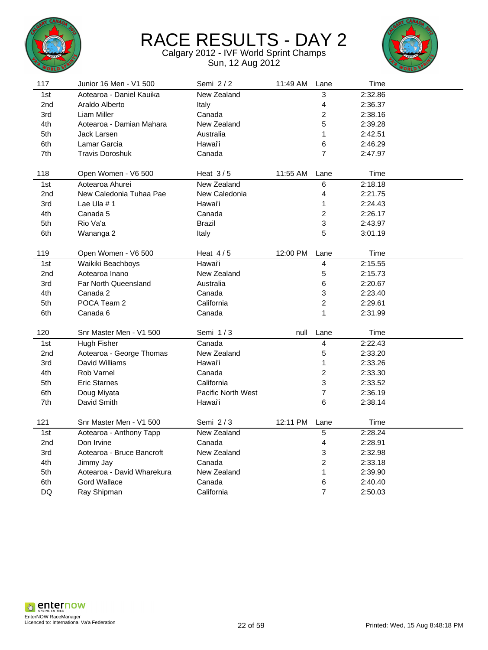



| New Zealand<br>2:32.86<br>1st<br>Aotearoa - Daniel Kauika<br>3<br>4<br>2nd<br>Araldo Alberto<br>2:36.37<br>Italy<br>Liam Miller<br>2<br>2:38.16<br>3rd<br>Canada<br>5<br>New Zealand<br>4th<br>Aotearoa - Damian Mahara<br>2:39.28<br>1<br>5th<br>Jack Larsen<br>Australia<br>2:42.51<br>6th<br>Lamar Garcia<br>Hawai'i<br>6<br>2:46.29<br>7th<br><b>Travis Doroshuk</b><br>Canada<br>$\overline{7}$<br>2:47.97<br>118<br>Heat $3/5$<br>11:55 AM<br>Time<br>Open Women - V6 500<br>Lane<br>Aotearoa Ahurei<br>New Zealand<br>6<br>2:18.18<br>1st<br>New Caledonia Tuhaa Pae<br>4<br>2nd<br>New Caledonia<br>2:21.75<br>3rd<br>Lae Ula $# 1$<br>Hawai'i<br>1<br>2:24.43<br>$\overline{c}$<br>4th<br>Canada 5<br>Canada<br>2:26.17<br>3<br>5th<br>Rio Va'a<br><b>Brazil</b><br>2:43.97<br>5<br>6th<br>Italy<br>3:01.19<br>Wananga 2<br>119<br>Heat $4/5$<br>12:00 PM<br>Time<br>Open Women - V6 500<br>Lane<br>Hawai'i<br>4<br>2:15.55<br>1st<br>Waikiki Beachboys<br>5<br>2nd<br>Aotearoa Inano<br>New Zealand<br>2:15.73<br>Australia<br>6<br>2:20.67<br>3rd<br><b>Far North Queensland</b><br>4th<br>3<br>2:23.40<br>Canada 2<br>Canada<br>$\overline{c}$<br>POCA Team 2<br>California<br>5th<br>2:29.61<br>$\mathbf 1$<br>6th<br>Canada 6<br>Canada<br>2:31.99<br>120<br>Snr Master Men - V1 500<br>Semi 1/3<br>Time<br>null<br>Lane<br>Canada<br>2:22.43<br>1st<br>Hugh Fisher<br>4<br>New Zealand<br>5<br>2:33.20<br>2nd<br>Aotearoa - George Thomas<br>Hawai'i<br>1<br>2:33.26<br>3rd<br>David Williams<br>$\overline{c}$<br>4th<br>Rob Varnel<br>Canada<br>2:33.30<br>5th<br><b>Eric Starnes</b><br>California<br>3<br>2:33.52<br>7<br><b>Pacific North West</b><br>2:36.19<br>6th<br>Doug Miyata<br>7th<br>David Smith<br>6<br>2:38.14<br>Hawai'i<br>Semi 2/3<br>121<br>Snr Master Men - V1 500<br>12:11 PM<br>Time<br>Lane<br>New Zealand<br>1st<br>$\overline{5}$<br>2:28.24<br>Aotearoa - Anthony Tapp<br>Canada<br>4<br>2:28.91<br>2nd<br>Don Irvine<br>3<br>Aotearoa - Bruce Bancroft<br>New Zealand<br>2:32.98<br>3rd<br>$\overline{c}$<br>4th<br>Canada<br>2:33.18<br>Jimmy Jay<br>5th<br>Aotearoa - David Wharekura<br>New Zealand<br>1<br>2:39.90<br>6th<br><b>Gord Wallace</b><br>Canada<br>6<br>2:40.40 | 117 | Junior 16 Men - V1 500 | Semi 2/2   | 11:49 AM | Lane           | Time    |  |
|---------------------------------------------------------------------------------------------------------------------------------------------------------------------------------------------------------------------------------------------------------------------------------------------------------------------------------------------------------------------------------------------------------------------------------------------------------------------------------------------------------------------------------------------------------------------------------------------------------------------------------------------------------------------------------------------------------------------------------------------------------------------------------------------------------------------------------------------------------------------------------------------------------------------------------------------------------------------------------------------------------------------------------------------------------------------------------------------------------------------------------------------------------------------------------------------------------------------------------------------------------------------------------------------------------------------------------------------------------------------------------------------------------------------------------------------------------------------------------------------------------------------------------------------------------------------------------------------------------------------------------------------------------------------------------------------------------------------------------------------------------------------------------------------------------------------------------------------------------------------------------------------------------------------------------------------------------------------------------------------------------------------------------------------------------------------------------------------------------------------------------------------------------------------------------------------------------------------------|-----|------------------------|------------|----------|----------------|---------|--|
|                                                                                                                                                                                                                                                                                                                                                                                                                                                                                                                                                                                                                                                                                                                                                                                                                                                                                                                                                                                                                                                                                                                                                                                                                                                                                                                                                                                                                                                                                                                                                                                                                                                                                                                                                                                                                                                                                                                                                                                                                                                                                                                                                                                                                           |     |                        |            |          |                |         |  |
|                                                                                                                                                                                                                                                                                                                                                                                                                                                                                                                                                                                                                                                                                                                                                                                                                                                                                                                                                                                                                                                                                                                                                                                                                                                                                                                                                                                                                                                                                                                                                                                                                                                                                                                                                                                                                                                                                                                                                                                                                                                                                                                                                                                                                           |     |                        |            |          |                |         |  |
|                                                                                                                                                                                                                                                                                                                                                                                                                                                                                                                                                                                                                                                                                                                                                                                                                                                                                                                                                                                                                                                                                                                                                                                                                                                                                                                                                                                                                                                                                                                                                                                                                                                                                                                                                                                                                                                                                                                                                                                                                                                                                                                                                                                                                           |     |                        |            |          |                |         |  |
|                                                                                                                                                                                                                                                                                                                                                                                                                                                                                                                                                                                                                                                                                                                                                                                                                                                                                                                                                                                                                                                                                                                                                                                                                                                                                                                                                                                                                                                                                                                                                                                                                                                                                                                                                                                                                                                                                                                                                                                                                                                                                                                                                                                                                           |     |                        |            |          |                |         |  |
|                                                                                                                                                                                                                                                                                                                                                                                                                                                                                                                                                                                                                                                                                                                                                                                                                                                                                                                                                                                                                                                                                                                                                                                                                                                                                                                                                                                                                                                                                                                                                                                                                                                                                                                                                                                                                                                                                                                                                                                                                                                                                                                                                                                                                           |     |                        |            |          |                |         |  |
|                                                                                                                                                                                                                                                                                                                                                                                                                                                                                                                                                                                                                                                                                                                                                                                                                                                                                                                                                                                                                                                                                                                                                                                                                                                                                                                                                                                                                                                                                                                                                                                                                                                                                                                                                                                                                                                                                                                                                                                                                                                                                                                                                                                                                           |     |                        |            |          |                |         |  |
|                                                                                                                                                                                                                                                                                                                                                                                                                                                                                                                                                                                                                                                                                                                                                                                                                                                                                                                                                                                                                                                                                                                                                                                                                                                                                                                                                                                                                                                                                                                                                                                                                                                                                                                                                                                                                                                                                                                                                                                                                                                                                                                                                                                                                           |     |                        |            |          |                |         |  |
|                                                                                                                                                                                                                                                                                                                                                                                                                                                                                                                                                                                                                                                                                                                                                                                                                                                                                                                                                                                                                                                                                                                                                                                                                                                                                                                                                                                                                                                                                                                                                                                                                                                                                                                                                                                                                                                                                                                                                                                                                                                                                                                                                                                                                           |     |                        |            |          |                |         |  |
|                                                                                                                                                                                                                                                                                                                                                                                                                                                                                                                                                                                                                                                                                                                                                                                                                                                                                                                                                                                                                                                                                                                                                                                                                                                                                                                                                                                                                                                                                                                                                                                                                                                                                                                                                                                                                                                                                                                                                                                                                                                                                                                                                                                                                           |     |                        |            |          |                |         |  |
|                                                                                                                                                                                                                                                                                                                                                                                                                                                                                                                                                                                                                                                                                                                                                                                                                                                                                                                                                                                                                                                                                                                                                                                                                                                                                                                                                                                                                                                                                                                                                                                                                                                                                                                                                                                                                                                                                                                                                                                                                                                                                                                                                                                                                           |     |                        |            |          |                |         |  |
|                                                                                                                                                                                                                                                                                                                                                                                                                                                                                                                                                                                                                                                                                                                                                                                                                                                                                                                                                                                                                                                                                                                                                                                                                                                                                                                                                                                                                                                                                                                                                                                                                                                                                                                                                                                                                                                                                                                                                                                                                                                                                                                                                                                                                           |     |                        |            |          |                |         |  |
|                                                                                                                                                                                                                                                                                                                                                                                                                                                                                                                                                                                                                                                                                                                                                                                                                                                                                                                                                                                                                                                                                                                                                                                                                                                                                                                                                                                                                                                                                                                                                                                                                                                                                                                                                                                                                                                                                                                                                                                                                                                                                                                                                                                                                           |     |                        |            |          |                |         |  |
|                                                                                                                                                                                                                                                                                                                                                                                                                                                                                                                                                                                                                                                                                                                                                                                                                                                                                                                                                                                                                                                                                                                                                                                                                                                                                                                                                                                                                                                                                                                                                                                                                                                                                                                                                                                                                                                                                                                                                                                                                                                                                                                                                                                                                           |     |                        |            |          |                |         |  |
|                                                                                                                                                                                                                                                                                                                                                                                                                                                                                                                                                                                                                                                                                                                                                                                                                                                                                                                                                                                                                                                                                                                                                                                                                                                                                                                                                                                                                                                                                                                                                                                                                                                                                                                                                                                                                                                                                                                                                                                                                                                                                                                                                                                                                           |     |                        |            |          |                |         |  |
|                                                                                                                                                                                                                                                                                                                                                                                                                                                                                                                                                                                                                                                                                                                                                                                                                                                                                                                                                                                                                                                                                                                                                                                                                                                                                                                                                                                                                                                                                                                                                                                                                                                                                                                                                                                                                                                                                                                                                                                                                                                                                                                                                                                                                           |     |                        |            |          |                |         |  |
|                                                                                                                                                                                                                                                                                                                                                                                                                                                                                                                                                                                                                                                                                                                                                                                                                                                                                                                                                                                                                                                                                                                                                                                                                                                                                                                                                                                                                                                                                                                                                                                                                                                                                                                                                                                                                                                                                                                                                                                                                                                                                                                                                                                                                           |     |                        |            |          |                |         |  |
|                                                                                                                                                                                                                                                                                                                                                                                                                                                                                                                                                                                                                                                                                                                                                                                                                                                                                                                                                                                                                                                                                                                                                                                                                                                                                                                                                                                                                                                                                                                                                                                                                                                                                                                                                                                                                                                                                                                                                                                                                                                                                                                                                                                                                           |     |                        |            |          |                |         |  |
|                                                                                                                                                                                                                                                                                                                                                                                                                                                                                                                                                                                                                                                                                                                                                                                                                                                                                                                                                                                                                                                                                                                                                                                                                                                                                                                                                                                                                                                                                                                                                                                                                                                                                                                                                                                                                                                                                                                                                                                                                                                                                                                                                                                                                           |     |                        |            |          |                |         |  |
|                                                                                                                                                                                                                                                                                                                                                                                                                                                                                                                                                                                                                                                                                                                                                                                                                                                                                                                                                                                                                                                                                                                                                                                                                                                                                                                                                                                                                                                                                                                                                                                                                                                                                                                                                                                                                                                                                                                                                                                                                                                                                                                                                                                                                           |     |                        |            |          |                |         |  |
|                                                                                                                                                                                                                                                                                                                                                                                                                                                                                                                                                                                                                                                                                                                                                                                                                                                                                                                                                                                                                                                                                                                                                                                                                                                                                                                                                                                                                                                                                                                                                                                                                                                                                                                                                                                                                                                                                                                                                                                                                                                                                                                                                                                                                           |     |                        |            |          |                |         |  |
|                                                                                                                                                                                                                                                                                                                                                                                                                                                                                                                                                                                                                                                                                                                                                                                                                                                                                                                                                                                                                                                                                                                                                                                                                                                                                                                                                                                                                                                                                                                                                                                                                                                                                                                                                                                                                                                                                                                                                                                                                                                                                                                                                                                                                           |     |                        |            |          |                |         |  |
|                                                                                                                                                                                                                                                                                                                                                                                                                                                                                                                                                                                                                                                                                                                                                                                                                                                                                                                                                                                                                                                                                                                                                                                                                                                                                                                                                                                                                                                                                                                                                                                                                                                                                                                                                                                                                                                                                                                                                                                                                                                                                                                                                                                                                           |     |                        |            |          |                |         |  |
|                                                                                                                                                                                                                                                                                                                                                                                                                                                                                                                                                                                                                                                                                                                                                                                                                                                                                                                                                                                                                                                                                                                                                                                                                                                                                                                                                                                                                                                                                                                                                                                                                                                                                                                                                                                                                                                                                                                                                                                                                                                                                                                                                                                                                           |     |                        |            |          |                |         |  |
|                                                                                                                                                                                                                                                                                                                                                                                                                                                                                                                                                                                                                                                                                                                                                                                                                                                                                                                                                                                                                                                                                                                                                                                                                                                                                                                                                                                                                                                                                                                                                                                                                                                                                                                                                                                                                                                                                                                                                                                                                                                                                                                                                                                                                           |     |                        |            |          |                |         |  |
|                                                                                                                                                                                                                                                                                                                                                                                                                                                                                                                                                                                                                                                                                                                                                                                                                                                                                                                                                                                                                                                                                                                                                                                                                                                                                                                                                                                                                                                                                                                                                                                                                                                                                                                                                                                                                                                                                                                                                                                                                                                                                                                                                                                                                           |     |                        |            |          |                |         |  |
|                                                                                                                                                                                                                                                                                                                                                                                                                                                                                                                                                                                                                                                                                                                                                                                                                                                                                                                                                                                                                                                                                                                                                                                                                                                                                                                                                                                                                                                                                                                                                                                                                                                                                                                                                                                                                                                                                                                                                                                                                                                                                                                                                                                                                           |     |                        |            |          |                |         |  |
|                                                                                                                                                                                                                                                                                                                                                                                                                                                                                                                                                                                                                                                                                                                                                                                                                                                                                                                                                                                                                                                                                                                                                                                                                                                                                                                                                                                                                                                                                                                                                                                                                                                                                                                                                                                                                                                                                                                                                                                                                                                                                                                                                                                                                           |     |                        |            |          |                |         |  |
|                                                                                                                                                                                                                                                                                                                                                                                                                                                                                                                                                                                                                                                                                                                                                                                                                                                                                                                                                                                                                                                                                                                                                                                                                                                                                                                                                                                                                                                                                                                                                                                                                                                                                                                                                                                                                                                                                                                                                                                                                                                                                                                                                                                                                           |     |                        |            |          |                |         |  |
|                                                                                                                                                                                                                                                                                                                                                                                                                                                                                                                                                                                                                                                                                                                                                                                                                                                                                                                                                                                                                                                                                                                                                                                                                                                                                                                                                                                                                                                                                                                                                                                                                                                                                                                                                                                                                                                                                                                                                                                                                                                                                                                                                                                                                           |     |                        |            |          |                |         |  |
|                                                                                                                                                                                                                                                                                                                                                                                                                                                                                                                                                                                                                                                                                                                                                                                                                                                                                                                                                                                                                                                                                                                                                                                                                                                                                                                                                                                                                                                                                                                                                                                                                                                                                                                                                                                                                                                                                                                                                                                                                                                                                                                                                                                                                           |     |                        |            |          |                |         |  |
|                                                                                                                                                                                                                                                                                                                                                                                                                                                                                                                                                                                                                                                                                                                                                                                                                                                                                                                                                                                                                                                                                                                                                                                                                                                                                                                                                                                                                                                                                                                                                                                                                                                                                                                                                                                                                                                                                                                                                                                                                                                                                                                                                                                                                           |     |                        |            |          |                |         |  |
|                                                                                                                                                                                                                                                                                                                                                                                                                                                                                                                                                                                                                                                                                                                                                                                                                                                                                                                                                                                                                                                                                                                                                                                                                                                                                                                                                                                                                                                                                                                                                                                                                                                                                                                                                                                                                                                                                                                                                                                                                                                                                                                                                                                                                           |     |                        |            |          |                |         |  |
|                                                                                                                                                                                                                                                                                                                                                                                                                                                                                                                                                                                                                                                                                                                                                                                                                                                                                                                                                                                                                                                                                                                                                                                                                                                                                                                                                                                                                                                                                                                                                                                                                                                                                                                                                                                                                                                                                                                                                                                                                                                                                                                                                                                                                           |     |                        |            |          |                |         |  |
|                                                                                                                                                                                                                                                                                                                                                                                                                                                                                                                                                                                                                                                                                                                                                                                                                                                                                                                                                                                                                                                                                                                                                                                                                                                                                                                                                                                                                                                                                                                                                                                                                                                                                                                                                                                                                                                                                                                                                                                                                                                                                                                                                                                                                           |     |                        |            |          |                |         |  |
|                                                                                                                                                                                                                                                                                                                                                                                                                                                                                                                                                                                                                                                                                                                                                                                                                                                                                                                                                                                                                                                                                                                                                                                                                                                                                                                                                                                                                                                                                                                                                                                                                                                                                                                                                                                                                                                                                                                                                                                                                                                                                                                                                                                                                           |     |                        |            |          |                |         |  |
|                                                                                                                                                                                                                                                                                                                                                                                                                                                                                                                                                                                                                                                                                                                                                                                                                                                                                                                                                                                                                                                                                                                                                                                                                                                                                                                                                                                                                                                                                                                                                                                                                                                                                                                                                                                                                                                                                                                                                                                                                                                                                                                                                                                                                           |     |                        |            |          |                |         |  |
|                                                                                                                                                                                                                                                                                                                                                                                                                                                                                                                                                                                                                                                                                                                                                                                                                                                                                                                                                                                                                                                                                                                                                                                                                                                                                                                                                                                                                                                                                                                                                                                                                                                                                                                                                                                                                                                                                                                                                                                                                                                                                                                                                                                                                           |     |                        |            |          |                |         |  |
|                                                                                                                                                                                                                                                                                                                                                                                                                                                                                                                                                                                                                                                                                                                                                                                                                                                                                                                                                                                                                                                                                                                                                                                                                                                                                                                                                                                                                                                                                                                                                                                                                                                                                                                                                                                                                                                                                                                                                                                                                                                                                                                                                                                                                           |     |                        |            |          |                |         |  |
|                                                                                                                                                                                                                                                                                                                                                                                                                                                                                                                                                                                                                                                                                                                                                                                                                                                                                                                                                                                                                                                                                                                                                                                                                                                                                                                                                                                                                                                                                                                                                                                                                                                                                                                                                                                                                                                                                                                                                                                                                                                                                                                                                                                                                           |     |                        |            |          |                |         |  |
|                                                                                                                                                                                                                                                                                                                                                                                                                                                                                                                                                                                                                                                                                                                                                                                                                                                                                                                                                                                                                                                                                                                                                                                                                                                                                                                                                                                                                                                                                                                                                                                                                                                                                                                                                                                                                                                                                                                                                                                                                                                                                                                                                                                                                           | DQ  | Ray Shipman            | California |          | $\overline{7}$ | 2:50.03 |  |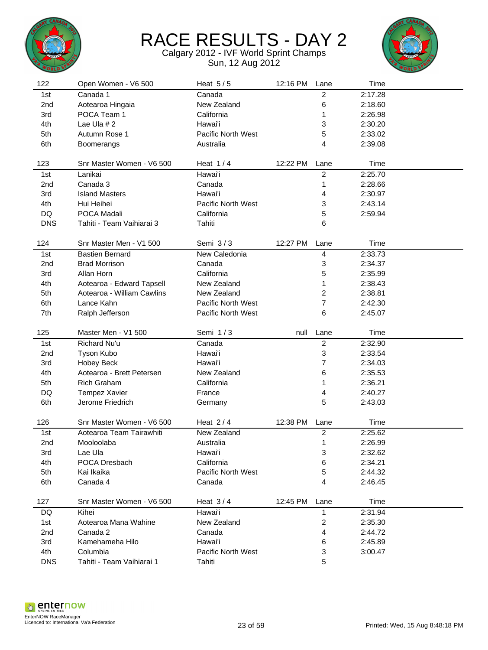



|                   | Open Women - V6 500                   | Heat $5/5$                          | 12:16 PM | Lane                    | Time    |  |
|-------------------|---------------------------------------|-------------------------------------|----------|-------------------------|---------|--|
| 1st               | Canada 1                              | Canada                              |          | 2                       | 2:17.28 |  |
| 2nd               | Aotearoa Hingaia                      | New Zealand                         |          | 6                       | 2:18.60 |  |
| 3rd               | POCA Team 1                           | California                          |          | 1                       | 2:26.98 |  |
| 4th               | Lae Ula #2                            | Hawai'i                             |          | 3                       | 2:30.20 |  |
| 5th               | Autumn Rose 1                         | Pacific North West                  |          | 5                       | 2:33.02 |  |
| 6th               | <b>Boomerangs</b>                     | Australia                           |          | 4                       | 2:39.08 |  |
|                   |                                       |                                     |          |                         |         |  |
| 123               | Snr Master Women - V6 500             | Heat $1/4$                          | 12:22 PM | Lane                    | Time    |  |
| 1st               | Lanikai                               | Hawai'i                             |          | $\overline{2}$          | 2:25.70 |  |
| 2nd               | Canada 3                              | Canada                              |          | 1                       | 2:28.66 |  |
| 3rd               | <b>Island Masters</b>                 | Hawai'i                             |          | 4                       | 2:30.97 |  |
| 4th               | Hui Heihei                            | Pacific North West                  |          | 3                       | 2:43.14 |  |
| DQ                | POCA Madali                           | California                          |          | 5                       | 2:59.94 |  |
| <b>DNS</b>        | Tahiti - Team Vaihiarai 3             | Tahiti                              |          | 6                       |         |  |
|                   |                                       |                                     |          |                         |         |  |
| 124               | Snr Master Men - V1 500               | Semi $3/3$                          | 12:27 PM | Lane                    | Time    |  |
| 1st               | <b>Bastien Bernard</b>                | New Caledonia                       |          | 4                       | 2:33.73 |  |
| 2 <sub>nd</sub>   | <b>Brad Morrison</b>                  | Canada                              |          | 3                       | 2:34.37 |  |
| 3rd               | Allan Horn                            | California                          |          | 5                       | 2:35.99 |  |
| 4th               | Aotearoa - Edward Tapsell             | New Zealand                         |          | 1                       | 2:38.43 |  |
| 5th               | Aotearoa - William Cawlins            | New Zealand                         |          | $\overline{2}$          | 2:38.81 |  |
| 6th               | Lance Kahn                            | <b>Pacific North West</b>           |          | 7                       | 2:42.30 |  |
| 7th               | Ralph Jefferson                       | <b>Pacific North West</b>           |          | 6                       | 2:45.07 |  |
|                   |                                       |                                     |          |                         |         |  |
| 125               | Master Men - V1 500                   | Semi 1/3                            | null     | Lane                    | Time    |  |
| 1st               | Richard Nu'u                          | Canada                              |          | $\overline{c}$          | 2:32.90 |  |
| 2nd               | Tyson Kubo                            | Hawai'i                             |          | 3                       | 2:33.54 |  |
| 3rd               | <b>Hobey Beck</b>                     | Hawai'i                             |          | 7                       | 2:34.03 |  |
| 4th               | Aotearoa - Brett Petersen             | New Zealand                         |          | 6                       | 2:35.53 |  |
|                   |                                       |                                     |          |                         |         |  |
| 5th               | <b>Rich Graham</b>                    | California                          |          | 1                       | 2:36.21 |  |
| DQ                | <b>Tempez Xavier</b>                  | France                              |          | 4                       | 2:40.27 |  |
| 6th               | Jerome Friedrich                      | Germany                             |          | 5                       | 2:43.03 |  |
|                   |                                       |                                     |          |                         |         |  |
| 126               | Snr Master Women - V6 500             | Heat $2/4$                          | 12:38 PM | Lane                    | Time    |  |
| 1st               | Aotearoa Team Tairawhiti              | New Zealand                         |          | $\overline{\mathbf{c}}$ | 2:25.62 |  |
| 2nd               | Mooloolaba                            | Australia                           |          | 1                       | 2:26.99 |  |
| 3rd               | Lae Ula                               | Hawai'i                             |          | 3                       | 2:32.62 |  |
| 4th               | POCA Dresbach                         | California                          |          | 6                       | 2:34.21 |  |
| 5th               | Kai Ikaika                            | Pacific North West                  |          | 5                       | 2:44.32 |  |
| 6th               | Canada 4                              | Canada                              |          | 4                       | 2:46.45 |  |
|                   |                                       |                                     |          |                         |         |  |
| 127               | Snr Master Women - V6 500             | Heat $3/4$                          | 12:45 PM | Lane                    | Time    |  |
| DQ.               | Kihei                                 | Hawai'i                             |          | 1                       | 2:31.94 |  |
| 1st               | Aotearoa Mana Wahine                  | New Zealand                         |          | 2                       | 2:35.30 |  |
| 2nd               | Canada 2                              | Canada                              |          | 4                       | 2:44.72 |  |
| 3rd               | Kamehameha Hilo                       | Hawai'i                             |          | 6                       | 2:45.89 |  |
| 4th<br><b>DNS</b> | Columbia<br>Tahiti - Team Vaihiarai 1 | <b>Pacific North West</b><br>Tahiti |          | 3<br>5                  | 3:00.47 |  |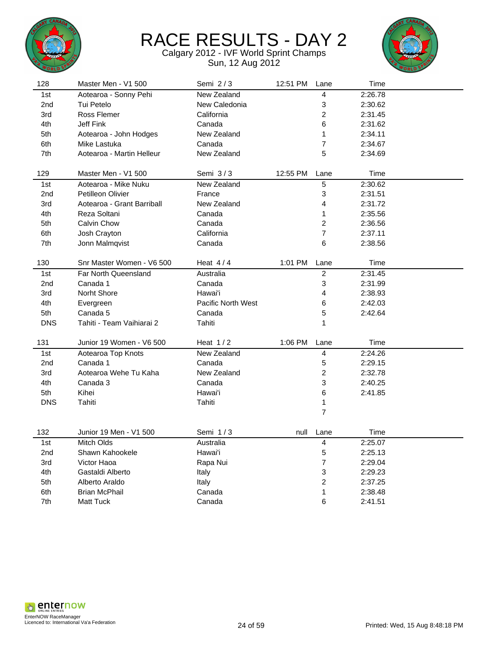



| 128             | Master Men - V1 500        | Semi $2/3$         | 12:51 PM | Lane                    | Time    |  |
|-----------------|----------------------------|--------------------|----------|-------------------------|---------|--|
| 1st             | Aotearoa - Sonny Pehi      | New Zealand        |          | 4                       | 2:26.78 |  |
| 2 <sub>nd</sub> | Tui Petelo                 | New Caledonia      |          | 3                       | 2:30.62 |  |
| 3rd             | <b>Ross Flemer</b>         | California         |          | $\overline{\mathbf{c}}$ | 2:31.45 |  |
| 4th             | Jeff Fink                  | Canada             |          | 6                       | 2:31.62 |  |
| 5th             | Aotearoa - John Hodges     | New Zealand        |          | 1                       | 2:34.11 |  |
| 6th             | Mike Lastuka               | Canada             |          | 7                       | 2:34.67 |  |
| 7th             | Aotearoa - Martin Helleur  | New Zealand        |          | 5                       | 2:34.69 |  |
|                 |                            |                    |          |                         |         |  |
| 129             | Master Men - V1 500        | Semi $3/3$         | 12:55 PM | Lane                    | Time    |  |
| 1st             | Aotearoa - Mike Nuku       | New Zealand        |          | 5                       | 2:30.62 |  |
| 2nd             | Petilleon Olivier          | France             |          | 3                       | 2:31.51 |  |
| 3rd             | Aotearoa - Grant Barriball | New Zealand        |          | 4                       | 2:31.72 |  |
| 4th             | Reza Soltani               | Canada             |          | 1                       | 2:35.56 |  |
| 5th             | Calvin Chow                | Canada             |          | 2                       | 2:36.56 |  |
| 6th             | Josh Crayton               | California         |          | $\overline{7}$          | 2:37.11 |  |
| 7th             | Jonn Malmqvist             | Canada             |          | 6                       | 2:38.56 |  |
|                 |                            |                    |          |                         |         |  |
| 130             | Snr Master Women - V6 500  | Heat $4/4$         | 1:01 PM  | Lane                    | Time    |  |
| 1st             | Far North Queensland       | Australia          |          | $\overline{c}$          | 2:31.45 |  |
| 2nd             | Canada 1                   | Canada             |          | 3                       | 2:31.99 |  |
| 3rd             | Norht Shore                | Hawai'i            |          | 4                       | 2:38.93 |  |
| 4th             | Evergreen                  | Pacific North West |          | 6                       | 2:42.03 |  |
| 5th             | Canada 5                   | Canada             |          | 5                       | 2:42.64 |  |
| <b>DNS</b>      | Tahiti - Team Vaihiarai 2  | Tahiti             |          | 1                       |         |  |
|                 |                            |                    |          |                         |         |  |
| 131             | Junior 19 Women - V6 500   | Heat $1/2$         | 1:06 PM  | Lane                    | Time    |  |
| 1st             | Aotearoa Top Knots         | New Zealand        |          | 4                       | 2:24.26 |  |
| 2nd             | Canada 1                   | Canada             |          | 5                       | 2:29.15 |  |
| 3rd             | Aotearoa Wehe Tu Kaha      | New Zealand        |          | $\overline{c}$          | 2:32.78 |  |
| 4th             | Canada 3                   | Canada             |          | 3                       | 2:40.25 |  |
| 5th             | Kihei                      | Hawai'i            |          | 6                       | 2:41.85 |  |
| <b>DNS</b>      | Tahiti                     | Tahiti             |          | 1                       |         |  |
|                 |                            |                    |          | $\overline{7}$          |         |  |
| 132             | Junior 19 Men - V1 500     | Semi 1/3           | null     | Lane                    | Time    |  |
|                 |                            |                    |          |                         |         |  |
| 1st             | <b>Mitch Olds</b>          | Australia          |          | 4                       | 2:25.07 |  |
| 2nd             | Shawn Kahookele            | Hawai'i            |          | 5                       | 2:25.13 |  |
| 3rd             | Victor Haoa                | Rapa Nui           |          | 7                       | 2:29.04 |  |
| 4th             | Gastaldi Alberto           | Italy              |          | 3                       | 2:29.23 |  |
| 5th             | Alberto Araldo             | Italy              |          | 2                       | 2:37.25 |  |
| 6th             | <b>Brian McPhail</b>       | Canada             |          | 1                       | 2:38.48 |  |
| 7th             | Matt Tuck                  | Canada             |          | 6                       | 2:41.51 |  |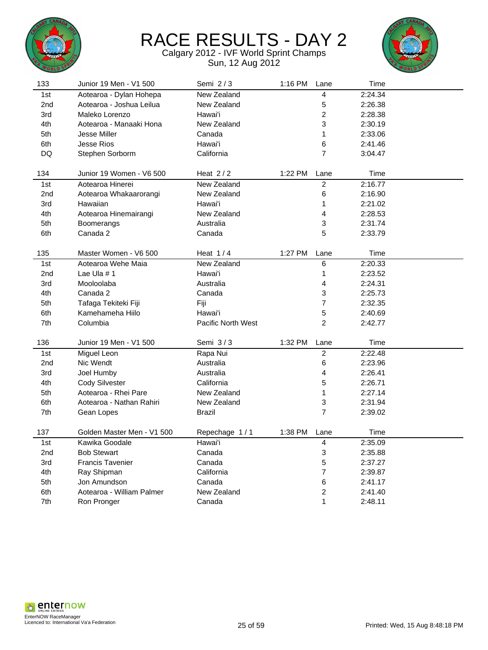



| 133             | Junior 19 Men - V1 500     | Semi 2/3                  | 1:16 PM | Lane                    | Time               |  |
|-----------------|----------------------------|---------------------------|---------|-------------------------|--------------------|--|
| 1st             | Aotearoa - Dylan Hohepa    | New Zealand               |         | 4                       | 2:24.34            |  |
| 2nd             | Aotearoa - Joshua Leilua   | New Zealand               |         | 5                       | 2:26.38            |  |
| 3rd             | Maleko Lorenzo             | Hawai'i                   |         | $\overline{c}$          | 2:28.38            |  |
| 4th             | Aotearoa - Manaaki Hona    | New Zealand               |         | 3                       | 2:30.19            |  |
| 5th             | Jesse Miller               | Canada                    |         | $\mathbf{1}$            | 2:33.06            |  |
| 6th             | <b>Jesse Rios</b>          | Hawai'i                   |         | 6                       | 2:41.46            |  |
| DQ              | Stephen Sorborm            | California                |         | 7                       | 3:04.47            |  |
|                 |                            |                           |         |                         |                    |  |
| 134             | Junior 19 Women - V6 500   | Heat $2/2$                | 1:22 PM | Lane                    | Time               |  |
| 1st             | Aotearoa Hinerei           | New Zealand               |         | $\overline{2}$          | 2:16.77            |  |
| 2 <sub>nd</sub> | Aotearoa Whakaarorangi     | New Zealand               |         | 6                       | 2:16.90            |  |
| 3rd             | Hawaiian                   | Hawai'i                   |         | $\mathbf{1}$            | 2:21.02            |  |
| 4th             | Aotearoa Hinemairangi      | New Zealand               |         | 4                       | 2:28.53            |  |
| 5th             | Boomerangs                 | Australia                 |         | 3                       | 2:31.74            |  |
| 6th             | Canada 2                   | Canada                    |         | 5                       | 2:33.79            |  |
| 135             | Master Women - V6 500      | Heat $1/4$                | 1:27 PM | Lane                    | Time               |  |
|                 | Aotearoa Wehe Maia         | New Zealand               |         | 6                       |                    |  |
| 1st             |                            | Hawai'i                   |         |                         | 2:20.33<br>2:23.52 |  |
| 2nd             | Lae Ula #1<br>Mooloolaba   | Australia                 |         | $\mathbf{1}$<br>4       |                    |  |
| 3rd             | Canada 2                   | Canada                    |         |                         | 2:24.31<br>2:25.73 |  |
| 4th             |                            |                           |         | 3<br>$\overline{7}$     | 2:32.35            |  |
| 5th             | Tafaga Tekiteki Fiji       | Fiji<br>Hawai'i           |         |                         |                    |  |
| 6th             | Kamehameha Hiilo           |                           |         | 5<br>$\overline{2}$     | 2:40.69            |  |
| 7th             | Columbia                   | <b>Pacific North West</b> |         |                         | 2:42.77            |  |
| 136             | Junior 19 Men - V1 500     | Semi 3/3                  | 1:32 PM | Lane                    | Time               |  |
| 1st             | <b>Miguel Leon</b>         | Rapa Nui                  |         | $\overline{2}$          | 2:22.48            |  |
| 2nd             | Nic Wendt                  | Australia                 |         | 6                       | 2:23.96            |  |
| 3rd             | Joel Humby                 | Australia                 |         | 4                       | 2:26.41            |  |
| 4th             | <b>Cody Silvester</b>      | California                |         | 5                       | 2:26.71            |  |
| 5th             | Aotearoa - Rhei Pare       | New Zealand               |         | 1                       | 2:27.14            |  |
| 6th             | Aotearoa - Nathan Rahiri   | New Zealand               |         | 3                       | 2:31.94            |  |
| 7th             | Gean Lopes                 | <b>Brazil</b>             |         | 7                       | 2:39.02            |  |
| 137             | Golden Master Men - V1 500 | Repechage 1/1             | 1:38 PM | Lane                    | Time               |  |
| 1st             | Kawika Goodale             | Hawai'i                   |         | 4                       | 2:35.09            |  |
| 2nd             | <b>Bob Stewart</b>         | Canada                    |         | 3                       | 2:35.88            |  |
| 3rd             | <b>Francis Tavenier</b>    | Canada                    |         | 5                       | 2:37.27            |  |
| 4th             | Ray Shipman                | California                |         | $\overline{7}$          | 2:39.87            |  |
| 5th             | Jon Amundson               | Canada                    |         | 6                       | 2:41.17            |  |
| 6th             | Aotearoa - William Palmer  | New Zealand               |         | $\overline{\mathbf{c}}$ | 2:41.40            |  |
| 7th             | Ron Pronger                | Canada                    |         | 1                       | 2:48.11            |  |
|                 |                            |                           |         |                         |                    |  |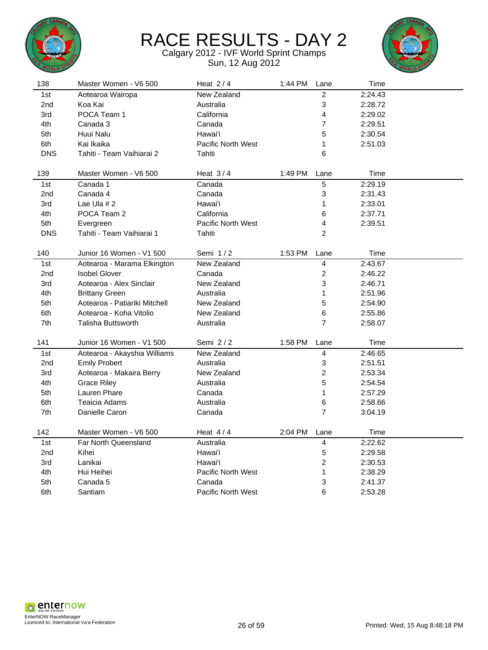



| 138             | Master Women - V6 500         | Heat $2/4$                | 1:44 PM | Lane           | Time    |  |
|-----------------|-------------------------------|---------------------------|---------|----------------|---------|--|
| 1st             | Aotearoa Wairopa              | New Zealand               |         | $\overline{c}$ | 2:24.43 |  |
| 2 <sub>nd</sub> | Koa Kai                       | Australia                 |         | 3              | 2:28.72 |  |
| 3rd             | POCA Team 1                   | California                |         | 4              | 2:29.02 |  |
| 4th             | Canada 3                      | Canada                    |         | $\overline{7}$ | 2:29.51 |  |
| 5th             | Huui Nalu                     | Hawai'i                   |         | 5              | 2:30.54 |  |
| 6th             | Kai Ikaika                    | <b>Pacific North West</b> |         | 1              | 2:51.03 |  |
| <b>DNS</b>      | Tahiti - Team Vaihiarai 2     | Tahiti                    |         | 6              |         |  |
| 139             | Master Women - V6 500         | Heat $3/4$                | 1:49 PM | Lane           | Time    |  |
| 1st             | Canada 1                      | Canada                    |         | 5              | 2:29.19 |  |
| 2nd             | Canada 4                      | Canada                    |         | 3              | 2:31.43 |  |
| 3rd             | Lae Ula $# 2$                 | Hawai'i                   |         | 1              | 2:33.01 |  |
| 4th             | POCA Team 2                   | California                |         | 6              | 2:37.71 |  |
| 5th             | Evergreen                     | <b>Pacific North West</b> |         | 4              | 2:39.51 |  |
| <b>DNS</b>      | Tahiti - Team Vaihiarai 1     | Tahiti                    |         | $\overline{c}$ |         |  |
| 140             | Junior 16 Women - V1 500      | Semi $1/2$                | 1:53 PM | Lane           | Time    |  |
| 1st             | Aotearoa - Marama Elkington   | New Zealand               |         | 4              | 2:43.67 |  |
| 2nd             | <b>Isobel Glover</b>          | Canada                    |         | $\overline{c}$ | 2:46.22 |  |
| 3rd             | Aotearoa - Alex Sinclair      | New Zealand               |         | 3              | 2:46.71 |  |
| 4th             | <b>Brittany Green</b>         | Australia                 |         | 1              | 2:51.96 |  |
| 5th             | Aotearoa - Patiariki Mitchell | New Zealand               |         | 5              | 2:54.90 |  |
| 6th             | Aotearoa - Koha Vitolio       | New Zealand               |         | 6              | 2:55.86 |  |
| 7th             | Talisha Buttsworth            | Australia                 |         | $\overline{7}$ | 2:58.07 |  |
| 141             | Junior 16 Women - V1 500      | Semi 2/2                  | 1:58 PM | Lane           | Time    |  |
| 1st             | Aotearoa - Akayshia Williams  | New Zealand               |         | 4              | 2:46.65 |  |
| 2nd             | <b>Emily Probert</b>          | Australia                 |         | 3              | 2:51.51 |  |
| 3rd             | Aotearoa - Makaira Berry      | New Zealand               |         | $\overline{c}$ | 2:53.34 |  |
| 4th             | <b>Grace Riley</b>            | Australia                 |         | 5              | 2:54.54 |  |
| 5th             | Lauren Phare                  | Canada                    |         | 1              | 2:57.29 |  |
| 6th             | Teaicia Adams                 | Australia                 |         | 6              | 2:58.66 |  |
| 7th             | Danielle Caron                | Canada                    |         | $\overline{7}$ | 3:04.19 |  |
| 142             | Master Women - V6 500         |                           |         |                |         |  |
|                 |                               | Heat $4/4$                | 2:04 PM | Lane           | Time    |  |
| 1st             | Far North Queensland          | Australia                 |         | 4              | 2:22.62 |  |
| 2nd             | Kihei                         | Hawai'i                   |         | 5              | 2:29.58 |  |
| 3rd             | Lanikai                       | Hawai'i                   |         | 2              | 2:30.53 |  |
| 4th             | Hui Heihei                    | Pacific North West        |         | 1              | 2:38.29 |  |
| 5th             | Canada 5                      | Canada                    |         | 3              | 2:41.37 |  |
| 6th             | Santiam                       | <b>Pacific North West</b> |         | 6              | 2:53.28 |  |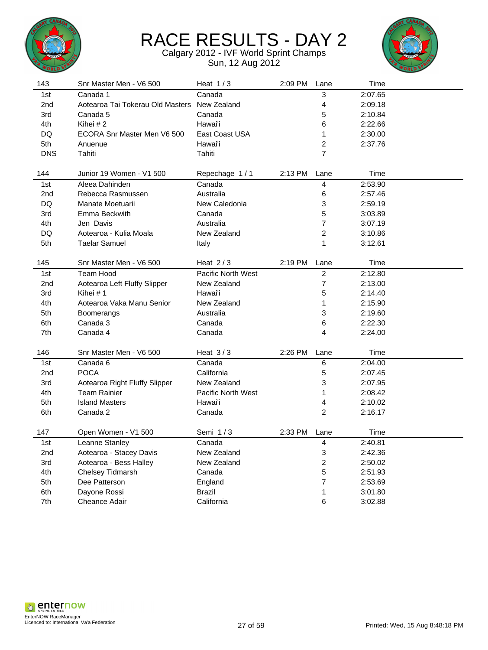



| 143        | Snr Master Men - V6 500          | Heat $1/3$                | 2:09 PM | Lane                      | Time    |  |
|------------|----------------------------------|---------------------------|---------|---------------------------|---------|--|
| 1st        | Canada 1                         | Canada                    |         | 3                         | 2:07.65 |  |
| 2nd        | Aotearoa Tai Tokerau Old Masters | New Zealand               |         | 4                         | 2:09.18 |  |
| 3rd        | Canada 5                         | Canada                    |         | 5                         | 2:10.84 |  |
| 4th        | Kihei #2                         | Hawai'i                   |         | 6                         | 2:22.66 |  |
| DQ         | ECORA Snr Master Men V6 500      | East Coast USA            |         | $\mathbf{1}$              | 2:30.00 |  |
| 5th        | Anuenue                          | Hawai'i                   |         | $\overline{c}$            | 2:37.76 |  |
| <b>DNS</b> | Tahiti                           | Tahiti                    |         | $\overline{7}$            |         |  |
|            |                                  |                           |         |                           |         |  |
| 144        | Junior 19 Women - V1 500         | Repechage 1/1             | 2:13 PM | Lane                      | Time    |  |
| 1st        | Aleea Dahinden                   | Canada                    |         | $\overline{\mathbf{4}}$   | 2:53.90 |  |
| 2nd        | Rebecca Rasmussen                | Australia                 |         | 6                         | 2:57.46 |  |
| DQ         | Manate Moetuarii                 | New Caledonia             |         | 3                         | 2:59.19 |  |
| 3rd        | Emma Beckwith                    | Canada                    |         | 5                         | 3:03.89 |  |
| 4th        | Jen Davis                        | Australia                 |         | $\overline{7}$            | 3:07.19 |  |
| DQ         | Aotearoa - Kulia Moala           | New Zealand               |         | $\overline{c}$            | 3:10.86 |  |
| 5th        | <b>Taelar Samuel</b>             | Italy                     |         | 1                         | 3:12.61 |  |
| 145        | Snr Master Men - V6 500          | Heat $2/3$                | 2:19 PM | Lane                      | Time    |  |
| 1st        | Team Hood                        | <b>Pacific North West</b> |         | $\overline{2}$            | 2:12.80 |  |
| 2nd        | Aotearoa Left Fluffy Slipper     | New Zealand               |         | $\boldsymbol{7}$          | 2:13.00 |  |
| 3rd        | Kihei # 1                        | Hawai'i                   |         | 5                         | 2:14.40 |  |
| 4th        | Aotearoa Vaka Manu Senior        | New Zealand               |         | 1                         | 2:15.90 |  |
| 5th        | Boomerangs                       | Australia                 |         | 3                         | 2:19.60 |  |
| 6th        | Canada 3                         | Canada                    |         | 6                         | 2:22.30 |  |
| 7th        | Canada 4                         | Canada                    |         | 4                         | 2:24.00 |  |
| 146        | Snr Master Men - V6 500          | Heat $3/3$                | 2:26 PM | Lane                      | Time    |  |
| 1st        | Canada 6                         | Canada                    |         | 6                         | 2:04.00 |  |
| 2nd        | <b>POCA</b>                      | California                |         | 5                         | 2:07.45 |  |
| 3rd        | Aotearoa Right Fluffy Slipper    | New Zealand               |         | 3                         | 2:07.95 |  |
| 4th        | <b>Team Rainier</b>              | <b>Pacific North West</b> |         | 1                         | 2:08.42 |  |
| 5th        | <b>Island Masters</b>            | Hawai'i                   |         | 4                         | 2:10.02 |  |
| 6th        | Canada 2                         | Canada                    |         | $\overline{c}$            | 2:16.17 |  |
| 147        | Open Women - V1 500              | Semi 1/3                  | 2:33 PM | Lane                      | Time    |  |
| 1st        | Leanne Stanley                   | Canada                    |         | $\overline{\mathbf{4}}$   | 2:40.81 |  |
| 2nd        | Aotearoa - Stacey Davis          | New Zealand               |         | $\ensuremath{\mathsf{3}}$ | 2:42.36 |  |
| 3rd        | Aotearoa - Bess Halley           | New Zealand               |         | 2                         | 2:50.02 |  |
| 4th        | Chelsey Tidmarsh                 | Canada                    |         | 5                         | 2:51.93 |  |
| 5th        | Dee Patterson                    | England                   |         | $\overline{7}$            | 2:53.69 |  |
| 6th        | Dayone Rossi                     | <b>Brazil</b>             |         | 1                         | 3:01.80 |  |
| 7th        | <b>Cheance Adair</b>             | California                |         | 6                         | 3:02.88 |  |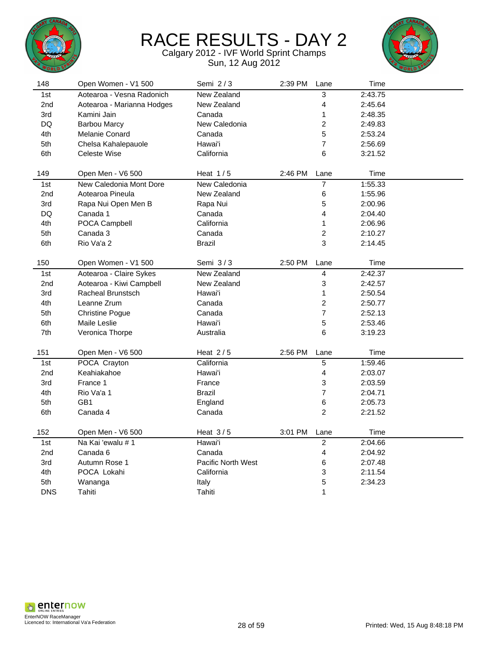



| 148 | Open Women - V1 500        | Semi 2/3           | 2:39 PM | Lane                    | Time    |  |
|-----|----------------------------|--------------------|---------|-------------------------|---------|--|
| 1st | Aotearoa - Vesna Radonich  | New Zealand        |         | 3                       | 2:43.75 |  |
| 2nd | Aotearoa - Marianna Hodges | New Zealand        |         | 4                       | 2:45.64 |  |
| 3rd | Kamini Jain                | Canada             |         | 1                       | 2:48.35 |  |
| DQ  | <b>Barbou Marcy</b>        | New Caledonia      |         | $\overline{\mathbf{c}}$ | 2:49.83 |  |
| 4th | Melanie Conard             | Canada             |         | 5                       | 2:53.24 |  |
| 5th | Chelsa Kahalepauole        | Hawai'i            |         | $\overline{7}$          | 2:56.69 |  |
| 6th | Celeste Wise               | California         |         | 6                       | 3:21.52 |  |
|     |                            |                    |         |                         |         |  |
| 149 | Open Men - V6 500          | Heat $1/5$         | 2:46 PM | Lane                    | Time    |  |
| 1st | New Caledonia Mont Dore    | New Caledonia      |         | $\boldsymbol{7}$        | 1:55.33 |  |
| 2nd | Aotearoa Pineula           | New Zealand        |         | 6                       | 1:55.96 |  |
| 3rd | Rapa Nui Open Men B        | Rapa Nui           |         | 5                       | 2:00.96 |  |
| DQ  | Canada 1                   | Canada             |         | 4                       | 2:04.40 |  |
| 4th | POCA Campbell              | California         |         | 1                       | 2:06.96 |  |
| 5th | Canada 3                   | Canada             |         | $\overline{c}$          | 2:10.27 |  |
| 6th | Rio Va'a 2                 | Brazil             |         | 3                       | 2:14.45 |  |
|     |                            |                    |         |                         |         |  |
| 150 | Open Women - V1 500        | Semi 3/3           | 2:50 PM | Lane                    | Time    |  |
| 1st | Aotearoa - Claire Sykes    | New Zealand        |         | 4                       | 2:42.37 |  |
| 2nd | Aotearoa - Kiwi Campbell   | New Zealand        |         | 3                       | 2:42.57 |  |
| 3rd | <b>Racheal Brunstsch</b>   | Hawai'i            |         | 1                       | 2:50.54 |  |
| 4th | Leanne Zrum                | Canada             |         | 2                       | 2:50.77 |  |
| 5th | <b>Christine Pogue</b>     | Canada             |         | $\overline{7}$          | 2:52.13 |  |
| 6th | Maile Leslie               | Hawai'i            |         | 5                       | 2:53.46 |  |
| 7th | Veronica Thorpe            | Australia          |         | 6                       | 3:19.23 |  |
|     |                            |                    |         |                         |         |  |
| 151 | Open Men - V6 500          | Heat $2/5$         | 2:56 PM | Lane                    | Time    |  |
| 1st | POCA Crayton               | California         |         | 5                       | 1:59.46 |  |
| 2nd | Keahiakahoe                | Hawai'i            |         | 4                       | 2:03.07 |  |
| 3rd | France 1                   | France             |         | 3                       | 2:03.59 |  |
| 4th | Rio Va'a 1                 | Brazil             |         | $\overline{7}$          | 2:04.71 |  |
| 5th | GB1                        | England            |         | 6                       | 2:05.73 |  |
| 6th | Canada 4                   | Canada             |         | $\overline{c}$          | 2:21.52 |  |
|     |                            |                    |         |                         |         |  |
| 152 | Open Men - V6 500          | Heat $3/5$         | 3:01 PM | Lane                    | Time    |  |
| 1st | Na Kai 'ewalu # 1          | Hawai'i            |         | $\sqrt{2}$              | 2:04.66 |  |
| 2nd | Canada 6                   | Canada             |         | 4                       | 2:04.92 |  |
| 3rd | Autumn Rose 1              | Pacific North West |         | 6                       | 2:07.48 |  |
| 4th | POCA Lokahi                | California         |         | 3                       | 2:11.54 |  |
| 5th | Wananga                    | Italy              |         | 5                       | 2:34.23 |  |
| DNS | Tahiti                     | Tahiti             |         | 1                       |         |  |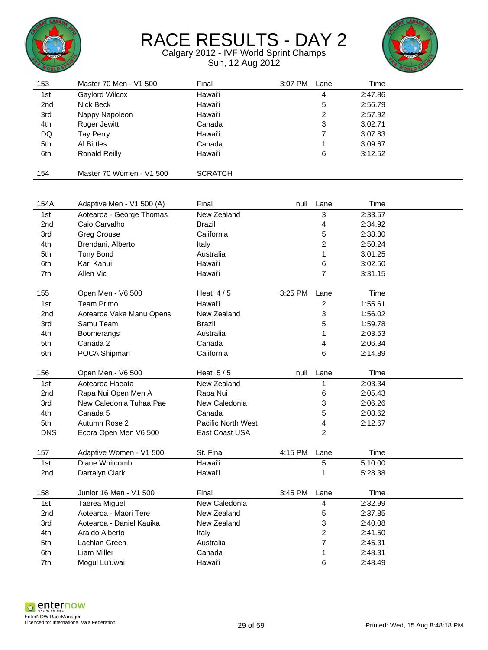



| 153        | Master 70 Men - V1 500    | Final                     | 3:07 PM | Lane           | Time    |  |
|------------|---------------------------|---------------------------|---------|----------------|---------|--|
| 1st        | Gaylord Wilcox            | Hawai'i                   |         | 4              | 2:47.86 |  |
| 2nd        | Nick Beck                 | Hawai'i                   |         | 5              | 2:56.79 |  |
| 3rd        | Nappy Napoleon            | Hawai'i                   |         | 2              | 2:57.92 |  |
| 4th        | Roger Jewitt              | Canada                    |         | 3              | 3:02.71 |  |
| DQ         | Tay Perry                 | Hawai'i                   |         | 7              | 3:07.83 |  |
| 5th        | Al Birtles                | Canada                    |         | 1              | 3:09.67 |  |
| 6th        | <b>Ronald Reilly</b>      | Hawai'i                   |         | 6              | 3:12.52 |  |
|            |                           |                           |         |                |         |  |
| 154        | Master 70 Women - V1 500  | <b>SCRATCH</b>            |         |                |         |  |
|            |                           |                           |         |                |         |  |
|            |                           |                           |         |                |         |  |
| 154A       | Adaptive Men - V1 500 (A) | Final                     | null    | Lane           | Time    |  |
| 1st        | Aotearoa - George Thomas  | New Zealand               |         | 3              | 2:33.57 |  |
| 2nd        | Caio Carvalho             | <b>Brazil</b>             |         | 4              | 2:34.92 |  |
| 3rd        | <b>Greg Crouse</b>        | California                |         | 5              | 2:38.80 |  |
| 4th        | Brendani, Alberto         | Italy                     |         | 2              | 2:50.24 |  |
| 5th        | <b>Tony Bond</b>          | Australia                 |         | 1              | 3:01.25 |  |
| 6th        | Karl Kahui                | Hawai'i                   |         | 6              | 3:02.50 |  |
| 7th        | Allen Vic                 | Hawai'i                   |         | 7              | 3:31.15 |  |
|            |                           |                           |         |                |         |  |
| 155        | Open Men - V6 500         | Heat $4/5$                | 3:25 PM | Lane           | Time    |  |
| 1st        | <b>Team Primo</b>         | Hawai'i                   |         | $\overline{c}$ | 1:55.61 |  |
| 2nd        | Aotearoa Vaka Manu Opens  | New Zealand               |         | 3              | 1:56.02 |  |
| 3rd        | Samu Team                 | <b>Brazil</b>             |         | 5              | 1:59.78 |  |
| 4th        | Boomerangs                | Australia                 |         | 1              | 2:03.53 |  |
| 5th        | Canada 2                  | Canada                    |         | 4              | 2:06.34 |  |
| 6th        | POCA Shipman              | California                |         | 6              | 2:14.89 |  |
|            |                           |                           |         |                |         |  |
| 156        | Open Men - V6 500         | Heat $5/5$                | null    | Lane           | Time    |  |
| 1st        | Aotearoa Haeata           | New Zealand               |         | 1              | 2:03.34 |  |
| 2nd        | Rapa Nui Open Men A       | Rapa Nui                  |         | 6              | 2:05.43 |  |
| 3rd        | New Caledonia Tuhaa Pae   | New Caledonia             |         | 3              | 2:06.26 |  |
| 4th        | Canada 5                  | Canada                    |         | 5              | 2:08.62 |  |
| 5th        | Autumn Rose 2             | <b>Pacific North West</b> |         | 4              | 2:12.67 |  |
| <b>DNS</b> | Ecora Open Men V6 500     | East Coast USA            |         | $\overline{c}$ |         |  |
|            |                           |                           |         |                |         |  |
| 157        | Adaptive Women - V1 500   | St. Final                 | 4:15 PM | Lane           | Time    |  |
| 1st        | Diane Whitcomb            | Hawai'i                   |         | 5              | 5:10.00 |  |
| 2nd        | Darralyn Clark            | Hawai'i                   |         | 1              | 5:28.38 |  |
|            |                           |                           |         |                |         |  |
| 158        | Junior 16 Men - V1 500    | Final                     | 3:45 PM | Lane           | Time    |  |
| 1st        | <b>Taerea Miguel</b>      | New Caledonia             |         | 4              | 2:32.99 |  |
| 2nd        | Aotearoa - Maori Tere     | New Zealand               |         | 5              | 2:37.85 |  |
| 3rd        | Aotearoa - Daniel Kauika  | New Zealand               |         | 3              | 2:40.08 |  |
| 4th        | Araldo Alberto            | Italy                     |         | 2              | 2:41.50 |  |
| 5th        | Lachlan Green             | Australia                 |         | 7              | 2:45.31 |  |
| 6th        | Liam Miller               | Canada                    |         | 1              | 2:48.31 |  |
| 7th        | Mogul Lu'uwai             | Hawai'i                   |         | 6              | 2:48.49 |  |
|            |                           |                           |         |                |         |  |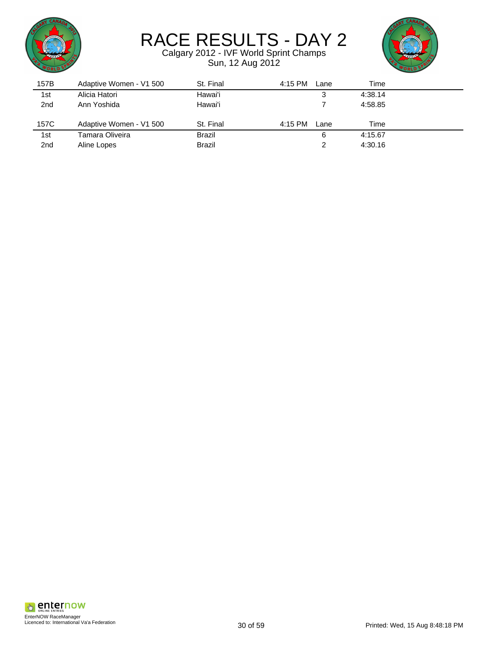



| 157B            | Adaptive Women - V1 500 | St. Final     | 4:15 PM<br>Lane | Time    |  |
|-----------------|-------------------------|---------------|-----------------|---------|--|
| 1st             | Alicia Hatori           | Hawai'i       | 3               | 4:38.14 |  |
| 2 <sub>nd</sub> | Ann Yoshida             | Hawai'i       |                 | 4:58.85 |  |
|                 |                         |               |                 |         |  |
| 157C            | Adaptive Women - V1 500 | St. Final     | 4:15 PM<br>Lane | Time    |  |
| 1st             | Tamara Oliveira         | <b>Brazil</b> | 6               | 4:15.67 |  |
| 2 <sub>nd</sub> | Aline Lopes             | <b>Brazil</b> | 2               | 4:30.16 |  |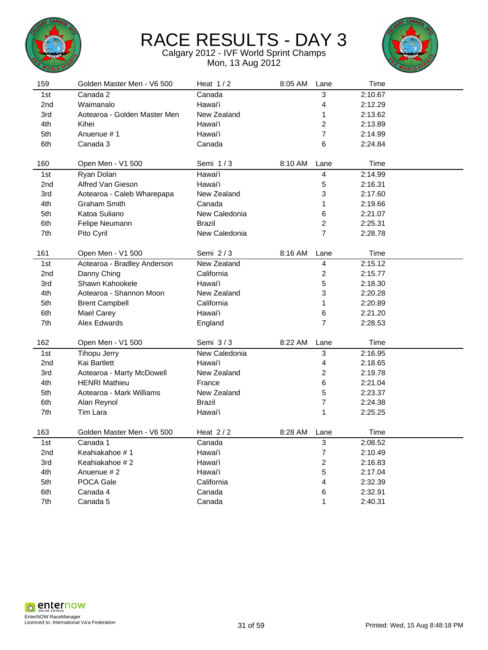



| 159<br>Heat $1/2$<br>Golden Master Men - V6 500<br>8:05 AM<br>Lane | Time    |
|--------------------------------------------------------------------|---------|
| Canada 2<br>3<br>1st<br>Canada                                     | 2:10.67 |
| 4<br>2nd<br>Waimanalo<br>Hawai'i                                   | 2:12.29 |
| Aotearoa - Golden Master Men<br>New Zealand<br>$\mathbf{1}$<br>3rd | 2:13.62 |
| $\overline{c}$<br>4th<br>Kihei<br>Hawai'i                          | 2:13.89 |
| 7<br>5th<br>Anuenue #1<br>Hawai'i                                  | 2:14.99 |
| Canada 3<br>6<br>6th<br>Canada                                     | 2:24.84 |
|                                                                    |         |
| 160<br>Open Men - V1 500<br>Semi 1/3<br>8:10 AM<br>Lane            | Time    |
| 4<br>Ryan Dolan<br>Hawai'i<br>1st                                  | 2:14.99 |
| 5<br>2nd<br>Alfred Van Gieson<br>Hawai'i                           | 2:16.31 |
| 3<br>New Zealand<br>3rd<br>Aotearoa - Caleb Wharepapa              | 2:17.60 |
| 1<br>4th<br><b>Graham Smith</b><br>Canada                          | 2:19.66 |
| 6<br>Katoa Suliano<br>New Caledonia<br>5th                         | 2:21.07 |
| $\overline{c}$<br>6th<br>Felipe Neumann<br><b>Brazil</b>           | 2:25.31 |
| $\overline{7}$<br>7th<br>New Caledonia<br>Pito Cyril               | 2:28.78 |
| 161<br>Semi $2/3$<br>8:16 AM<br>Open Men - V1 500<br>Lane          | Time    |
| New Zealand<br>4<br>1st<br>Aotearoa - Bradley Anderson             | 2:15.12 |
| $\overline{c}$<br>California<br>2 <sub>nd</sub><br>Danny Ching     | 2:15.77 |
| 5<br>Shawn Kahookele<br>3rd<br>Hawai'i                             | 2:18.30 |
| 4th<br>Aotearoa - Shannon Moon<br>New Zealand<br>3                 | 2:20.28 |
| $\mathbf{1}$<br>5th<br><b>Brent Campbell</b><br>California         | 2:20.89 |
| 6th<br>Hawai'i<br>6<br><b>Mael Carey</b>                           | 2:21.20 |
| $\overline{7}$<br>7th<br>Alex Edwards<br>England                   | 2:28.53 |
|                                                                    |         |
| 162<br>Open Men - V1 500<br>Semi $3/3$<br>8:22 AM<br>Lane          | Time    |
| 3<br><b>Tihopu Jerry</b><br>New Caledonia<br>1st                   | 2:16.95 |
| 4<br>2 <sub>nd</sub><br>Kai Bartlett<br>Hawai'i                    | 2:18.65 |
| $\overline{c}$<br>3rd<br>Aotearoa - Marty McDowell<br>New Zealand  | 2:19.78 |
| 6<br>4th<br><b>HENRI Mathieu</b><br>France                         | 2:21.04 |
| 5<br>5th<br>Aotearoa - Mark Williams<br>New Zealand                | 2:23.37 |
| 7<br>6th<br><b>Brazil</b><br>Alan Reynol                           | 2:24.38 |
| $\mathbf{1}$<br>7th<br>Tim Lara<br>Hawai'i                         | 2:25.25 |
| Golden Master Men - V6 500<br>Heat $2/2$<br>163<br>8:28 AM<br>Lane | Time    |
| 3<br>Canada 1<br>Canada<br>1st                                     | 2:08.52 |
| 7<br>2 <sub>nd</sub><br>Keahiakahoe #1<br>Hawai'i                  | 2:10.49 |
| $\overline{c}$<br>Keahiakahoe #2<br>Hawai'i<br>3rd                 | 2:16.83 |
| 5<br>4th<br>Anuenue #2<br>Hawai'i                                  | 2:17.04 |
| POCA Gale<br>California<br>4<br>5th                                | 2:32.39 |
| 6<br>6th<br>Canada 4<br>Canada                                     | 2:32.91 |
| $\mathbf{1}$<br>7th<br>Canada 5<br>Canada                          |         |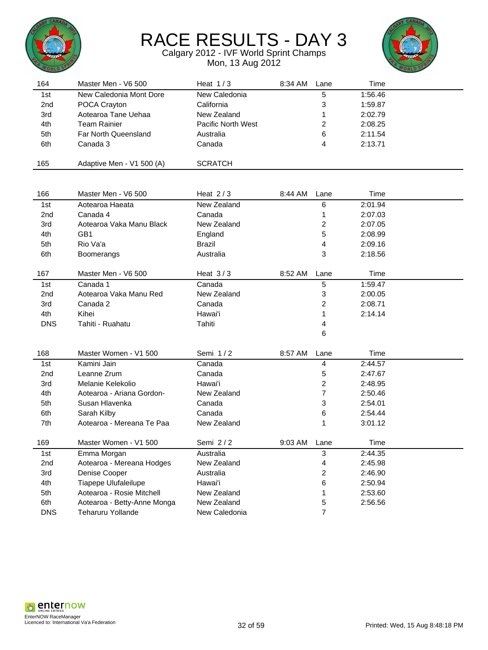



| 164             | Master Men - V6 500         | Heat $1/3$         | 8:34 AM | Lane                    | Time    |  |
|-----------------|-----------------------------|--------------------|---------|-------------------------|---------|--|
| 1st             | New Caledonia Mont Dore     | New Caledonia      |         | 5                       | 1:56.46 |  |
| 2 <sub>nd</sub> | POCA Crayton                | California         |         | 3                       | 1:59.87 |  |
| 3rd             | Aotearoa Tane Uehaa         | New Zealand        |         | 1                       | 2:02.79 |  |
| 4th             | <b>Team Rainier</b>         | Pacific North West |         | 2                       | 2:08.25 |  |
| 5th             | Far North Queensland        | Australia          |         | 6                       | 2:11.54 |  |
| 6th             | Canada 3                    | Canada             |         | 4                       | 2:13.71 |  |
|                 |                             |                    |         |                         |         |  |
| 165             | Adaptive Men - V1 500 (A)   | <b>SCRATCH</b>     |         |                         |         |  |
|                 |                             |                    |         |                         |         |  |
| 166             | Master Men - V6 500         | Heat $2/3$         | 8:44 AM | Lane                    | Time    |  |
| 1st             | Aotearoa Haeata             | New Zealand        |         | 6                       | 2:01.94 |  |
| 2 <sub>nd</sub> | Canada 4                    | Canada             |         | 1                       | 2:07.03 |  |
| 3rd             | Aotearoa Vaka Manu Black    | New Zealand        |         | 2                       | 2:07.05 |  |
| 4th             | GB1                         | England            |         | 5                       | 2:08.99 |  |
| 5th             | Rio Va'a                    | <b>Brazil</b>      |         | 4                       | 2:09.16 |  |
| 6th             | <b>Boomerangs</b>           | Australia          |         | 3                       | 2:18.56 |  |
|                 |                             |                    |         |                         |         |  |
| 167             | Master Men - V6 500         | Heat $3/3$         | 8:52 AM | Lane                    | Time    |  |
| 1st             | Canada 1                    | Canada             |         | 5                       | 1:59.47 |  |
| 2nd             | Aotearoa Vaka Manu Red      | New Zealand        |         | 3                       | 2:00.05 |  |
| 3rd             | Canada 2                    | Canada             |         | $\overline{\mathbf{c}}$ | 2:08.71 |  |
| 4th             | Kihei                       | Hawai'i            |         | 1                       | 2:14.14 |  |
| <b>DNS</b>      | Tahiti - Ruahatu            | Tahiti             |         | 4                       |         |  |
|                 |                             |                    |         | 6                       |         |  |
|                 |                             |                    |         |                         |         |  |
| 168             | Master Women - V1 500       | Semi 1/2           | 8:57 AM | Lane                    | Time    |  |
| 1st             | Kamini Jain                 | Canada             |         | 4                       | 2:44.57 |  |
| 2nd             | Leanne Zrum                 | Canada             |         | 5                       | 2:47.67 |  |
| 3rd             | Melanie Kelekolio           | Hawai'i            |         | $\overline{\mathbf{c}}$ | 2:48.95 |  |
| 4th             | Aotearoa - Ariana Gordon-   | New Zealand        |         | 7                       | 2:50.46 |  |
| 5th             | Susan Hlavenka              | Canada             |         | 3                       | 2:54.01 |  |
| 6th             | Sarah Kilby                 | Canada             |         | 6                       | 2:54.44 |  |
| 7th             | Aotearoa - Mereana Te Paa   | New Zealand        |         | 1                       | 3:01.12 |  |
| 169             | Master Women - V1 500       | Semi 2/2           | 9:03 AM | Lane                    | Time    |  |
| 1st             | Emma Morgan                 | Australia          |         | 3                       | 2:44.35 |  |
| 2nd             | Aotearoa - Mereana Hodges   | New Zealand        |         | 4                       | 2:45.98 |  |
| 3rd             | Denise Cooper               | Australia          |         | 2                       | 2:46.90 |  |
| 4th             | Tiapepe Ulufaleilupe        | Hawai'i            |         | 6                       | 2:50.94 |  |
| 5th             | Aotearoa - Rosie Mitchell   | New Zealand        |         | 1                       | 2:53.60 |  |
| 6th             | Aotearoa - Betty-Anne Monga | New Zealand        |         | 5                       | 2:56.56 |  |
| <b>DNS</b>      | Teharuru Yollande           | New Caledonia      |         | 7                       |         |  |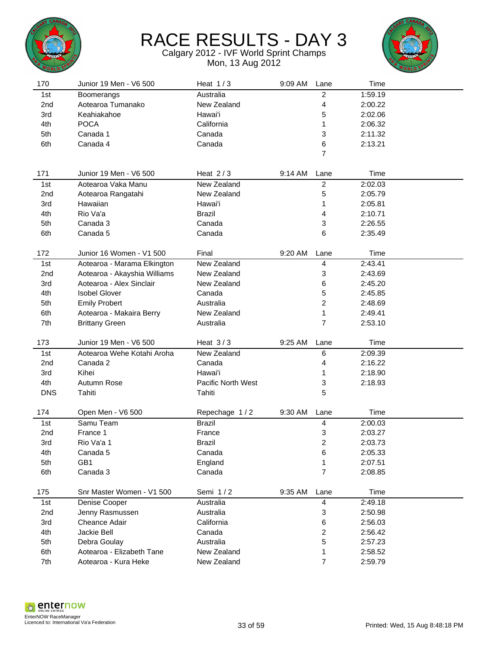



| 170             | Junior 19 Men - V6 500         | Heat $1/3$                     | 9:09 AM | Lane                    | Time            |  |
|-----------------|--------------------------------|--------------------------------|---------|-------------------------|-----------------|--|
| 1st             | <b>Boomerangs</b>              | Australia                      |         | $\overline{c}$          | 1:59.19         |  |
| 2 <sub>nd</sub> | Aotearoa Tumanako              | New Zealand                    |         | 4                       | 2:00.22         |  |
| 3rd             | Keahiakahoe                    | Hawai'i                        |         | 5                       | 2:02.06         |  |
| 4th             | <b>POCA</b>                    | California                     |         | 1                       | 2:06.32         |  |
| 5th             | Canada 1                       | Canada                         |         | 3                       | 2:11.32         |  |
| 6th             | Canada 4                       | Canada                         |         | 6                       | 2:13.21         |  |
|                 |                                |                                |         | $\overline{7}$          |                 |  |
|                 |                                |                                |         |                         |                 |  |
| 171             | Junior 19 Men - V6 500         | Heat $2/3$                     | 9:14 AM | Lane                    | Time            |  |
| 1st             | Aotearoa Vaka Manu             | New Zealand                    |         | $\overline{c}$          | 2:02.03         |  |
| 2 <sub>nd</sub> | Aotearoa Rangatahi             | New Zealand                    |         | 5                       | 2:05.79         |  |
| 3rd             | Hawaiian                       | Hawai'i                        |         | 1                       | 2:05.81         |  |
| 4th             | Rio Va'a                       | <b>Brazil</b>                  |         | 4                       | 2:10.71         |  |
| 5th             | Canada 3                       | Canada                         |         | 3                       | 2:26.55         |  |
| 6th             | Canada 5                       | Canada                         |         | 6                       | 2:35.49         |  |
|                 |                                |                                |         |                         |                 |  |
| 172             | Junior 16 Women - V1 500       | Final                          | 9:20 AM | Lane                    | Time            |  |
| 1st             | Aotearoa - Marama Elkington    | New Zealand                    |         | 4                       | 2:43.41         |  |
| 2 <sub>nd</sub> | Aotearoa - Akayshia Williams   | New Zealand                    |         | 3                       | 2:43.69         |  |
| 3rd             | Aotearoa - Alex Sinclair       | New Zealand                    |         | 6                       | 2:45.20         |  |
| 4th             | <b>Isobel Glover</b>           | Canada                         |         | 5                       | 2:45.85         |  |
| 5th             | <b>Emily Probert</b>           | Australia                      |         | 2                       | 2:48.69         |  |
| 6th             | Aotearoa - Makaira Berry       | New Zealand                    |         | 1                       | 2:49.41         |  |
| 7th             | <b>Brittany Green</b>          | Australia                      |         | 7                       | 2:53.10         |  |
|                 |                                |                                |         |                         |                 |  |
| 173             | Junior 19 Men - V6 500         | Heat $3/3$                     | 9:25 AM | Lane                    | Time            |  |
| 1st             | Aotearoa Wehe Kotahi Aroha     | New Zealand                    |         | 6                       | 2:09.39         |  |
| 2 <sub>nd</sub> | Canada 2                       | Canada                         |         | 4                       | 2:16.22         |  |
| 3rd             | Kihei                          | Hawai'i                        |         | 1                       | 2:18.90         |  |
| 4th             | Autumn Rose                    | Pacific North West             |         | 3                       | 2:18.93         |  |
| <b>DNS</b>      | Tahiti                         | Tahiti                         |         | 5                       |                 |  |
|                 |                                |                                |         |                         |                 |  |
| 174<br>1st      | Open Men - V6 500<br>Samu Team | Repechage 1/2<br><b>Brazil</b> | 9:30 AM | Lane                    | Time<br>2:00.03 |  |
|                 |                                |                                |         | 4                       | 2:03.27         |  |
| 2nd             | France 1                       | France                         |         | 3<br>$\overline{c}$     |                 |  |
| 3rd             | Rio Va'a 1                     | <b>Brazil</b>                  |         |                         | 2:03.73         |  |
| 4th             | Canada 5                       | Canada                         |         | 6                       | 2:05.33         |  |
| 5th             | GB1                            | England                        |         | 1<br>$\overline{7}$     | 2:07.51         |  |
| 6th             | Canada 3                       | Canada                         |         |                         | 2:08.85         |  |
| 175             | Snr Master Women - V1 500      | Semi 1/2                       | 9:35 AM | Lane                    | Time            |  |
| 1st             | Denise Cooper                  | Australia                      |         | $\overline{\mathbf{4}}$ | 2:49.18         |  |
| 2nd             | Jenny Rasmussen                | Australia                      |         | 3                       | 2:50.98         |  |
| 3rd             | Cheance Adair                  | California                     |         | 6                       | 2:56.03         |  |
| 4th             | Jackie Bell                    | Canada                         |         | $\overline{\mathbf{c}}$ | 2:56.42         |  |
| 5th             | Debra Goulay                   | Australia                      |         | 5                       | 2:57.23         |  |
| 6th             | Aotearoa - Elizabeth Tane      | New Zealand                    |         | 1                       | 2:58.52         |  |
| 7th             | Aotearoa - Kura Heke           | New Zealand                    |         | $\overline{7}$          | 2:59.79         |  |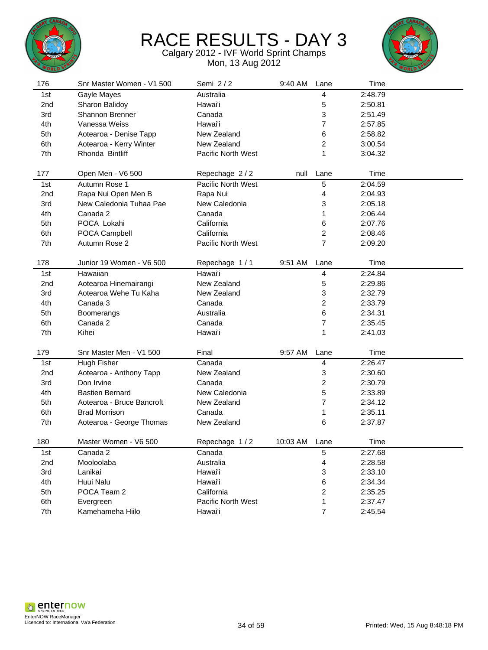



| 176             | Snr Master Women - V1 500 | Semi 2/2           | 9:40 AM  | Lane                    | Time    |  |
|-----------------|---------------------------|--------------------|----------|-------------------------|---------|--|
| 1st             | Gayle Mayes               | Australia          |          | 4                       | 2:48.79 |  |
| 2nd             | Sharon Balidoy            | Hawai'i            |          | 5                       | 2:50.81 |  |
| 3rd             | Shannon Brenner           | Canada             |          | 3                       | 2:51.49 |  |
| 4th             | Vanessa Weiss             | Hawai'i            |          | 7                       | 2:57.85 |  |
| 5th             | Aotearoa - Denise Tapp    | New Zealand        |          | 6                       | 2:58.82 |  |
| 6th             | Aotearoa - Kerry Winter   | New Zealand        |          | 2                       | 3:00.54 |  |
| 7th             | Rhonda Bintliff           | Pacific North West |          | 1                       | 3:04.32 |  |
|                 |                           |                    |          |                         |         |  |
| 177             | Open Men - V6 500         | Repechage 2/2      | null     | Lane                    | Time    |  |
| 1st             | Autumn Rose 1             | Pacific North West |          | 5                       | 2:04.59 |  |
| 2nd             | Rapa Nui Open Men B       | Rapa Nui           |          | 4                       | 2:04.93 |  |
| 3rd             | New Caledonia Tuhaa Pae   | New Caledonia      |          | 3                       | 2:05.18 |  |
| 4th             | Canada 2                  | Canada             |          | 1                       | 2:06.44 |  |
| 5th             | POCA Lokahi               | California         |          | 6                       | 2:07.76 |  |
| 6th             | POCA Campbell             | California         |          | 2                       | 2:08.46 |  |
| 7th             | Autumn Rose 2             | Pacific North West |          | $\overline{7}$          | 2:09.20 |  |
|                 |                           |                    |          |                         |         |  |
| 178             | Junior 19 Women - V6 500  | Repechage 1/1      | 9:51 AM  | Lane                    | Time    |  |
| 1st             | Hawaiian                  | Hawai'i            |          | $\overline{\mathbf{4}}$ | 2:24.84 |  |
| 2 <sub>nd</sub> | Aotearoa Hinemairangi     | New Zealand        |          | 5                       | 2:29.86 |  |
| 3rd             | Aotearoa Wehe Tu Kaha     | New Zealand        |          | 3                       | 2:32.79 |  |
| 4th             | Canada 3                  | Canada             |          | 2                       | 2:33.79 |  |
| 5th             | Boomerangs                | Australia          |          | 6                       | 2:34.31 |  |
| 6th             | Canada 2                  | Canada             |          | $\overline{7}$          | 2:35.45 |  |
| 7th             | Kihei                     | Hawai'i            |          | 1                       | 2:41.03 |  |
|                 |                           |                    |          |                         |         |  |
| 179             | Snr Master Men - V1 500   | Final              | 9:57 AM  | Lane                    | Time    |  |
| 1st             | Hugh Fisher               | Canada             |          | 4                       | 2:26.47 |  |
| 2nd             | Aotearoa - Anthony Tapp   | New Zealand        |          | 3                       | 2:30.60 |  |
| 3rd             | Don Irvine                | Canada             |          | 2                       | 2:30.79 |  |
| 4th             | <b>Bastien Bernard</b>    | New Caledonia      |          | 5                       | 2:33.89 |  |
| 5th             | Aotearoa - Bruce Bancroft | New Zealand        |          | 7                       | 2:34.12 |  |
| 6th             | <b>Brad Morrison</b>      | Canada             |          | 1                       | 2:35.11 |  |
| 7th             | Aotearoa - George Thomas  | New Zealand        |          | 6                       | 2:37.87 |  |
|                 |                           |                    |          |                         |         |  |
| 180             | Master Women - V6 500     | Repechage 1/2      | 10:03 AM | Lane                    | Time    |  |
| 1st             | Canada 2                  | Canada             |          | 5                       | 2:27.68 |  |
| 2nd             | Mooloolaba                | Australia          |          | 4                       | 2:28.58 |  |
| 3rd             | Lanikai                   | Hawai'i            |          | 3                       | 2:33.10 |  |
| 4th             | Huui Nalu                 | Hawai'i            |          | 6                       | 2:34.34 |  |
| 5th             | POCA Team 2               | California         |          | $\boldsymbol{2}$        | 2:35.25 |  |
| 6th             | Evergreen                 | Pacific North West |          | 1                       | 2:37.47 |  |
| 7th             | Kamehameha Hiilo          | Hawai'i            |          | $\overline{7}$          | 2:45.54 |  |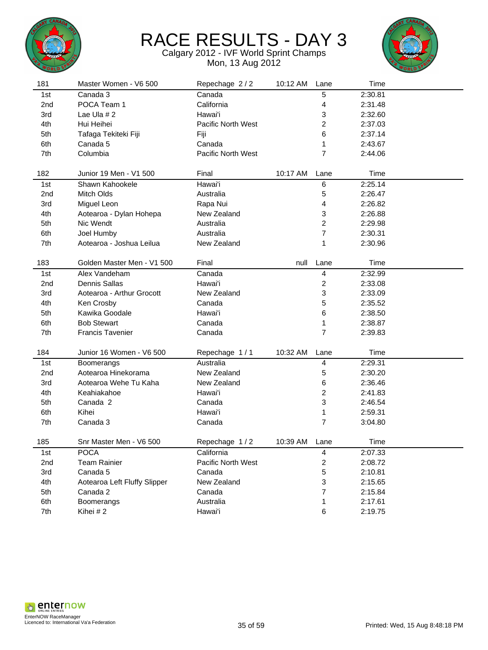



| 181             | Master Women - V6 500        | Repechage 2/2      | 10:12 AM | Lane                    | Time    |  |
|-----------------|------------------------------|--------------------|----------|-------------------------|---------|--|
| 1st             | Canada 3                     | Canada             |          | 5                       | 2:30.81 |  |
| 2nd             | POCA Team 1                  | California         |          | 4                       | 2:31.48 |  |
| 3rd             | Lae Ula $# 2$                | Hawai'i            |          | 3                       | 2:32.60 |  |
| 4th             | Hui Heihei                   | Pacific North West |          | 2                       | 2:37.03 |  |
| 5th             | Tafaga Tekiteki Fiji         | Fiji               |          | 6                       | 2:37.14 |  |
| 6th             | Canada 5                     | Canada             |          | 1                       | 2:43.67 |  |
| 7th             | Columbia                     | Pacific North West |          | $\overline{7}$          | 2:44.06 |  |
|                 |                              |                    |          |                         |         |  |
| 182             | Junior 19 Men - V1 500       | Final              | 10:17 AM | Lane                    | Time    |  |
| 1st             | Shawn Kahookele              | Hawai'i            |          | 6                       | 2:25.14 |  |
| 2 <sub>nd</sub> | Mitch Olds                   | Australia          |          | 5                       | 2:26.47 |  |
| 3rd             | Miguel Leon                  | Rapa Nui           |          | 4                       | 2:26.82 |  |
| 4th             | Aotearoa - Dylan Hohepa      | New Zealand        |          | 3                       | 2:26.88 |  |
| 5th             | Nic Wendt                    | Australia          |          | $\overline{c}$          | 2:29.98 |  |
| 6th             | Joel Humby                   | Australia          |          | $\overline{7}$          | 2:30.31 |  |
| 7th             | Aotearoa - Joshua Leilua     | New Zealand        |          | 1                       | 2:30.96 |  |
|                 |                              |                    |          |                         |         |  |
| 183             | Golden Master Men - V1 500   | Final              | null     | Lane                    | Time    |  |
| 1st             | Alex Vandeham                | Canada             |          | 4                       | 2:32.99 |  |
| 2 <sub>nd</sub> | <b>Dennis Sallas</b>         | Hawai'i            |          | $\overline{\mathbf{c}}$ | 2:33.08 |  |
| 3rd             | Aotearoa - Arthur Grocott    | New Zealand        |          | 3                       | 2:33.09 |  |
| 4th             | Ken Crosby                   | Canada             |          | 5                       | 2:35.52 |  |
| 5th             | Kawika Goodale               | Hawai'i            |          | 6                       | 2:38.50 |  |
| 6th             | <b>Bob Stewart</b>           | Canada             |          | 1                       | 2:38.87 |  |
| 7th             | <b>Francis Tavenier</b>      | Canada             |          | $\overline{7}$          | 2:39.83 |  |
|                 |                              |                    |          |                         |         |  |
| 184             | Junior 16 Women - V6 500     | Repechage 1/1      | 10:32 AM | Lane                    | Time    |  |
| 1st             | Boomerangs                   | Australia          |          | 4                       | 2:29.31 |  |
| 2 <sub>nd</sub> | Aotearoa Hinekorama          | New Zealand        |          | 5                       | 2:30.20 |  |
| 3rd             | Aotearoa Wehe Tu Kaha        | New Zealand        |          | 6                       | 2:36.46 |  |
| 4th             | Keahiakahoe                  | Hawai'i            |          | $\overline{\mathbf{c}}$ | 2:41.83 |  |
| 5th             | Canada 2                     | Canada             |          | 3                       | 2:46.54 |  |
| 6th             | Kihei                        | Hawai'i            |          | 1                       | 2:59.31 |  |
| 7th             | Canada 3                     | Canada             |          | $\overline{7}$          | 3:04.80 |  |
| 185             | Snr Master Men - V6 500      | Repechage 1/2      | 10:39 AM | Lane                    | Time    |  |
| 1st             | <b>POCA</b>                  | California         |          | $\overline{\mathbf{4}}$ | 2:07.33 |  |
| 2nd             | <b>Team Rainier</b>          | Pacific North West |          | $\overline{\mathbf{c}}$ | 2:08.72 |  |
| 3rd             | Canada 5                     | Canada             |          | 5                       | 2:10.81 |  |
| 4th             | Aotearoa Left Fluffy Slipper | New Zealand        |          | 3                       | 2:15.65 |  |
| 5th             | Canada 2                     | Canada             |          | 7                       | 2:15.84 |  |
| 6th             | Boomerangs                   | Australia          |          | 1                       | 2:17.61 |  |
| 7th             | Kihei #2                     | Hawai'i            |          | 6                       | 2:19.75 |  |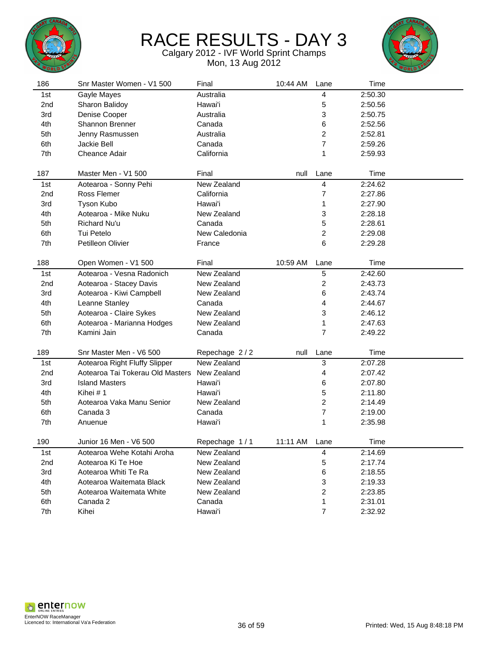



| 186             | Snr Master Women - V1 500        | Final         | 10:44 AM | Lane                    | Time    |  |
|-----------------|----------------------------------|---------------|----------|-------------------------|---------|--|
| 1st             | Gayle Mayes                      | Australia     |          | 4                       | 2:50.30 |  |
| 2nd             | Sharon Balidoy                   | Hawai'i       |          | 5                       | 2:50.56 |  |
| 3rd             | Denise Cooper                    | Australia     |          | 3                       | 2:50.75 |  |
| 4th             | Shannon Brenner                  | Canada        |          | 6                       | 2:52.56 |  |
| 5th             | Jenny Rasmussen                  | Australia     |          | $\overline{c}$          | 2:52.81 |  |
| 6th             | Jackie Bell                      | Canada        |          | 7                       | 2:59.26 |  |
| 7th             | Cheance Adair                    | California    |          | 1                       | 2:59.93 |  |
|                 |                                  |               |          |                         |         |  |
| 187             | Master Men - V1 500              | Final         | null     | Lane                    | Time    |  |
| 1st             | Aotearoa - Sonny Pehi            | New Zealand   |          | 4                       | 2:24.62 |  |
| 2nd             | Ross Flemer                      | California    |          | 7                       | 2:27.86 |  |
| 3rd             | Tyson Kubo                       | Hawai'i       |          | 1                       | 2:27.90 |  |
| 4th             | Aotearoa - Mike Nuku             | New Zealand   |          | 3                       | 2:28.18 |  |
| 5th             | Richard Nu'u                     | Canada        |          | 5                       | 2:28.61 |  |
| 6th             | Tui Petelo                       | New Caledonia |          | $\overline{\mathbf{c}}$ | 2:29.08 |  |
| 7th             | Petilleon Olivier                | France        |          | 6                       | 2:29.28 |  |
|                 |                                  |               |          |                         |         |  |
| 188             | Open Women - V1 500              | Final         | 10:59 AM | Lane                    | Time    |  |
| 1st             | Aotearoa - Vesna Radonich        | New Zealand   |          | $\mathbf 5$             | 2:42.60 |  |
| 2nd             | Aotearoa - Stacey Davis          | New Zealand   |          | 2                       | 2:43.73 |  |
| 3rd             | Aotearoa - Kiwi Campbell         | New Zealand   |          | 6                       | 2:43.74 |  |
| 4th             | Leanne Stanley                   | Canada        |          | 4                       | 2:44.67 |  |
| 5th             | Aotearoa - Claire Sykes          | New Zealand   |          | 3                       | 2:46.12 |  |
| 6th             | Aotearoa - Marianna Hodges       | New Zealand   |          | 1                       | 2:47.63 |  |
| 7th             | Kamini Jain                      | Canada        |          | $\overline{7}$          | 2:49.22 |  |
|                 |                                  |               |          |                         |         |  |
| 189             | Snr Master Men - V6 500          | Repechage 2/2 | null     | Lane                    | Time    |  |
| 1st             | Aotearoa Right Fluffy Slipper    | New Zealand   |          | 3                       | 2:07.28 |  |
| 2 <sub>nd</sub> | Aotearoa Tai Tokerau Old Masters | New Zealand   |          | 4                       | 2:07.42 |  |
| 3rd             | <b>Island Masters</b>            | Hawai'i       |          | 6                       | 2:07.80 |  |
| 4th             | Kihei # 1                        | Hawai'i       |          | 5                       | 2:11.80 |  |
| 5th             | Aotearoa Vaka Manu Senior        | New Zealand   |          | 2                       | 2:14.49 |  |
| 6th             | Canada 3                         | Canada        |          | $\overline{7}$          | 2:19.00 |  |
| 7th             | Anuenue                          | Hawai'i       |          | 1                       | 2:35.98 |  |
|                 |                                  |               |          |                         |         |  |
| 190             | Junior 16 Men - V6 500           | Repechage 1/1 | 11:11 AM | Lane                    | Time    |  |
| 1st             | Aotearoa Wehe Kotahi Aroha       | New Zealand   |          | 4                       | 2:14.69 |  |
| 2nd             | Aotearoa Ki Te Hoe               | New Zealand   |          | 5                       | 2:17.74 |  |
| 3rd             | Aotearoa Whiti Te Ra             | New Zealand   |          | 6                       | 2:18.55 |  |
| 4th             | Aotearoa Waitemata Black         | New Zealand   |          | 3                       | 2:19.33 |  |
| 5th             | Aotearoa Waitemata White         | New Zealand   |          | 2                       | 2:23.85 |  |
| 6th             | Canada 2                         | Canada        |          | 1                       | 2:31.01 |  |
| 7th             | Kihei                            | Hawai'i       |          | $\overline{7}$          | 2:32.92 |  |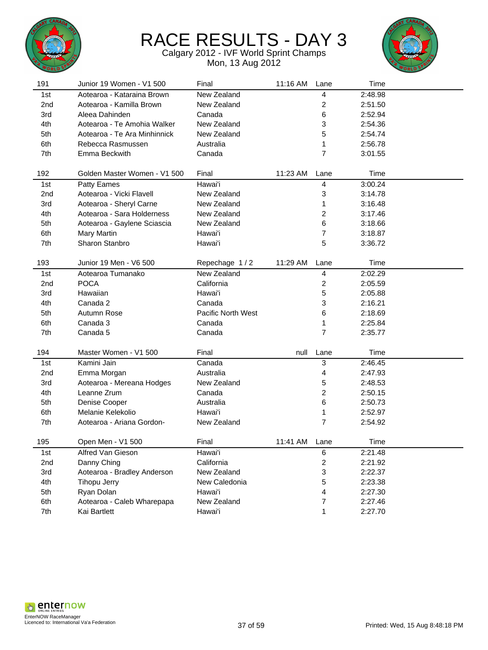



| 191             | Junior 19 Women - V1 500     | Final              | 11:16 AM | Lane                    | Time    |  |
|-----------------|------------------------------|--------------------|----------|-------------------------|---------|--|
| 1st             | Aotearoa - Kataraina Brown   | New Zealand        |          | 4                       | 2:48.98 |  |
| 2 <sub>nd</sub> | Aotearoa - Kamilla Brown     | New Zealand        |          | 2                       | 2:51.50 |  |
| 3rd             | Aleea Dahinden               | Canada             |          | 6                       | 2:52.94 |  |
| 4th             | Aotearoa - Te Amohia Walker  | New Zealand        |          | 3                       | 2:54.36 |  |
| 5th             | Aotearoa - Te Ara Minhinnick | New Zealand        |          | 5                       | 2:54.74 |  |
| 6th             | Rebecca Rasmussen            | Australia          |          | 1                       | 2:56.78 |  |
| 7th             | Emma Beckwith                | Canada             |          | $\overline{7}$          | 3:01.55 |  |
|                 |                              |                    |          |                         |         |  |
| 192             | Golden Master Women - V1 500 | Final              | 11:23 AM | Lane                    | Time    |  |
| 1st             | Patty Eames                  | Hawai'i            |          | 4                       | 3:00.24 |  |
| 2nd             | Aotearoa - Vicki Flavell     | New Zealand        |          | 3                       | 3:14.78 |  |
| 3rd             | Aotearoa - Sheryl Carne      | New Zealand        |          | 1                       | 3:16.48 |  |
| 4th             | Aotearoa - Sara Holderness   | New Zealand        |          | 2                       | 3:17.46 |  |
| 5th             | Aotearoa - Gaylene Sciascia  | New Zealand        |          | 6                       | 3:18.66 |  |
| 6th             | Mary Martin                  | Hawai'i            |          | 7                       | 3:18.87 |  |
| 7th             | Sharon Stanbro               | Hawai'i            |          | 5                       | 3:36.72 |  |
|                 |                              |                    |          |                         |         |  |
| 193             | Junior 19 Men - V6 500       | Repechage 1/2      | 11:29 AM | Lane                    | Time    |  |
| 1st             | Aotearoa Tumanako            | New Zealand        |          | $\overline{\mathbf{4}}$ | 2:02.29 |  |
| 2 <sub>nd</sub> | <b>POCA</b>                  | California         |          | 2                       | 2:05.59 |  |
| 3rd             | Hawaiian                     | Hawai'i            |          | 5                       | 2:05.88 |  |
| 4th             | Canada 2                     | Canada             |          | 3                       | 2:16.21 |  |
| 5th             | Autumn Rose                  | Pacific North West |          | 6                       | 2:18.69 |  |
| 6th             | Canada 3                     | Canada             |          | 1                       | 2:25.84 |  |
| 7th             | Canada 5                     | Canada             |          | $\overline{7}$          | 2:35.77 |  |
|                 |                              |                    |          |                         |         |  |
| 194             | Master Women - V1 500        | Final              | null     | Lane                    | Time    |  |
| 1st             | Kamini Jain                  | Canada             |          | 3                       | 2:46.45 |  |
| 2 <sub>nd</sub> | Emma Morgan                  | Australia          |          | 4                       | 2:47.93 |  |
| 3rd             | Aotearoa - Mereana Hodges    | New Zealand        |          | 5                       | 2:48.53 |  |
| 4th             | Leanne Zrum                  | Canada             |          | 2                       | 2:50.15 |  |
| 5th             | Denise Cooper                | Australia          |          | 6                       | 2:50.73 |  |
| 6th             | Melanie Kelekolio            | Hawai'i            |          | 1                       | 2:52.97 |  |
| 7th             | Aotearoa - Ariana Gordon-    | New Zealand        |          | $\overline{7}$          | 2:54.92 |  |
| 195             | Open Men - V1 500            | Final              | 11:41 AM | Lane                    | Time    |  |
| 1st             | Alfred Van Gieson            | Hawai'i            |          | 6                       | 2:21.48 |  |
| 2nd             | Danny Ching                  | California         |          | 2                       | 2:21.92 |  |
| 3rd             | Aotearoa - Bradley Anderson  | New Zealand        |          | 3                       | 2:22.37 |  |
| 4th             | Tihopu Jerry                 | New Caledonia      |          | 5                       | 2:23.38 |  |
| 5th             | Ryan Dolan                   | Hawai'i            |          | 4                       | 2:27.30 |  |
| 6th             | Aotearoa - Caleb Wharepapa   | New Zealand        |          | $\boldsymbol{7}$        | 2:27.46 |  |
| 7th             | Kai Bartlett                 | Hawai'i            |          | 1                       | 2:27.70 |  |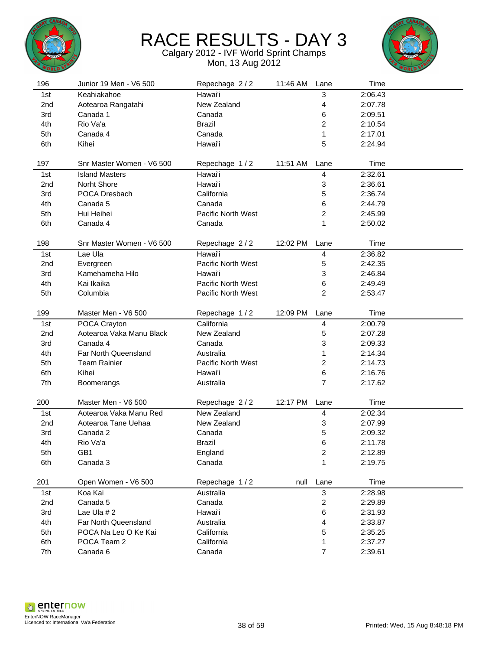



| 196             | Junior 19 Men - V6 500    | Repechage 2/2      | 11:46 AM | Lane                    | Time    |  |
|-----------------|---------------------------|--------------------|----------|-------------------------|---------|--|
| 1st             | Keahiakahoe               | Hawai'i            |          | 3                       | 2:06.43 |  |
| 2nd             | Aotearoa Rangatahi        | New Zealand        |          | 4                       | 2:07.78 |  |
| 3rd             | Canada 1                  | Canada             |          | 6                       | 2:09.51 |  |
| 4th             | Rio Va'a                  | <b>Brazil</b>      |          | $\overline{\mathbf{c}}$ | 2:10.54 |  |
| 5th             | Canada 4                  | Canada             |          | 1                       | 2:17.01 |  |
| 6th             | Kihei                     | Hawai'i            |          | 5                       | 2:24.94 |  |
|                 |                           |                    |          |                         |         |  |
| 197             | Snr Master Women - V6 500 | Repechage 1/2      | 11:51 AM | Lane                    | Time    |  |
| 1st             | <b>Island Masters</b>     | Hawai'i            |          | 4                       | 2:32.61 |  |
| 2 <sub>nd</sub> | Norht Shore               | Hawai'i            |          | 3                       | 2:36.61 |  |
| 3rd             | POCA Dresbach             | California         |          | 5                       | 2:36.74 |  |
| 4th             | Canada 5                  | Canada             |          | 6                       | 2:44.79 |  |
| 5th             | Hui Heihei                | Pacific North West |          | 2                       | 2:45.99 |  |
| 6th             | Canada 4                  | Canada             |          | 1                       | 2:50.02 |  |
|                 |                           |                    |          |                         |         |  |
| 198             | Snr Master Women - V6 500 | Repechage 2/2      | 12:02 PM | Lane                    | Time    |  |
| 1st             | Lae Ula                   | Hawai'i            |          | 4                       | 2:36.82 |  |
| 2nd             | Evergreen                 | Pacific North West |          | 5                       | 2:42.35 |  |
| 3rd             | Kamehameha Hilo           | Hawai'i            |          | 3                       | 2:46.84 |  |
| 4th             | Kai Ikaika                | Pacific North West |          | 6                       | 2:49.49 |  |
| 5th             | Columbia                  | Pacific North West |          | $\overline{c}$          | 2:53.47 |  |
|                 |                           |                    |          |                         |         |  |
| 199             | Master Men - V6 500       | Repechage 1/2      | 12:09 PM | Lane                    | Time    |  |
| 1st             | POCA Crayton              | California         |          | 4                       | 2:00.79 |  |
| 2nd             | Aotearoa Vaka Manu Black  | New Zealand        |          | 5                       | 2:07.28 |  |
| 3rd             | Canada 4                  | Canada             |          | 3                       | 2:09.33 |  |
| 4th             | Far North Queensland      | Australia          |          | 1                       | 2:14.34 |  |
| 5th             | <b>Team Rainier</b>       | Pacific North West |          | 2                       | 2:14.73 |  |
| 6th             | Kihei                     | Hawai'i            |          | 6                       | 2:16.76 |  |
| 7th             | Boomerangs                | Australia          |          | $\overline{7}$          | 2:17.62 |  |
|                 |                           |                    |          |                         |         |  |
| 200             | Master Men - V6 500       | Repechage 2/2      | 12:17 PM | Lane                    | Time    |  |
| 1st             | Aotearoa Vaka Manu Red    | New Zealand        |          | 4                       | 2:02.34 |  |
| 2nd             | Aotearoa Tane Uehaa       | New Zealand        |          | 3                       | 2:07.99 |  |
| 3rd             | Canada 2                  | Canada             |          | 5                       | 2:09.32 |  |
| 4th             | Rio Va'a                  | Brazil             |          | 6                       | 2:11.78 |  |
| 5th             | GB1                       | England            |          | $\overline{\mathbf{c}}$ | 2:12.89 |  |
| 6th             | Canada 3                  | Canada             |          | 1                       | 2:19.75 |  |
|                 |                           |                    |          |                         |         |  |
| 201             | Open Women - V6 500       | Repechage 1/2      | null     | Lane                    | Time    |  |
| 1st             | Koa Kai                   | Australia          |          | $\mathfrak{S}$          | 2:28.98 |  |
| 2nd             | Canada 5                  | Canada             |          | $\boldsymbol{2}$        | 2:29.89 |  |
| 3rd             | Lae Ula #2                | Hawai'i            |          | 6                       | 2:31.93 |  |
| 4th             | Far North Queensland      | Australia          |          | 4                       | 2:33.87 |  |
| 5th             | POCA Na Leo O Ke Kai      | California         |          | 5                       | 2:35.25 |  |
| 6th             | POCA Team 2               | California         |          | 1                       | 2:37.27 |  |
| 7th             | Canada 6                  | Canada             |          | $\overline{7}$          | 2:39.61 |  |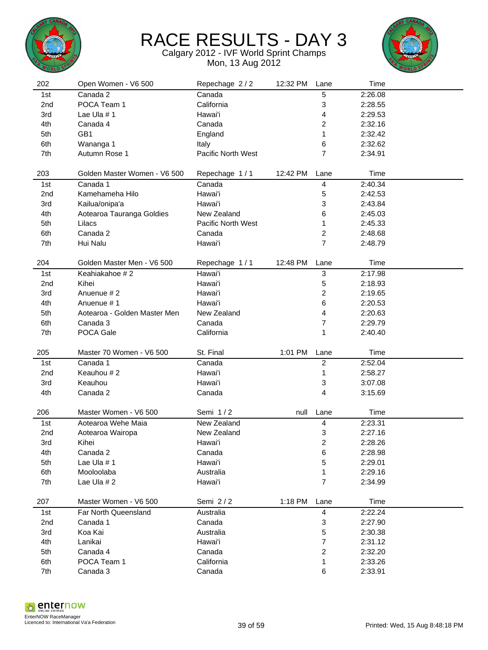



| 202             | Open Women - V6 500          | Repechage 2/2      | 12:32 PM | Lane                    | Time    |  |
|-----------------|------------------------------|--------------------|----------|-------------------------|---------|--|
| 1st             | Canada 2                     | Canada             |          | 5                       | 2:26.08 |  |
| 2 <sub>nd</sub> | POCA Team 1                  | California         |          | 3                       | 2:28.55 |  |
| 3rd             | Lae Ula #1                   | Hawai'i            |          | 4                       | 2:29.53 |  |
| 4th             | Canada 4                     | Canada             |          | 2                       | 2:32.16 |  |
| 5th             | GB1                          | England            |          | 1                       | 2:32.42 |  |
| 6th             | Wananga 1                    | Italy              |          | 6                       | 2:32.62 |  |
| 7th             | Autumn Rose 1                | Pacific North West |          | $\overline{7}$          | 2:34.91 |  |
|                 |                              |                    |          |                         |         |  |
| 203             | Golden Master Women - V6 500 | Repechage 1/1      | 12:42 PM | Lane                    | Time    |  |
| 1st             | Canada 1                     | Canada             |          | 4                       | 2:40.34 |  |
| 2 <sub>nd</sub> | Kamehameha Hilo              | Hawai'i            |          | 5                       | 2:42.53 |  |
| 3rd             | Kailua/onipa'a               | Hawai'i            |          | 3                       | 2:43.84 |  |
| 4th             | Aotearoa Tauranga Goldies    | New Zealand        |          | 6                       | 2:45.03 |  |
| 5th             | Lilacs                       | Pacific North West |          | 1                       | 2:45.33 |  |
| 6th             | Canada 2                     | Canada             |          | 2                       | 2:48.68 |  |
| 7th             | Hui Nalu                     | Hawai'i            |          | $\overline{7}$          | 2:48.79 |  |
|                 |                              |                    |          |                         |         |  |
| 204             | Golden Master Men - V6 500   | Repechage 1/1      | 12:48 PM | Lane                    | Time    |  |
| 1st             | Keahiakahoe #2               | Hawai'i            |          | 3                       | 2:17.98 |  |
| 2 <sub>nd</sub> | Kihei                        | Hawai'i            |          | 5                       | 2:18.93 |  |
| 3rd             | Anuenue #2                   | Hawai'i            |          | 2                       | 2:19.65 |  |
| 4th             | Anuenue #1                   | Hawai'i            |          | 6                       | 2:20.53 |  |
| 5th             | Aotearoa - Golden Master Men | New Zealand        |          | 4                       | 2:20.63 |  |
| 6th             | Canada 3                     | Canada             |          | 7                       | 2:29.79 |  |
| 7th             | POCA Gale                    | California         |          | 1                       | 2:40.40 |  |
|                 |                              |                    |          |                         |         |  |
| 205             | Master 70 Women - V6 500     | St. Final          | 1:01 PM  | Lane                    | Time    |  |
| 1st             | Canada 1                     | Canada             |          | $\overline{\mathbf{c}}$ | 2:52.04 |  |
| 2 <sub>nd</sub> | Keauhou #2                   | Hawai'i            |          | 1                       | 2:58.27 |  |
| 3rd             | Keauhou                      | Hawai'i            |          | 3                       | 3:07.08 |  |
| 4th             | Canada 2                     | Canada             |          | 4                       | 3:15.69 |  |
|                 |                              |                    |          |                         |         |  |
| 206             | Master Women - V6 500        | Semi 1/2           | null     | Lane                    | Time    |  |
| 1st             | Aotearoa Wehe Maia           | New Zealand        |          | 4                       | 2:23.31 |  |
| 2nd             | Aotearoa Wairopa             | New Zealand        |          | 3                       | 2:27.16 |  |
| 3rd             | Kihei                        | Hawai'i            |          | $\overline{2}$          | 2:28.26 |  |
| 4th             | Canada 2                     | Canada             |          | 6                       | 2:28.98 |  |
| 5th             | Lae Ula #1                   | Hawai'i            |          | 5                       | 2:29.01 |  |
| 6th             | Mooloolaba                   | Australia          |          | 1                       | 2:29.16 |  |
| 7th             | Lae Ula #2                   | Hawai'i            |          | $\boldsymbol{7}$        | 2:34.99 |  |
|                 |                              | Semi 2/2           |          |                         |         |  |
| 207             | Master Women - V6 500        |                    | 1:18 PM  | Lane                    | Time    |  |
| 1st             | Far North Queensland         | Australia          |          | 4                       | 2:22.24 |  |
| 2nd             | Canada 1                     | Canada             |          | 3                       | 2:27.90 |  |
| 3rd             | Koa Kai                      | Australia          |          | 5                       | 2:30.38 |  |
| 4th             | Lanikai                      | Hawai'i            |          | 7                       | 2:31.12 |  |
| 5th             | Canada 4                     | Canada             |          | 2                       | 2:32.20 |  |
| 6th             | POCA Team 1                  | California         |          | 1                       | 2:33.26 |  |
| 7th             | Canada 3                     | Canada             |          | 6                       | 2:33.91 |  |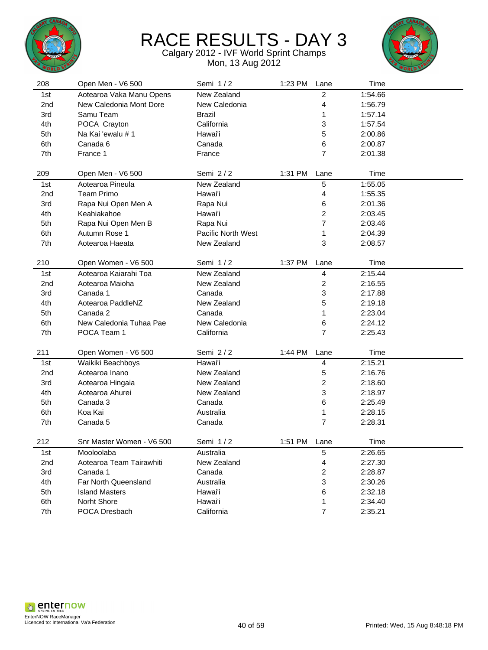



| 208 | Open Men - V6 500         | Semi 1/2           | 1:23 PM | Lane                    | Time    |  |
|-----|---------------------------|--------------------|---------|-------------------------|---------|--|
| 1st | Aotearoa Vaka Manu Opens  | New Zealand        |         | $\overline{c}$          | 1:54.66 |  |
| 2nd | New Caledonia Mont Dore   | New Caledonia      |         | 4                       | 1:56.79 |  |
| 3rd | Samu Team                 | <b>Brazil</b>      |         | 1                       | 1:57.14 |  |
| 4th | POCA Crayton              | California         |         | 3                       | 1:57.54 |  |
| 5th | Na Kai 'ewalu # 1         | Hawai'i            |         | 5                       | 2:00.86 |  |
| 6th | Canada 6                  | Canada             |         | 6                       | 2:00.87 |  |
| 7th | France 1                  | France             |         | $\overline{7}$          | 2:01.38 |  |
|     |                           |                    |         |                         |         |  |
| 209 | Open Men - V6 500         | Semi 2/2           | 1:31 PM | Lane                    | Time    |  |
| 1st | Aotearoa Pineula          | New Zealand        |         | 5                       | 1:55.05 |  |
| 2nd | <b>Team Primo</b>         | Hawai'i            |         | 4                       | 1:55.35 |  |
| 3rd | Rapa Nui Open Men A       | Rapa Nui           |         | 6                       | 2:01.36 |  |
| 4th | Keahiakahoe               | Hawai'i            |         | 2                       | 2:03.45 |  |
| 5th | Rapa Nui Open Men B       | Rapa Nui           |         | 7                       | 2:03.46 |  |
| 6th | Autumn Rose 1             | Pacific North West |         | 1                       | 2:04.39 |  |
| 7th | Aotearoa Haeata           | New Zealand        |         | 3                       | 2:08.57 |  |
|     |                           |                    |         |                         |         |  |
| 210 | Open Women - V6 500       | Semi 1/2           | 1:37 PM | Lane                    | Time    |  |
| 1st | Aotearoa Kaiarahi Toa     | New Zealand        |         | 4                       | 2:15.44 |  |
| 2nd | Aotearoa Maioha           | New Zealand        |         | $\overline{\mathbf{c}}$ | 2:16.55 |  |
| 3rd | Canada 1                  | Canada             |         | 3                       | 2:17.88 |  |
| 4th | Aotearoa PaddleNZ         | New Zealand        |         | 5                       | 2:19.18 |  |
| 5th | Canada 2                  | Canada             |         | 1                       | 2:23.04 |  |
| 6th | New Caledonia Tuhaa Pae   | New Caledonia      |         | 6                       | 2:24.12 |  |
| 7th | POCA Team 1               | California         |         | $\overline{7}$          | 2:25.43 |  |
|     |                           |                    |         |                         |         |  |
| 211 | Open Women - V6 500       | Semi 2/2           | 1:44 PM | Lane                    | Time    |  |
| 1st | Waikiki Beachboys         | Hawai'i            |         | 4                       | 2:15.21 |  |
| 2nd | Aotearoa Inano            | New Zealand        |         | 5                       | 2:16.76 |  |
| 3rd | Aotearoa Hingaia          | New Zealand        |         | 2                       | 2:18.60 |  |
| 4th | Aotearoa Ahurei           | New Zealand        |         | 3                       | 2:18.97 |  |
| 5th | Canada 3                  | Canada             |         | 6                       | 2:25.49 |  |
| 6th | Koa Kai                   | Australia          |         | 1                       | 2:28.15 |  |
| 7th | Canada 5                  | Canada             |         | $\overline{7}$          | 2:28.31 |  |
| 212 | Snr Master Women - V6 500 | Semi 1/2           | 1:51 PM | Lane                    | Time    |  |
| 1st | Mooloolaba                | Australia          |         | 5                       | 2:26.65 |  |
| 2nd | Aotearoa Team Tairawhiti  | New Zealand        |         | 4                       | 2:27.30 |  |
| 3rd | Canada 1                  | Canada             |         | 2                       | 2:28.87 |  |
| 4th | Far North Queensland      | Australia          |         | 3                       | 2:30.26 |  |
| 5th | <b>Island Masters</b>     | Hawai'i            |         | 6                       | 2:32.18 |  |
| 6th | Norht Shore               | Hawai'i            |         | 1                       | 2:34.40 |  |
| 7th | POCA Dresbach             | California         |         | $\overline{7}$          | 2:35.21 |  |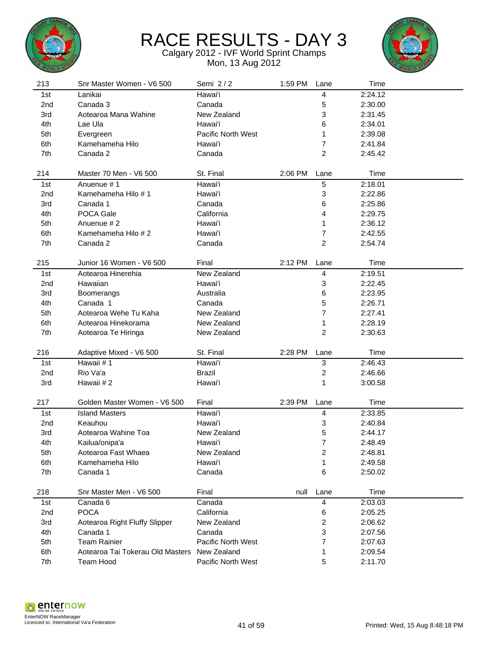



| 213             | Snr Master Women - V6 500        | Semi 2/2                  | 1:59 PM | Lane                    | Time    |  |
|-----------------|----------------------------------|---------------------------|---------|-------------------------|---------|--|
| 1st             | Lanikai                          | Hawai'i                   |         | 4                       | 2:24.12 |  |
| 2nd             | Canada 3                         | Canada                    |         | 5                       | 2:30.00 |  |
| 3rd             | Aotearoa Mana Wahine             | New Zealand               |         | 3                       | 2:31.45 |  |
| 4th             | Lae Ula                          | Hawai'i                   |         | 6                       | 2:34.01 |  |
| 5th             | Evergreen                        | <b>Pacific North West</b> |         | 1                       | 2:39.08 |  |
| 6th             | Kamehameha Hilo                  | Hawai'i                   |         | 7                       | 2:41.84 |  |
| 7th             | Canada 2                         | Canada                    |         | $\overline{2}$          | 2:45.42 |  |
|                 |                                  |                           |         |                         |         |  |
| 214             | Master 70 Men - V6 500           | St. Final                 | 2:06 PM | Lane                    | Time    |  |
| 1st             | Anuenue #1                       | Hawai'i                   |         | 5                       | 2:18.01 |  |
| 2 <sub>nd</sub> | Kamehameha Hilo #1               | Hawai'i                   |         | 3                       | 2:22.86 |  |
| 3rd             | Canada 1                         | Canada                    |         | 6                       | 2:25.86 |  |
| 4th             | POCA Gale                        | California                |         | 4                       | 2:29.75 |  |
| 5th             | Anuenue # 2                      | Hawai'i                   |         | 1                       | 2:36.12 |  |
| 6th             | Kamehameha Hilo #2               | Hawai'i                   |         | 7                       | 2:42.55 |  |
| 7th             | Canada 2                         | Canada                    |         | 2                       | 2:54.74 |  |
|                 |                                  |                           |         |                         |         |  |
| 215             | Junior 16 Women - V6 500         | Final                     | 2:12 PM | Lane                    | Time    |  |
| 1st             | Aotearoa Hinerehia               | New Zealand               |         | 4                       | 2:19.51 |  |
| 2 <sub>nd</sub> | Hawaiian                         | Hawai'i                   |         | 3                       | 2:22.45 |  |
| 3rd             | Boomerangs                       | Australia                 |         | 6                       | 2:23.95 |  |
| 4th             | Canada 1                         | Canada                    |         | 5                       | 2:26.71 |  |
| 5th             | Aotearoa Wehe Tu Kaha            | New Zealand               |         | 7                       | 2:27.41 |  |
| 6th             | Aotearoa Hinekorama              | New Zealand               |         | 1                       | 2:28.19 |  |
| 7th             | Aotearoa Te Hiringa              | New Zealand               |         | 2                       | 2:30.63 |  |
|                 |                                  |                           |         |                         |         |  |
| 216             | Adaptive Mixed - V6 500          | St. Final                 | 2:28 PM | Lane                    | Time    |  |
| 1st             | Hawaii #1                        | Hawai'i                   |         | 3                       | 2:46.43 |  |
| 2nd             | Rio Va'a                         | <b>Brazil</b>             |         | $\overline{\mathbf{c}}$ | 2:46.66 |  |
| 3rd             | Hawaii #2                        | Hawai'i                   |         | 1                       | 3:00.58 |  |
|                 |                                  |                           |         |                         |         |  |
| 217             | Golden Master Women - V6 500     | Final                     | 2:39 PM | Lane                    | Time    |  |
| 1st             | <b>Island Masters</b>            | Hawai'i                   |         | 4                       | 2:33.85 |  |
| 2 <sub>nd</sub> | Keauhou                          | Hawai'i                   |         | 3                       | 2:40.84 |  |
| 3rd             | Aotearoa Wahine Toa              | New Zealand               |         | 5                       | 2:44.17 |  |
| 4th             | Kailua/onipa'a                   | Hawai'i                   |         | 7                       | 2:48.49 |  |
| 5th             | Aotearoa Fast Whaea              | New Zealand               |         | 2                       | 2:48.81 |  |
| 6th             | Kamehameha Hilo                  | Hawai'i                   |         | 1                       | 2:49.58 |  |
| 7th             | Canada 1                         | Canada                    |         | 6                       | 2:50.02 |  |
|                 |                                  |                           |         |                         |         |  |
| 218             | Snr Master Men - V6 500          | Final                     | null    | Lane                    | Time    |  |
| 1st             | Canada 6                         | Canada                    |         | 4                       | 2:03.03 |  |
| 2nd             | <b>POCA</b>                      | California                |         | 6                       | 2:05.25 |  |
| 3rd             | Aotearoa Right Fluffy Slipper    | New Zealand               |         | 2                       | 2:06.62 |  |
| 4th             | Canada 1                         | Canada                    |         | 3                       | 2:07.56 |  |
| 5th             | <b>Team Rainier</b>              | Pacific North West        |         | 7                       | 2:07.63 |  |
| 6th             | Aotearoa Tai Tokerau Old Masters | New Zealand               |         | 1                       | 2:09.54 |  |
| 7th             | Team Hood                        | Pacific North West        |         | 5                       | 2:11.70 |  |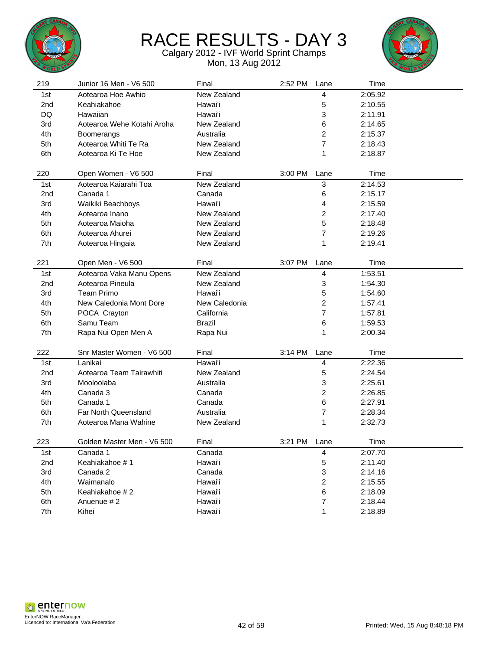



| 219             | Junior 16 Men - V6 500      | Final         | 2:52 PM | Lane                    | Time    |  |
|-----------------|-----------------------------|---------------|---------|-------------------------|---------|--|
| 1st             | Aotearoa Hoe Awhio          | New Zealand   |         | 4                       | 2:05.92 |  |
| 2nd             | Keahiakahoe                 | Hawai'i       |         | 5                       | 2:10.55 |  |
| DQ              | Hawaiian                    | Hawai'i       |         | 3                       | 2:11.91 |  |
| 3rd             | Aotearoa Wehe Kotahi Aroha  | New Zealand   |         | 6                       | 2:14.65 |  |
| 4th             | Boomerangs                  | Australia     |         | 2                       | 2:15.37 |  |
| 5th             | Aotearoa Whiti Te Ra        | New Zealand   |         | 7                       | 2:18.43 |  |
| 6th             | Aotearoa Ki Te Hoe          | New Zealand   |         | 1                       | 2:18.87 |  |
|                 |                             |               |         |                         |         |  |
| 220             | Open Women - V6 500         | Final         | 3:00 PM | Lane                    | Time    |  |
| 1st             | Aotearoa Kaiarahi Toa       | New Zealand   |         | 3                       | 2:14.53 |  |
| 2 <sub>nd</sub> | Canada 1                    | Canada        |         | 6                       | 2:15.17 |  |
| 3rd             | Waikiki Beachboys           | Hawai'i       |         | 4                       | 2:15.59 |  |
| 4th             | Aotearoa Inano              | New Zealand   |         | 2                       | 2:17.40 |  |
| 5th             | Aotearoa Maioha             | New Zealand   |         | 5                       | 2:18.48 |  |
| 6th             | Aotearoa Ahurei             | New Zealand   |         | $\overline{7}$          | 2:19.26 |  |
| 7th             | Aotearoa Hingaia            | New Zealand   |         | 1                       | 2:19.41 |  |
|                 |                             |               |         |                         |         |  |
| 221             | Open Men - V6 500           | Final         | 3:07 PM | Lane                    | Time    |  |
| 1st             | Aotearoa Vaka Manu Opens    | New Zealand   |         | 4                       | 1:53.51 |  |
| 2 <sub>nd</sub> | Aotearoa Pineula            | New Zealand   |         | 3                       | 1:54.30 |  |
| 3rd             | Team Primo                  | Hawai'i       |         | 5                       | 1:54.60 |  |
| 4th             | New Caledonia Mont Dore     | New Caledonia |         | 2                       | 1:57.41 |  |
| 5th             | POCA Crayton                | California    |         | 7                       | 1:57.81 |  |
| 6th             | Samu Team                   | <b>Brazil</b> |         | 6                       | 1:59.53 |  |
| 7th             | Rapa Nui Open Men A         | Rapa Nui      |         | 1                       | 2:00.34 |  |
|                 |                             |               |         |                         |         |  |
| 222             | Snr Master Women - V6 500   | Final         | 3:14 PM | Lane                    | Time    |  |
| 1st             | Lanikai                     | Hawai'i       |         | $\overline{\mathbf{4}}$ | 2:22.36 |  |
| 2nd             | Aotearoa Team Tairawhiti    | New Zealand   |         | 5                       | 2:24.54 |  |
| 3rd             | Mooloolaba                  | Australia     |         | 3                       | 2:25.61 |  |
| 4th             | Canada 3                    | Canada        |         | 2                       | 2:26.85 |  |
| 5th             | Canada 1                    | Canada        |         | 6                       | 2:27.91 |  |
| 6th             | <b>Far North Queensland</b> | Australia     |         | $\overline{7}$          | 2:28.34 |  |
| 7th             | Aotearoa Mana Wahine        | New Zealand   |         | 1                       | 2:32.73 |  |
|                 |                             |               |         |                         |         |  |
| 223             | Golden Master Men - V6 500  | Final         | 3:21 PM | Lane                    | Time    |  |
| 1st             | Canada 1                    | Canada        |         | 4                       | 2:07.70 |  |
| 2nd             | Keahiakahoe #1              | Hawai'i       |         | 5                       | 2:11.40 |  |
| 3rd             | Canada 2                    | Canada        |         | 3                       | 2:14.16 |  |
| 4th             | Waimanalo                   | Hawai'i       |         | $\overline{\mathbf{c}}$ | 2:15.55 |  |
| 5th             | Keahiakahoe #2              | Hawai'i       |         | 6                       | 2:18.09 |  |
| 6th             | Anuenue #2                  | Hawai'i       |         | $\overline{7}$          | 2:18.44 |  |
| 7th             | Kihei                       | Hawai'i       |         | 1                       | 2:18.89 |  |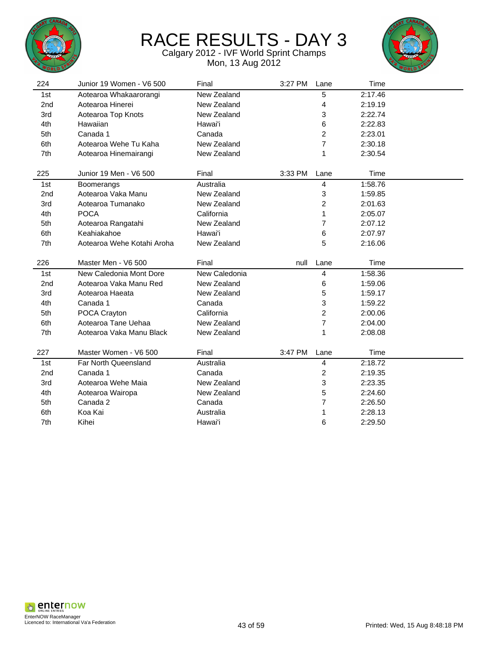



| 224             | Junior 19 Women - V6 500   | Final         | 3:27 PM | Lane           | Time    |  |
|-----------------|----------------------------|---------------|---------|----------------|---------|--|
| 1st             | Aotearoa Whakaarorangi     | New Zealand   |         | 5              | 2:17.46 |  |
| 2 <sub>nd</sub> | Aotearoa Hinerei           | New Zealand   |         | 4              | 2:19.19 |  |
| 3rd             | Aotearoa Top Knots         | New Zealand   |         | 3              | 2:22.74 |  |
| 4th             | Hawaiian                   | Hawai'i       |         | 6              | 2:22.83 |  |
| 5th             | Canada 1                   | Canada        |         | 2              | 2:23.01 |  |
| 6th             | Aotearoa Wehe Tu Kaha      | New Zealand   |         | 7              | 2:30.18 |  |
| 7th             | Aotearoa Hinemairangi      | New Zealand   |         | 1              | 2:30.54 |  |
| 225             | Junior 19 Men - V6 500     | Final         | 3:33 PM | Lane           | Time    |  |
|                 |                            | Australia     |         |                |         |  |
| 1st             | Boomerangs                 |               |         | 4              | 1:58.76 |  |
| 2nd             | Aotearoa Vaka Manu         | New Zealand   |         | 3              | 1:59.85 |  |
| 3rd             | Aotearoa Tumanako          | New Zealand   |         | $\overline{c}$ | 2:01.63 |  |
| 4th             | <b>POCA</b>                | California    |         | 1              | 2:05.07 |  |
| 5th             | Aotearoa Rangatahi         | New Zealand   |         | 7              | 2:07.12 |  |
| 6th             | Keahiakahoe                | Hawai'i       |         | 6              | 2:07.97 |  |
| 7th             | Aotearoa Wehe Kotahi Aroha | New Zealand   |         | 5              | 2:16.06 |  |
| 226             | Master Men - V6 500        | Final         | null    | Lane           | Time    |  |
| 1st             | New Caledonia Mont Dore    | New Caledonia |         | 4              | 1:58.36 |  |
| 2 <sub>nd</sub> | Aotearoa Vaka Manu Red     | New Zealand   |         | 6              | 1:59.06 |  |
|                 |                            |               |         |                |         |  |
| 3rd             | Aotearoa Haeata            | New Zealand   |         | 5              | 1:59.17 |  |
| 4th             | Canada 1                   | Canada        |         | 3              | 1:59.22 |  |
| 5th             | POCA Crayton               | California    |         | 2              | 2:00.06 |  |
| 6th             | Aotearoa Tane Uehaa        | New Zealand   |         | $\overline{7}$ | 2:04.00 |  |
| 7th             | Aotearoa Vaka Manu Black   | New Zealand   |         | 1              | 2:08.08 |  |
|                 |                            |               |         |                |         |  |
| 227             | Master Women - V6 500      | Final         | 3:47 PM | Lane           | Time    |  |
| 1st             | Far North Queensland       | Australia     |         | 4              | 2:18.72 |  |
| 2 <sub>nd</sub> | Canada 1                   | Canada        |         | 2              | 2:19.35 |  |
| 3rd             | Aotearoa Wehe Maia         | New Zealand   |         | 3              | 2:23.35 |  |
| 4th             | Aotearoa Wairopa           | New Zealand   |         | 5              | 2:24.60 |  |
| 5th             | Canada 2                   | Canada        |         | 7              | 2:26.50 |  |
| 6th             | Koa Kai                    | Australia     |         | 1              | 2:28.13 |  |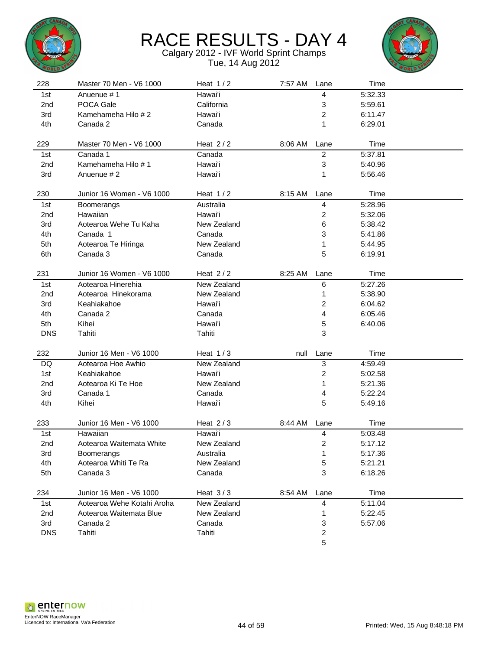



| 228             | Master 70 Men - V6 1000    | Heat $1/2$  | 7:57 AM | Lane                    | Time    |  |
|-----------------|----------------------------|-------------|---------|-------------------------|---------|--|
| 1st             | Anuenue # 1                | Hawai'i     |         | 4                       | 5:32.33 |  |
| 2 <sub>nd</sub> | POCA Gale                  | California  |         | 3                       | 5:59.61 |  |
| 3rd             | Kamehameha Hilo #2         | Hawai'i     |         | 2                       | 6:11.47 |  |
| 4th             | Canada 2                   | Canada      |         | 1                       | 6:29.01 |  |
|                 |                            |             |         |                         |         |  |
| 229             | Master 70 Men - V6 1000    | Heat $2/2$  | 8:06 AM | Lane                    | Time    |  |
| 1st             | Canada 1                   | Canada      |         | $\overline{c}$          | 5:37.81 |  |
| 2 <sub>nd</sub> | Kamehameha Hilo # 1        | Hawai'i     |         | 3                       | 5:40.96 |  |
| 3rd             | Anuenue #2                 | Hawai'i     |         | 1                       | 5:56.46 |  |
| 230             | Junior 16 Women - V6 1000  | Heat $1/2$  | 8:15 AM | Lane                    | Time    |  |
| 1st             | Boomerangs                 | Australia   |         | 4                       | 5:28.96 |  |
| 2 <sub>nd</sub> | Hawaiian                   | Hawai'i     |         | 2                       | 5:32.06 |  |
| 3rd             | Aotearoa Wehe Tu Kaha      | New Zealand |         | 6                       | 5:38.42 |  |
| 4th             | Canada 1                   | Canada      |         | 3                       | 5:41.86 |  |
| 5th             | Aotearoa Te Hiringa        | New Zealand |         | 1                       | 5:44.95 |  |
| 6th             | Canada 3                   | Canada      |         | 5                       | 6:19.91 |  |
|                 |                            |             |         |                         |         |  |
| 231             | Junior 16 Women - V6 1000  | Heat $2/2$  | 8:25 AM | Lane                    | Time    |  |
| 1st             | Aotearoa Hinerehia         | New Zealand |         | 6                       | 5:27.26 |  |
| 2 <sub>nd</sub> | Aotearoa Hinekorama        | New Zealand |         | 1                       | 5:38.90 |  |
| 3rd             | Keahiakahoe                | Hawai'i     |         | $\overline{\mathbf{c}}$ | 6:04.62 |  |
| 4th             | Canada 2                   | Canada      |         | 4                       | 6:05.46 |  |
| 5th             | Kihei                      | Hawai'i     |         | 5                       | 6:40.06 |  |
| <b>DNS</b>      | Tahiti                     | Tahiti      |         | 3                       |         |  |
|                 |                            |             |         |                         |         |  |
| 232             | Junior 16 Men - V6 1000    | Heat $1/3$  | null    | Lane                    | Time    |  |
| DQ              | Aotearoa Hoe Awhio         | New Zealand |         | 3                       | 4:59.49 |  |
| 1st             | Keahiakahoe                | Hawai'i     |         | $\overline{c}$          | 5:02.58 |  |
| 2 <sub>nd</sub> | Aotearoa Ki Te Hoe         | New Zealand |         | 1                       | 5:21.36 |  |
| 3rd             | Canada 1                   | Canada      |         | 4                       | 5:22.24 |  |
| 4th             | Kihei                      | Hawai'i     |         | 5                       | 5:49.16 |  |
| 233             | Junior 16 Men - V6 1000    | Heat $2/3$  | 8:44 AM | Lane                    | Time    |  |
| 1st             | Hawaiian                   | Hawai'i     |         | 4                       | 5:03.48 |  |
| 2nd             | Aotearoa Waitemata White   | New Zealand |         | $\overline{\mathbf{c}}$ | 5:17.12 |  |
| 3rd             | Boomerangs                 | Australia   |         | 1                       | 5:17.36 |  |
| 4th             | Aotearoa Whiti Te Ra       | New Zealand |         | 5                       | 5:21.21 |  |
| 5th             | Canada 3                   | Canada      |         | 3                       | 6:18.26 |  |
|                 |                            |             |         |                         |         |  |
| 234             | Junior 16 Men - V6 1000    | Heat $3/3$  | 8:54 AM | Lane                    | Time    |  |
| 1st             | Aotearoa Wehe Kotahi Aroha | New Zealand |         | 4                       | 5:11.04 |  |
| 2nd             | Aotearoa Waitemata Blue    | New Zealand |         | 1                       | 5:22.45 |  |
| 3rd             | Canada 2                   | Canada      |         | 3                       | 5:57.06 |  |
| <b>DNS</b>      | Tahiti                     | Tahiti      |         | 2                       |         |  |
|                 |                            |             |         | 5                       |         |  |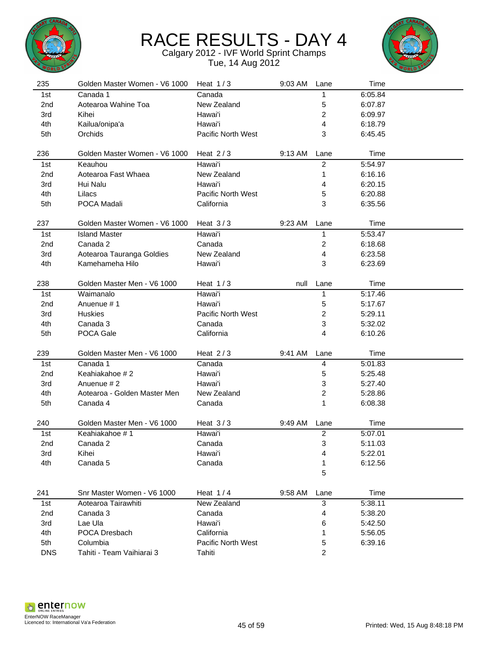



| 235             | Golden Master Women - V6 1000 | Heat $1/3$                | 9:03 AM | Lane             | Time    |  |
|-----------------|-------------------------------|---------------------------|---------|------------------|---------|--|
| 1st             | Canada 1                      | Canada                    |         | 1                | 6:05.84 |  |
| 2 <sub>nd</sub> | Aotearoa Wahine Toa           | New Zealand               |         | 5                | 6:07.87 |  |
| 3rd             | Kihei                         | Hawai'i                   |         | $\overline{2}$   | 6:09.97 |  |
| 4th             | Kailua/onipa'a                | Hawai'i                   |         | 4                | 6:18.79 |  |
| 5th             | Orchids                       | Pacific North West        |         | 3                | 6:45.45 |  |
|                 |                               |                           |         |                  |         |  |
| 236             | Golden Master Women - V6 1000 | Heat $2/3$                | 9:13 AM | Lane             | Time    |  |
| 1st             | Keauhou                       | Hawai'i                   |         | $\overline{c}$   | 5:54.97 |  |
| 2 <sub>nd</sub> | Aotearoa Fast Whaea           | New Zealand               |         | 1                | 6:16.16 |  |
| 3rd             | Hui Nalu                      | Hawai'i                   |         | 4                | 6:20.15 |  |
| 4th             | Lilacs                        | Pacific North West        |         | 5                | 6:20.88 |  |
| 5th             | POCA Madali                   | California                |         | 3                | 6:35.56 |  |
|                 |                               |                           |         |                  |         |  |
| 237             | Golden Master Women - V6 1000 | Heat $3/3$                | 9:23 AM | Lane             | Time    |  |
| 1st             | <b>Island Master</b>          | Hawai'i                   |         | 1                | 5:53.47 |  |
| 2nd             | Canada 2                      | Canada                    |         | $\boldsymbol{2}$ | 6:18.68 |  |
| 3rd             | Aotearoa Tauranga Goldies     | New Zealand               |         | 4                | 6:23.58 |  |
| 4th             | Kamehameha Hilo               | Hawai'i                   |         | 3                | 6:23.69 |  |
|                 |                               |                           |         |                  |         |  |
| 238             | Golden Master Men - V6 1000   | Heat $1/3$                | null    | Lane             | Time    |  |
| 1st             | Waimanalo                     | Hawai'i                   |         | 1                | 5:17.46 |  |
| 2 <sub>nd</sub> | Anuenue #1                    | Hawai'i                   |         | 5                | 5:17.67 |  |
| 3rd             | Huskies                       | Pacific North West        |         | $\overline{c}$   | 5:29.11 |  |
| 4th             | Canada 3                      | Canada                    |         | 3                | 5:32.02 |  |
| 5th             | POCA Gale                     | California                |         | 4                | 6:10.26 |  |
|                 |                               |                           |         |                  |         |  |
| 239             | Golden Master Men - V6 1000   | Heat $2/3$                | 9:41 AM | Lane             | Time    |  |
| 1st             | Canada 1                      | Canada                    |         | 4                | 5:01.83 |  |
| 2nd             | Keahiakahoe #2                | Hawai'i                   |         | 5                | 5:25.48 |  |
| 3rd             | Anuenue #2                    | Hawai'i                   |         | 3                | 5:27.40 |  |
| 4th             | Aotearoa - Golden Master Men  | New Zealand               |         | $\overline{c}$   | 5:28.86 |  |
| 5th             | Canada 4                      | Canada                    |         | 1                | 6:08.38 |  |
|                 |                               |                           |         |                  |         |  |
| 240             | Golden Master Men - V6 1000   | Heat $3/3$                | 9:49 AM | Lane             | Time    |  |
| 1st             | Keahiakahoe #1                | Hawai'i                   |         | $\overline{c}$   | 5:07.01 |  |
| 2nd             | Canada 2                      | Canada                    |         | 3                | 5:11.03 |  |
| 3rd             | Kihei                         | Hawai'i                   |         | 4                | 5:22.01 |  |
| 4th             | Canada 5                      | Canada                    |         | 1                | 6:12.56 |  |
|                 |                               |                           |         | 5                |         |  |
|                 |                               |                           |         |                  |         |  |
| 241             | Snr Master Women - V6 1000    | Heat $1/4$                | 9:58 AM | Lane             | Time    |  |
| 1st             | Aotearoa Tairawhiti           | New Zealand               |         | $\mathbf{3}$     | 5:38.11 |  |
| 2nd             | Canada 3                      | Canada                    |         | 4                | 5:38.20 |  |
| 3rd             | Lae Ula                       | Hawai'i                   |         | 6                | 5:42.50 |  |
| 4th             | POCA Dresbach                 | California                |         | 1                | 5:56.05 |  |
| 5th             | Columbia                      | <b>Pacific North West</b> |         | 5                | 6:39.16 |  |
| <b>DNS</b>      | Tahiti - Team Vaihiarai 3     | Tahiti                    |         | 2                |         |  |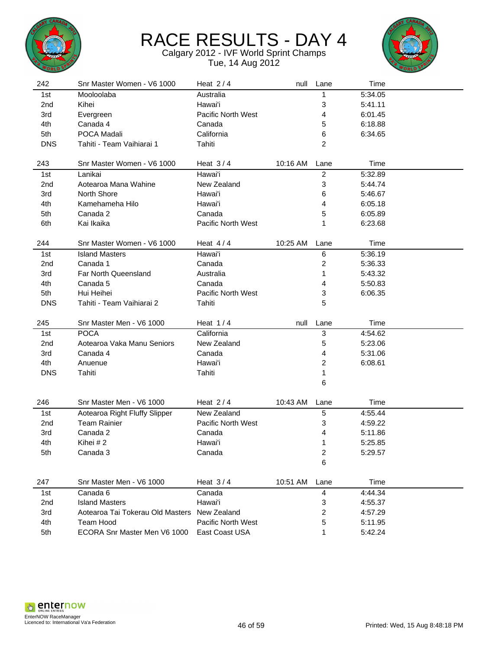



| 242             | Snr Master Women - V6 1000                       | Heat $2/4$                           | null     | Lane           | Time               |  |
|-----------------|--------------------------------------------------|--------------------------------------|----------|----------------|--------------------|--|
| 1st             | Mooloolaba                                       | Australia                            |          | 1              | 5:34.05            |  |
| 2nd             | Kihei                                            | Hawai'i                              |          | 3              | 5:41.11            |  |
| 3rd             | Evergreen                                        | Pacific North West                   |          | 4              | 6:01.45            |  |
| 4th             | Canada 4                                         | Canada                               |          | 5              | 6:18.88            |  |
| 5th             | POCA Madali                                      | California                           |          | 6              | 6:34.65            |  |
| <b>DNS</b>      | Tahiti - Team Vaihiarai 1                        | Tahiti                               |          | 2              |                    |  |
|                 |                                                  |                                      |          |                |                    |  |
| 243             | Snr Master Women - V6 1000                       | Heat $3/4$                           | 10:16 AM | Lane           | Time               |  |
| 1st             | Lanikai                                          | Hawai'i                              |          | $\overline{c}$ | 5:32.89            |  |
| 2 <sub>nd</sub> | Aotearoa Mana Wahine                             | New Zealand                          |          | 3              | 5:44.74            |  |
| 3rd             | North Shore                                      | Hawai'i                              |          | 6              | 5:46.67            |  |
| 4th             | Kamehameha Hilo                                  | Hawai'i                              |          | 4              | 6:05.18            |  |
| 5th             | Canada 2                                         | Canada                               |          | 5              | 6:05.89            |  |
| 6th             | Kai Ikaika                                       | Pacific North West                   |          | 1              | 6:23.68            |  |
|                 |                                                  |                                      |          |                |                    |  |
| 244             | Snr Master Women - V6 1000                       | Heat $4/4$                           | 10:25 AM | Lane           | Time               |  |
| 1st             | <b>Island Masters</b>                            | Hawai'i                              |          | 6              | 5:36.19            |  |
| 2 <sub>nd</sub> | Canada 1                                         | Canada                               |          | 2              | 5:36.33            |  |
| 3rd             | <b>Far North Queensland</b>                      | Australia                            |          | 1              | 5:43.32            |  |
| 4th             | Canada 5                                         | Canada                               |          | 4              | 5:50.83            |  |
| 5th             | Hui Heihei                                       | Pacific North West                   |          | 3              | 6:06.35            |  |
| <b>DNS</b>      | Tahiti - Team Vaihiarai 2                        | Tahiti                               |          | 5              |                    |  |
|                 |                                                  |                                      |          |                |                    |  |
| 245             | Snr Master Men - V6 1000                         | Heat $1/4$                           | null     | Lane           | Time               |  |
| 1st             | <b>POCA</b>                                      | California                           |          | 3              | 4:54.62            |  |
| 2 <sub>nd</sub> | Aotearoa Vaka Manu Seniors                       | New Zealand                          |          | 5              | 5:23.06            |  |
| 3rd             | Canada 4                                         | Canada                               |          | 4              | 5:31.06            |  |
| 4th             | Anuenue                                          | Hawai'i                              |          | 2              | 6:08.61            |  |
| <b>DNS</b>      | Tahiti                                           | Tahiti                               |          | 1              |                    |  |
|                 |                                                  |                                      |          | 6              |                    |  |
|                 |                                                  |                                      |          |                |                    |  |
| 246             | Snr Master Men - V6 1000                         | Heat $2/4$                           | 10:43 AM | Lane           | Time               |  |
| 1st             | Aotearoa Right Fluffy Slipper                    | New Zealand                          |          | 5              | 4:55.44            |  |
| 2nd             |                                                  |                                      |          |                |                    |  |
| 3rd             | <b>Team Rainier</b>                              | Pacific North West                   |          | 3              | 4:59.22            |  |
|                 | Canada 2                                         | Canada                               |          | 4              | 5:11.86            |  |
| 4th             | Kihei #2                                         | Hawai'i                              |          | 1              | 5:25.85            |  |
| 5th             | Canada 3                                         | Canada                               |          | $\overline{c}$ | 5:29.57            |  |
|                 |                                                  |                                      |          | 6              |                    |  |
|                 |                                                  |                                      |          |                |                    |  |
| 247             | Snr Master Men - V6 1000                         | Heat $3/4$                           | 10:51 AM | Lane           | Time               |  |
| 1st             | Canada 6                                         | Canada                               |          | 4              | 4:44.34            |  |
| 2nd             | <b>Island Masters</b>                            | Hawai'i                              |          | 3              | 4:55.37            |  |
| 3rd             | Aotearoa Tai Tokerau Old Masters New Zealand     |                                      |          | 2              | 4:57.29            |  |
| 4th<br>5th      | <b>Team Hood</b><br>ECORA Snr Master Men V6 1000 | Pacific North West<br>East Coast USA |          | 5<br>1         | 5:11.95<br>5:42.24 |  |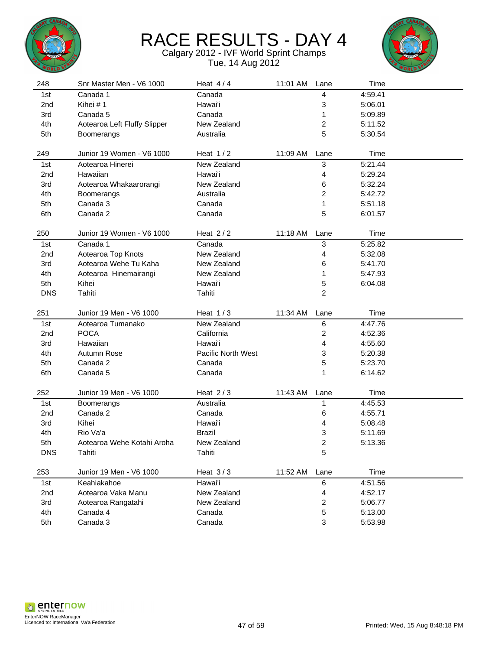



| 248             | Snr Master Men - V6 1000     | Heat $4/4$         | 11:01 AM | Lane                    | Time               |  |
|-----------------|------------------------------|--------------------|----------|-------------------------|--------------------|--|
| 1st             | Canada 1                     | Canada             |          | 4                       | 4:59.41            |  |
| 2nd             | Kihei #1                     | Hawai'i            |          | 3                       | 5:06.01            |  |
| 3rd             | Canada 5                     | Canada             |          | 1                       | 5:09.89            |  |
| 4th             | Aotearoa Left Fluffy Slipper | New Zealand        |          | $\overline{\mathbf{c}}$ | 5:11.52            |  |
| 5th             | Boomerangs                   | Australia          |          | 5                       | 5:30.54            |  |
|                 |                              |                    |          |                         |                    |  |
| 249             | Junior 19 Women - V6 1000    | Heat $1/2$         | 11:09 AM | Lane                    | Time               |  |
| 1st             | Aotearoa Hinerei             | New Zealand        |          | 3                       | 5:21.44            |  |
| 2nd             | Hawaiian                     | Hawai'i            |          | 4                       | 5:29.24            |  |
| 3rd             | Aotearoa Whakaarorangi       | New Zealand        |          | 6                       | 5:32.24            |  |
| 4th             | Boomerangs                   | Australia          |          | 2                       | 5:42.72            |  |
| 5th             | Canada 3                     | Canada             |          | 1                       | 5:51.18            |  |
| 6th             | Canada 2                     | Canada             |          | 5                       | 6:01.57            |  |
|                 |                              |                    |          |                         |                    |  |
| 250             | Junior 19 Women - V6 1000    | Heat $2/2$         | 11:18 AM | Lane                    | Time               |  |
| 1st             | Canada 1                     | Canada             |          | 3                       | 5:25.82            |  |
| 2 <sub>nd</sub> | Aotearoa Top Knots           | New Zealand        |          | 4                       | 5:32.08            |  |
| 3rd             | Aotearoa Wehe Tu Kaha        | New Zealand        |          | 6                       | 5:41.70            |  |
| 4th             | Aotearoa Hinemairangi        | New Zealand        |          | 1                       | 5:47.93            |  |
| 5th             | Kihei                        | Hawai'i            |          | 5                       | 6:04.08            |  |
| <b>DNS</b>      | Tahiti                       | Tahiti             |          | $\overline{2}$          |                    |  |
|                 |                              |                    |          |                         |                    |  |
|                 |                              |                    |          |                         |                    |  |
| 251             | Junior 19 Men - V6 1000      | Heat $1/3$         | 11:34 AM | Lane                    | Time               |  |
| 1st             | Aotearoa Tumanako            | New Zealand        |          | $\,6$                   | 4:47.76            |  |
| 2nd             | <b>POCA</b>                  | California         |          | 2                       | 4:52.36            |  |
| 3rd             | Hawaiian                     | Hawai'i            |          | 4                       | 4:55.60            |  |
| 4th             | Autumn Rose                  | Pacific North West |          | 3                       | 5:20.38            |  |
| 5th             | Canada 2                     | Canada             |          | 5                       | 5:23.70            |  |
| 6th             | Canada 5                     | Canada             |          | 1                       | 6:14.62            |  |
|                 |                              |                    |          |                         |                    |  |
| 252             | Junior 19 Men - V6 1000      | Heat $2/3$         | 11:43 AM | Lane                    | Time               |  |
| 1st             | Boomerangs                   | Australia          |          | 1                       | 4:45.53            |  |
| 2nd             | Canada 2                     | Canada             |          | 6                       | 4:55.71            |  |
| 3rd             | Kihei                        | Hawai'i            |          | 4                       | 5:08.48            |  |
| 4th             | Rio Va'a                     | <b>Brazil</b>      |          | 3                       | 5:11.69            |  |
| 5th             | Aotearoa Wehe Kotahi Aroha   | New Zealand        |          | 2                       | 5:13.36            |  |
| <b>DNS</b>      | Tahiti                       | Tahiti             |          | 5                       |                    |  |
|                 |                              |                    |          |                         |                    |  |
| 253             | Junior 19 Men - V6 1000      | Heat $3/3$         | 11:52 AM | Lane                    | Time               |  |
| 1st             | Keahiakahoe                  | Hawai'i            |          | 6                       | 4:51.56            |  |
| 2nd             | Aotearoa Vaka Manu           | New Zealand        |          | 4                       | 4:52.17            |  |
| 3rd             | Aotearoa Rangatahi           | New Zealand        |          | $\overline{\mathbf{c}}$ | 5:06.77            |  |
| 4th<br>5th      | Canada 4<br>Canada 3         | Canada<br>Canada   |          | 5<br>3                  | 5:13.00<br>5:53.98 |  |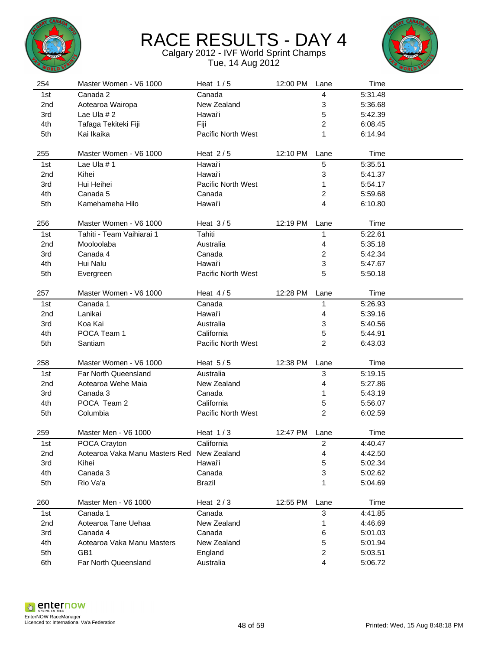



| 254             | Master Women - V6 1000                     | Heat $1/5$         | 12:00 PM | Lane           | Time    |  |
|-----------------|--------------------------------------------|--------------------|----------|----------------|---------|--|
| 1st             | Canada 2                                   | Canada             |          | 4              | 5:31.48 |  |
| 2 <sub>nd</sub> | Aotearoa Wairopa                           | New Zealand        |          | 3              | 5:36.68 |  |
| 3rd             | Lae Ula $# 2$                              | Hawai'i            |          | 5              | 5:42.39 |  |
| 4th             | Tafaga Tekiteki Fiji                       | Fiji               |          | 2              | 6:08.45 |  |
| 5th             | Kai Ikaika                                 | Pacific North West |          | 1              | 6:14.94 |  |
|                 |                                            |                    |          |                |         |  |
| 255             | Master Women - V6 1000                     | Heat $2/5$         | 12:10 PM | Lane           | Time    |  |
| 1st             | Lae Ula #1                                 | Hawai'i            |          | 5              | 5:35.51 |  |
| 2nd             | Kihei                                      | Hawai'i            |          | 3              | 5:41.37 |  |
| 3rd             | Hui Heihei                                 | Pacific North West |          | 1              | 5:54.17 |  |
| 4th             | Canada 5                                   | Canada             |          | 2              | 5:59.68 |  |
| 5th             | Kamehameha Hilo                            | Hawai'i            |          | 4              | 6:10.80 |  |
|                 |                                            |                    |          |                |         |  |
| 256             | Master Women - V6 1000                     | Heat $3/5$         | 12:19 PM | Lane           | Time    |  |
| 1st             | Tahiti - Team Vaihiarai 1                  | Tahiti             |          | 1              | 5:22.61 |  |
| 2nd             | Mooloolaba                                 | Australia          |          | 4              | 5:35.18 |  |
| 3rd             | Canada 4                                   | Canada             |          | 2              | 5:42.34 |  |
| 4th             | Hui Nalu                                   | Hawai'i            |          | 3              | 5:47.67 |  |
| 5th             | Evergreen                                  | Pacific North West |          | 5              | 5:50.18 |  |
|                 |                                            |                    |          |                |         |  |
| 257             | Master Women - V6 1000                     | Heat $4/5$         | 12:28 PM | Lane           | Time    |  |
| 1st             | Canada 1                                   | Canada             |          | 1              | 5:26.93 |  |
| 2 <sub>nd</sub> | Lanikai                                    | Hawai'i            |          | 4              | 5:39.16 |  |
| 3rd             | Koa Kai                                    | Australia          |          | 3              | 5:40.56 |  |
| 4th             | POCA Team 1                                | California         |          | 5              | 5:44.91 |  |
| 5th             | Santiam                                    | Pacific North West |          | 2              | 6:43.03 |  |
|                 |                                            |                    |          |                |         |  |
| 258             | Master Women - V6 1000                     | Heat $5/5$         | 12:38 PM | Lane           | Time    |  |
| 1st             | Far North Queensland                       | Australia          |          | 3              | 5:19.15 |  |
| 2 <sub>nd</sub> | Aotearoa Wehe Maia                         | New Zealand        |          | 4              | 5:27.86 |  |
| 3rd             | Canada 3                                   | Canada             |          | 1              | 5:43.19 |  |
| 4th             | POCA Team 2                                | California         |          | 5              | 5:56.07 |  |
| 5th             | Columbia                                   | Pacific North West |          | $\overline{c}$ | 6:02.59 |  |
|                 |                                            |                    |          |                |         |  |
| 259             | Master Men - V6 1000                       | Heat $1/3$         | 12:47 PM | Lane           | Time    |  |
| 1st             | POCA Crayton                               | California         |          | 2              | 4:40.47 |  |
| 2nd             | Aotearoa Vaka Manu Masters Red New Zealand |                    |          | 4              | 4:42.50 |  |
| 3rd             | Kihei                                      | Hawai'i            |          | 5              | 5:02.34 |  |
| 4th             | Canada 3                                   | Canada             |          | 3              | 5:02.62 |  |
| 5th             | Rio Va'a                                   | <b>Brazil</b>      |          | 1              | 5:04.69 |  |
|                 | Master Men - V6 1000                       |                    |          |                |         |  |
| 260             |                                            | Heat $2/3$         | 12:55 PM | Lane           | Time    |  |
| 1st             | Canada 1                                   | Canada             |          | 3              | 4:41.85 |  |
| 2nd             | Aotearoa Tane Uehaa                        | New Zealand        |          | 1              | 4:46.69 |  |
| 3rd             | Canada 4                                   | Canada             |          | 6              | 5:01.03 |  |
| 4th             | Aotearoa Vaka Manu Masters                 | New Zealand        |          | 5              | 5:01.94 |  |
| 5th             | GB1                                        | England            |          | 2              | 5:03.51 |  |
| 6th             | Far North Queensland                       | Australia          |          | 4              | 5:06.72 |  |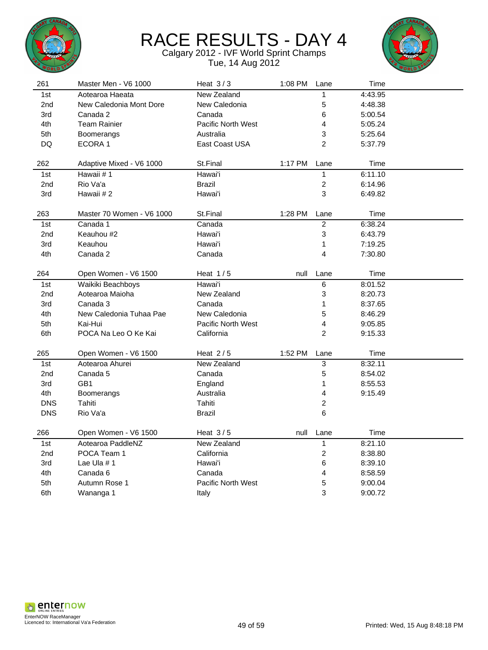



| 261             | Master Men - V6 1000      | Heat $3/3$                | 1:08 PM | Lane                    | Time    |  |
|-----------------|---------------------------|---------------------------|---------|-------------------------|---------|--|
| 1st             | Aotearoa Haeata           | New Zealand               |         | 1                       | 4:43.95 |  |
| 2nd             | New Caledonia Mont Dore   | New Caledonia             |         | 5                       | 4:48.38 |  |
| 3rd             | Canada 2                  | Canada                    |         | 6                       | 5:00.54 |  |
| 4th             | Team Rainier              | <b>Pacific North West</b> |         | $\overline{\mathbf{4}}$ | 5:05.24 |  |
| 5th             | Boomerangs                | Australia                 |         | 3                       | 5:25.64 |  |
| DQ              | ECORA 1                   | East Coast USA            |         | $\overline{2}$          | 5:37.79 |  |
|                 |                           |                           |         |                         |         |  |
| 262             | Adaptive Mixed - V6 1000  | St.Final                  | 1:17 PM | Lane                    | Time    |  |
| 1st             | Hawaii #1                 | Hawai'i                   |         | $\mathbf{1}$            | 6:11.10 |  |
| 2 <sub>nd</sub> | Rio Va'a                  | <b>Brazil</b>             |         | $\boldsymbol{2}$        | 6:14.96 |  |
| 3rd             | Hawaii # 2                | Hawai'i                   |         | 3                       | 6:49.82 |  |
|                 |                           |                           |         |                         |         |  |
| 263             | Master 70 Women - V6 1000 | St.Final                  | 1:28 PM | Lane                    | Time    |  |
| 1st             | Canada 1                  | Canada                    |         | $\overline{2}$          | 6:38.24 |  |
| 2 <sub>nd</sub> | Keauhou #2                | Hawai'i                   |         | 3                       | 6:43.79 |  |
| 3rd             | Keauhou                   | Hawai'i                   |         | 1                       | 7:19.25 |  |
| 4th             | Canada 2                  | Canada                    |         | 4                       | 7:30.80 |  |
|                 |                           |                           |         |                         |         |  |
| 264             | Open Women - V6 1500      | Heat $1/5$                | null    | Lane                    | Time    |  |
| 1st             | Waikiki Beachboys         | Hawai'i                   |         | 6                       | 8:01.52 |  |
| 2nd             | Aotearoa Maioha           | New Zealand               |         | 3                       | 8:20.73 |  |
| 3rd             | Canada 3                  | Canada                    |         | 1                       | 8:37.65 |  |
| 4th             | New Caledonia Tuhaa Pae   | New Caledonia             |         | 5                       | 8:46.29 |  |
| 5th             | Kai-Hui                   | Pacific North West        |         | 4                       | 9:05.85 |  |
| 6th             | POCA Na Leo O Ke Kai      | California                |         | $\overline{2}$          | 9:15.33 |  |
|                 |                           |                           |         |                         |         |  |
| 265             | Open Women - V6 1500      | Heat $2/5$                | 1:52 PM | Lane                    | Time    |  |
| 1st             | Aotearoa Ahurei           | New Zealand               |         | $\mathfrak{S}$          | 8:32.11 |  |
| 2 <sub>nd</sub> | Canada 5                  | Canada                    |         | 5                       | 8:54.02 |  |
| 3rd             | GB1                       | England                   |         | 1                       | 8:55.53 |  |
| 4th             | Boomerangs                | Australia                 |         | 4                       | 9:15.49 |  |
| <b>DNS</b>      | Tahiti                    | Tahiti                    |         | $\overline{c}$          |         |  |
| <b>DNS</b>      | Rio Va'a                  | Brazil                    |         | 6                       |         |  |
|                 |                           |                           |         |                         |         |  |
| 266             | Open Women - V6 1500      | Heat $3/5$                | null    | Lane                    | Time    |  |
| 1st             | Aotearoa PaddleNZ         | New Zealand               |         | $\mathbf{1}$            | 8:21.10 |  |
| 2 <sub>nd</sub> | POCA Team 1               | California                |         | $\overline{a}$          | 8:38.80 |  |
| 3rd             | Lae Ula #1                | Hawai'i                   |         | 6                       | 8:39.10 |  |
| 4th             | Canada 6                  | Canada                    |         | 4                       | 8:58.59 |  |
| 5th             | Autumn Rose 1             | <b>Pacific North West</b> |         | 5                       | 9:00.04 |  |
| 6th             | Wananga 1                 | Italy                     |         | 3                       | 9:00.72 |  |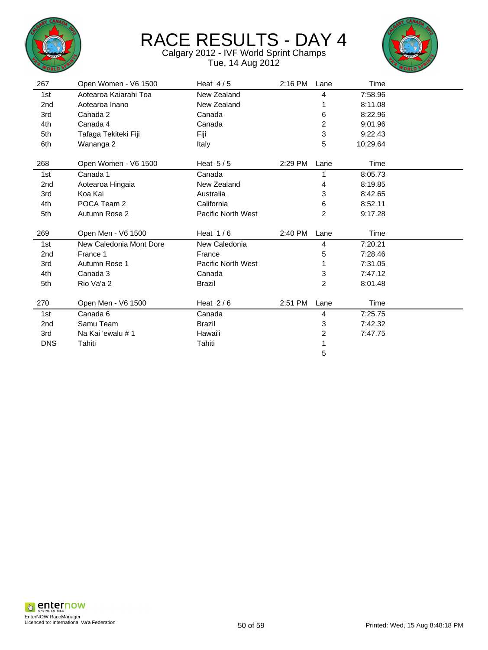



| 267        | Open Women - V6 1500    | Heat $4/5$                | 2:16 PM | Lane           | Time     |
|------------|-------------------------|---------------------------|---------|----------------|----------|
| 1st        | Aotearoa Kaiarahi Toa   | New Zealand               |         | 4              | 7:58.96  |
| 2nd        | Aotearoa Inano          | New Zealand               |         |                | 8:11.08  |
| 3rd        | Canada 2                | Canada                    |         | 6              | 8:22.96  |
| 4th        | Canada 4                | Canada                    |         | $\overline{c}$ | 9:01.96  |
| 5th        | Tafaga Tekiteki Fiji    | Fiji                      |         | 3              | 9:22.43  |
| 6th        | Wananga 2               | Italy                     |         | 5              | 10:29.64 |
|            |                         |                           |         |                |          |
| 268        | Open Women - V6 1500    | Heat $5/5$                | 2:29 PM | Lane           | Time     |
| 1st        | Canada 1                | Canada                    |         | 1              | 8:05.73  |
| 2nd        | Aotearoa Hingaia        | New Zealand               |         | 4              | 8:19.85  |
| 3rd        | Koa Kai                 | Australia                 |         | 3              | 8:42.65  |
| 4th        | POCA Team 2             | California                |         | 6              | 8:52.11  |
| 5th        | Autumn Rose 2           | <b>Pacific North West</b> |         | $\overline{2}$ | 9:17.28  |
|            |                         |                           |         |                |          |
| 269        | Open Men - V6 1500      | Heat $1/6$                | 2:40 PM | Lane           | Time     |
| 1st        | New Caledonia Mont Dore | New Caledonia             |         | 4              | 7:20.21  |
| 2nd        | France 1                | France                    |         | 5              | 7:28.46  |
| 3rd        | Autumn Rose 1           | Pacific North West        |         |                | 7:31.05  |
| 4th        | Canada 3                | Canada                    |         | 3              | 7:47.12  |
| 5th        | Rio Va'a 2              | Brazil                    |         | $\overline{2}$ | 8:01.48  |
|            |                         |                           |         |                |          |
| 270        | Open Men - V6 1500      | Heat $2/6$                | 2:51 PM | Lane           | Time     |
| 1st        | Canada 6                | Canada                    |         | 4              | 7:25.75  |
| 2nd        | Samu Team               | <b>Brazil</b>             |         | 3              | 7:42.32  |
| 3rd        | Na Kai 'ewalu # 1       | Hawai'i                   |         | 2              | 7:47.75  |
| <b>DNS</b> | Tahiti                  | Tahiti                    |         |                |          |
|            |                         |                           |         | 5              |          |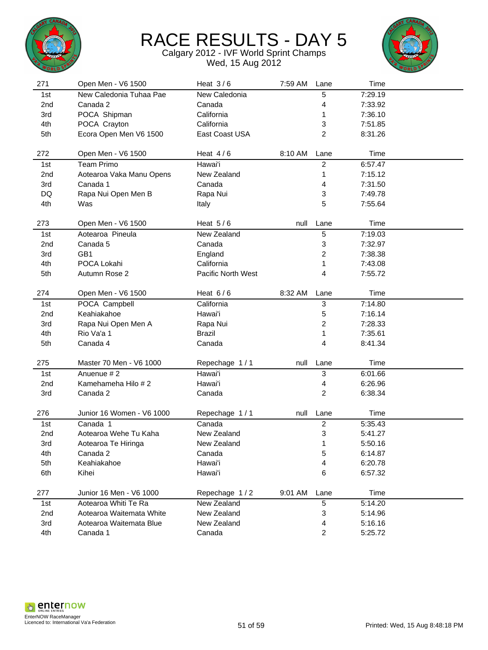



| 271             | Open Men - V6 1500        | Heat $3/6$         | 7:59 AM | Lane                    | Time    |  |
|-----------------|---------------------------|--------------------|---------|-------------------------|---------|--|
| 1st             | New Caledonia Tuhaa Pae   | New Caledonia      |         | 5                       | 7:29.19 |  |
| 2nd             | Canada 2                  | Canada             |         | 4                       | 7:33.92 |  |
| 3rd             | POCA Shipman              | California         |         | 1                       | 7:36.10 |  |
| 4th             | POCA Crayton              | California         |         | 3                       | 7:51.85 |  |
| 5th             | Ecora Open Men V6 1500    | East Coast USA     |         | $\overline{2}$          | 8:31.26 |  |
|                 |                           |                    |         |                         |         |  |
| 272             | Open Men - V6 1500        | Heat $4/6$         | 8:10 AM | Lane                    | Time    |  |
| 1st             | <b>Team Primo</b>         | Hawai'i            |         | $\overline{c}$          | 6:57.47 |  |
| 2nd             | Aotearoa Vaka Manu Opens  | New Zealand        |         | 1                       | 7:15.12 |  |
| 3rd             | Canada 1                  | Canada             |         | 4                       | 7:31.50 |  |
| DQ              | Rapa Nui Open Men B       | Rapa Nui           |         | 3                       | 7:49.78 |  |
| 4th             | Was                       | Italy              |         | 5                       | 7:55.64 |  |
|                 |                           |                    |         |                         |         |  |
| 273             | Open Men - V6 1500        | Heat $5/6$         | null    | Lane                    | Time    |  |
| 1st             | Aotearoa Pineula          | New Zealand        |         | 5                       | 7:19.03 |  |
| 2nd             | Canada 5                  | Canada             |         | 3                       | 7:32.97 |  |
| 3rd             | GB1                       | England            |         | 2                       | 7:38.38 |  |
| 4th             | POCA Lokahi               | California         |         | 1                       | 7:43.08 |  |
| 5th             | Autumn Rose 2             | Pacific North West |         | 4                       | 7:55.72 |  |
|                 |                           |                    |         |                         |         |  |
| 274             | Open Men - V6 1500        | Heat $6/6$         | 8:32 AM | Lane                    | Time    |  |
| 1st             | POCA Campbell             | California         |         | $\mathbf{3}$            | 7:14.80 |  |
| 2 <sub>nd</sub> | Keahiakahoe               | Hawai'i            |         | 5                       | 7:16.14 |  |
| 3rd             | Rapa Nui Open Men A       | Rapa Nui           |         | $\overline{\mathbf{c}}$ | 7:28.33 |  |
| 4th             | Rio Va'a 1                | <b>Brazil</b>      |         | 1                       | 7:35.61 |  |
| 5th             | Canada 4                  | Canada             |         | 4                       | 8:41.34 |  |
|                 |                           |                    |         |                         |         |  |
| 275             | Master 70 Men - V6 1000   | Repechage 1/1      | null    | Lane                    | Time    |  |
| 1st             | Anuenue #2                | Hawai'i            |         | 3                       | 6:01.66 |  |
| 2nd             | Kamehameha Hilo #2        | Hawai'i            |         | 4                       | 6:26.96 |  |
| 3rd             | Canada 2                  | Canada             |         | $\overline{c}$          | 6:38.34 |  |
| 276             | Junior 16 Women - V6 1000 | Repechage 1/1      | null    | Lane                    | Time    |  |
| 1st             | Canada 1                  | Canada             |         | $\boldsymbol{2}$        | 5:35.43 |  |
| 2nd             | Aotearoa Wehe Tu Kaha     | New Zealand        |         | 3                       | 5:41.27 |  |
| 3rd             | Aotearoa Te Hiringa       | New Zealand        |         | 1                       | 5:50.16 |  |
| 4th             | Canada 2                  | Canada             |         | 5                       | 6:14.87 |  |
| 5th             | Keahiakahoe               | Hawai'i            |         | 4                       | 6:20.78 |  |
| 6th             | Kihei                     | Hawai'i            |         | 6                       | 6:57.32 |  |
|                 |                           |                    |         |                         |         |  |
| 277             | Junior 16 Men - V6 1000   | Repechage 1/2      | 9:01 AM | Lane                    | Time    |  |
| 1st             | Aotearoa Whiti Te Ra      | New Zealand        |         | 5                       | 5:14.20 |  |
| 2nd             | Aotearoa Waitemata White  | New Zealand        |         | 3                       | 5:14.96 |  |
| 3rd             | Aotearoa Waitemata Blue   | New Zealand        |         | 4                       | 5:16.16 |  |
| 4th             | Canada 1                  | Canada             |         | $\boldsymbol{2}$        | 5:25.72 |  |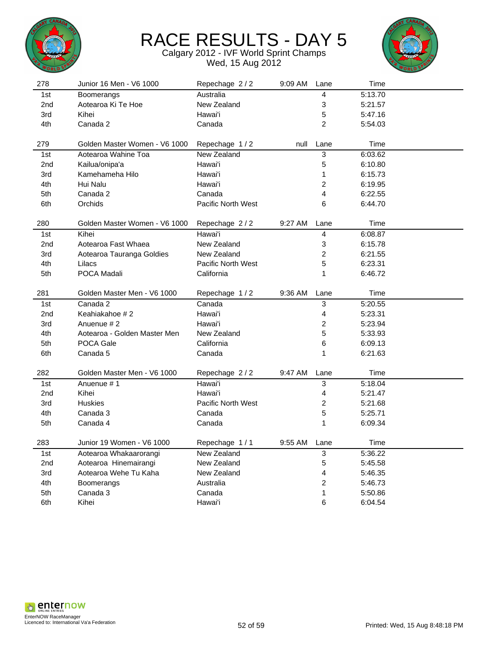



| 278             | Junior 16 Men - V6 1000       | Repechage 2/2      | 9:09 AM | Lane                      | Time    |  |
|-----------------|-------------------------------|--------------------|---------|---------------------------|---------|--|
| 1st             | Boomerangs                    | Australia          |         | 4                         | 5:13.70 |  |
| 2nd             | Aotearoa Ki Te Hoe            | New Zealand        |         | 3                         | 5:21.57 |  |
| 3rd             | Kihei                         | Hawai'i            |         | 5                         | 5:47.16 |  |
| 4th             | Canada 2                      | Canada             |         | $\overline{2}$            | 5:54.03 |  |
|                 |                               |                    |         |                           |         |  |
| 279             | Golden Master Women - V6 1000 | Repechage 1/2      | null    | Lane                      | Time    |  |
| 1st             | Aotearoa Wahine Toa           | New Zealand        |         | $\ensuremath{\mathsf{3}}$ | 6:03.62 |  |
| 2 <sub>nd</sub> | Kailua/onipa'a                | Hawai'i            |         | 5                         | 6:10.80 |  |
| 3rd             | Kamehameha Hilo               | Hawai'i            |         | 1                         | 6:15.73 |  |
| 4th             | Hui Nalu                      | Hawai'i            |         | $\overline{\mathbf{c}}$   | 6:19.95 |  |
| 5th             | Canada 2                      | Canada             |         | 4                         | 6:22.55 |  |
| 6th             | Orchids                       | Pacific North West |         | 6                         | 6:44.70 |  |
|                 |                               |                    |         |                           |         |  |
| 280             | Golden Master Women - V6 1000 | Repechage 2/2      | 9:27 AM | Lane                      | Time    |  |
| 1st             | Kihei                         | Hawai'i            |         | 4                         | 6:08.87 |  |
| 2nd             | Aotearoa Fast Whaea           | New Zealand        |         | 3                         | 6:15.78 |  |
| 3rd             | Aotearoa Tauranga Goldies     | New Zealand        |         | $\overline{c}$            | 6:21.55 |  |
| 4th             | Lilacs                        | Pacific North West |         | 5                         | 6:23.31 |  |
| 5th             | POCA Madali                   | California         |         | 1                         | 6:46.72 |  |
|                 |                               |                    |         |                           |         |  |
| 281             | Golden Master Men - V6 1000   | Repechage 1/2      | 9:36 AM | Lane                      | Time    |  |
| 1st             | Canada 2                      | Canada             |         | $\ensuremath{\mathsf{3}}$ | 5:20.55 |  |
| 2nd             | Keahiakahoe #2                | Hawai'i            |         | 4                         | 5:23.31 |  |
| 3rd             | Anuenue #2                    | Hawai'i            |         | $\overline{\mathbf{c}}$   | 5:23.94 |  |
| 4th             | Aotearoa - Golden Master Men  | New Zealand        |         | 5                         | 5:33.93 |  |
| 5th             | POCA Gale                     | California         |         | 6                         | 6:09.13 |  |
| 6th             | Canada 5                      | Canada             |         | 1                         | 6:21.63 |  |
|                 |                               |                    |         |                           |         |  |
| 282             | Golden Master Men - V6 1000   | Repechage 2/2      | 9:47 AM | Lane                      | Time    |  |
| 1st             | Anuenue #1                    | Hawai'i            |         | 3                         | 5:18.04 |  |
| 2 <sub>nd</sub> | Kihei                         | Hawai'i            |         | 4                         | 5:21.47 |  |
| 3rd             | <b>Huskies</b>                | Pacific North West |         | $\overline{c}$            | 5:21.68 |  |
| 4th             | Canada 3                      | Canada             |         | 5                         | 5:25.71 |  |
| 5th             | Canada 4                      | Canada             |         | 1                         | 6:09.34 |  |
|                 |                               |                    |         |                           |         |  |
| 283             | Junior 19 Women - V6 1000     | Repechage 1/1      | 9:55 AM | Lane                      | Time    |  |
| 1st             | Aotearoa Whakaarorangi        | New Zealand        |         | 3                         | 5:36.22 |  |
| 2nd             | Aotearoa Hinemairangi         | New Zealand        |         | 5                         | 5:45.58 |  |
| 3rd             | Aotearoa Wehe Tu Kaha         | New Zealand        |         | 4                         | 5:46.35 |  |
| 4th             | Boomerangs                    | Australia          |         | 2                         | 5:46.73 |  |
| 5th             | Canada 3                      | Canada             |         | 1                         | 5:50.86 |  |
| 6th             | Kihei                         | Hawai'i            |         | 6                         | 6:04.54 |  |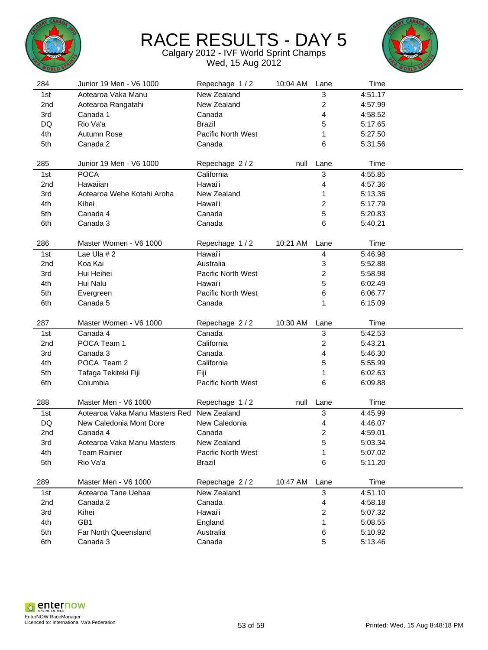



| 284             | Junior 19 Men - V6 1000        | Repechage 1/2             | 10:04 AM | Lane                    | Time    |  |
|-----------------|--------------------------------|---------------------------|----------|-------------------------|---------|--|
| 1st             | Aotearoa Vaka Manu             | New Zealand               |          | 3                       | 4:51.17 |  |
| 2 <sub>nd</sub> | Aotearoa Rangatahi             | New Zealand               |          | $\overline{\mathbf{c}}$ | 4:57.99 |  |
| 3rd             | Canada 1                       | Canada                    |          | 4                       | 4:58.52 |  |
| DQ              | Rio Va'a                       | <b>Brazil</b>             |          | 5                       | 5:17.65 |  |
| 4th             | Autumn Rose                    | <b>Pacific North West</b> |          | 1                       | 5:27.50 |  |
| 5th             | Canada 2                       | Canada                    |          | 6                       | 5:31.56 |  |
|                 |                                |                           |          |                         |         |  |
| 285             | Junior 19 Men - V6 1000        | Repechage 2/2             | null     | Lane                    | Time    |  |
| 1st             | <b>POCA</b>                    | California                |          | 3                       | 4:55.85 |  |
| 2nd             | Hawaiian                       | Hawai'i                   |          | 4                       | 4:57.36 |  |
| 3rd             | Aotearoa Wehe Kotahi Aroha     | New Zealand               |          | 1                       | 5:13.36 |  |
| 4th             | Kihei                          | Hawai'i                   |          | 2                       | 5:17.79 |  |
| 5th             | Canada 4                       | Canada                    |          | 5                       | 5:20.83 |  |
| 6th             | Canada 3                       | Canada                    |          | 6                       | 5:40.21 |  |
|                 |                                |                           |          |                         |         |  |
| 286             | Master Women - V6 1000         | Repechage 1/2             | 10:21 AM | Lane                    | Time    |  |
| 1st             | Lae Ula $# 2$                  | Hawai'i                   |          | 4                       | 5:46.98 |  |
| 2 <sub>nd</sub> | Koa Kai                        | Australia                 |          | 3                       | 5:52.88 |  |
| 3rd             | Hui Heihei                     | Pacific North West        |          | 2                       | 5:58.98 |  |
| 4th             | Hui Nalu                       | Hawai'i                   |          | 5                       | 6:02.49 |  |
| 5th             | Evergreen                      | Pacific North West        |          | 6                       | 6:06.77 |  |
| 6th             | Canada 5                       | Canada                    |          | 1                       | 6:15.09 |  |
|                 |                                |                           |          |                         |         |  |
|                 |                                |                           |          |                         |         |  |
| 287             | Master Women - V6 1000         | Repechage 2/2             | 10:30 AM | Lane                    | Time    |  |
| 1st             | Canada 4                       | Canada                    |          | 3                       | 5:42.53 |  |
| 2nd             | POCA Team 1                    | California                |          | 2                       | 5:43.21 |  |
| 3rd             | Canada 3                       | Canada                    |          | 4                       | 5:46.30 |  |
| 4th             | POCA Team 2                    | California                |          | 5                       | 5:55.99 |  |
| 5th             | Tafaga Tekiteki Fiji           | Fiji                      |          | 1                       | 6:02.63 |  |
| 6th             | Columbia                       | Pacific North West        |          | 6                       | 6:09.88 |  |
|                 |                                |                           |          |                         |         |  |
| 288             | Master Men - V6 1000           | Repechage 1/2             | null     | Lane                    | Time    |  |
| 1st             | Aotearoa Vaka Manu Masters Red | New Zealand               |          | 3                       | 4:45.99 |  |
| DQ              | New Caledonia Mont Dore        | New Caledonia             |          | 4                       | 4:46.07 |  |
| 2nd             | Canada 4                       | Canada                    |          | 2                       | 4:59.01 |  |
| 3rd             | Aotearoa Vaka Manu Masters     | New Zealand               |          | 5                       | 5:03.34 |  |
| 4th             | <b>Team Rainier</b>            | Pacific North West        |          | 1                       | 5:07.02 |  |
| 5th             | Rio Va'a                       | <b>Brazil</b>             |          | 6                       | 5:11.20 |  |
|                 |                                |                           |          |                         |         |  |
| 289             | Master Men - V6 1000           | Repechage 2/2             | 10:47 AM | Lane                    | Time    |  |
| 1st             | Aotearoa Tane Uehaa            | New Zealand               |          | $\mathbf{3}$            | 4:51.10 |  |
| 2nd             | Canada 2                       | Canada                    |          | 4                       | 4:58.18 |  |
| 3rd             | Kihei                          | Hawai'i                   |          | 2                       | 5:07.32 |  |
| 4th             | GB1                            | England                   |          | 1                       | 5:08.55 |  |
| 5th             | Far North Queensland           | Australia<br>Canada       |          | $\,6\,$                 | 5:10.92 |  |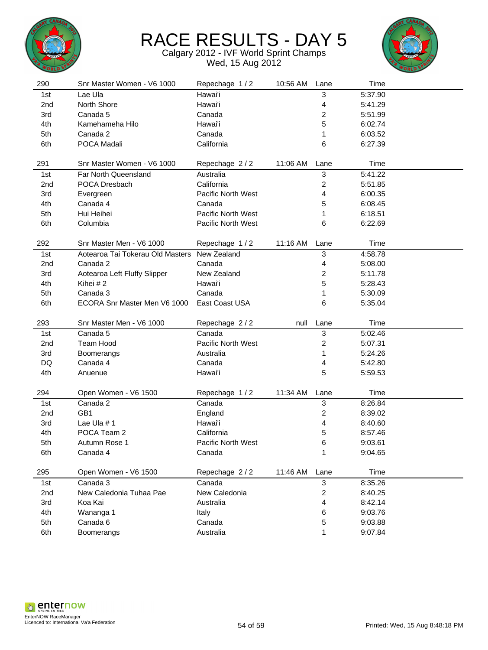



| 290             | Snr Master Women - V6 1000       | Repechage 1/2      | 10:56 AM | Lane                    | Time    |  |
|-----------------|----------------------------------|--------------------|----------|-------------------------|---------|--|
| 1st             | Lae Ula                          | Hawai'i            |          | 3                       | 5:37.90 |  |
| 2nd             | North Shore                      | Hawai'i            |          | 4                       | 5:41.29 |  |
| 3rd             | Canada 5                         | Canada             |          | $\overline{c}$          | 5:51.99 |  |
| 4th             | Kamehameha Hilo                  | Hawai'i            |          | 5                       | 6:02.74 |  |
| 5th             | Canada 2                         | Canada             |          | 1                       | 6:03.52 |  |
| 6th             | POCA Madali                      | California         |          | 6                       | 6:27.39 |  |
|                 |                                  |                    |          |                         |         |  |
| 291             | Snr Master Women - V6 1000       | Repechage 2/2      | 11:06 AM | Lane                    | Time    |  |
| 1st             | Far North Queensland             | Australia          |          | 3                       | 5:41.22 |  |
| 2nd             | POCA Dresbach                    | California         |          | 2                       | 5:51.85 |  |
| 3rd             | Evergreen                        | Pacific North West |          | 4                       | 6:00.35 |  |
| 4th             | Canada 4                         | Canada             |          | 5                       | 6:08.45 |  |
| 5th             | Hui Heihei                       | Pacific North West |          | 1                       | 6:18.51 |  |
| 6th             | Columbia                         | Pacific North West |          | 6                       | 6:22.69 |  |
|                 |                                  |                    |          |                         |         |  |
| 292             | Snr Master Men - V6 1000         | Repechage 1/2      | 11:16 AM | Lane                    | Time    |  |
| 1st             | Aotearoa Tai Tokerau Old Masters | New Zealand        |          | $\mathbf{3}$            | 4:58.78 |  |
| 2nd             | Canada 2                         | Canada             |          | 4                       | 5:08.00 |  |
| 3rd             | Aotearoa Left Fluffy Slipper     | New Zealand        |          | 2                       | 5:11.78 |  |
| 4th             | Kihei #2                         | Hawai'i            |          | 5                       | 5:28.43 |  |
| 5th             | Canada 3                         | Canada             |          | 1                       | 5:30.09 |  |
| 6th             | ECORA Snr Master Men V6 1000     | East Coast USA     |          | 6                       | 5:35.04 |  |
|                 |                                  |                    |          |                         |         |  |
| 293             | Snr Master Men - V6 1000         | Repechage 2/2      | null     | Lane                    | Time    |  |
| 1st             | Canada 5                         | Canada             |          | 3                       | 5:02.46 |  |
| 2 <sub>nd</sub> | Team Hood                        | Pacific North West |          | $\overline{\mathbf{c}}$ | 5:07.31 |  |
| 3rd             | Boomerangs                       | Australia          |          | 1                       | 5:24.26 |  |
| DQ              | Canada 4                         | Canada             |          | 4                       | 5:42.80 |  |
| 4th             | Anuenue                          | Hawai'i            |          | 5                       | 5:59.53 |  |
|                 |                                  |                    |          |                         |         |  |
| 294             | Open Women - V6 1500             | Repechage 1/2      | 11:34 AM | Lane                    | Time    |  |
| 1st             | Canada 2                         | Canada             |          | 3                       | 8:26.84 |  |
| 2nd             | GB1                              | England            |          | $\overline{\mathbf{c}}$ | 8:39.02 |  |
| 3rd             | Lae Ula #1                       | Hawai'i            |          | 4                       | 8:40.60 |  |
| 4th             | POCA Team 2                      | California         |          | 5                       | 8:57.46 |  |
| 5th             | Autumn Rose 1                    | Pacific North West |          | 6                       | 9:03.61 |  |
| 6th             | Canada 4                         | Canada             |          | 1                       | 9:04.65 |  |
|                 |                                  |                    |          |                         |         |  |
| 295             | Open Women - V6 1500             | Repechage 2/2      | 11:46 AM | Lane                    | Time    |  |
| 1st             | Canada 3                         | Canada             |          | 3                       | 8:35.26 |  |
| 2nd             | New Caledonia Tuhaa Pae          | New Caledonia      |          | $\overline{\mathbf{c}}$ | 8:40.25 |  |
| 3rd             | Koa Kai                          | Australia          |          | 4                       | 8:42.14 |  |
| 4th             | Wananga 1                        | Italy              |          | 6                       | 9:03.76 |  |
| 5th             | Canada 6                         | Canada             |          | 5                       | 9:03.88 |  |
| 6th             | Boomerangs                       | Australia          |          | 1                       | 9:07.84 |  |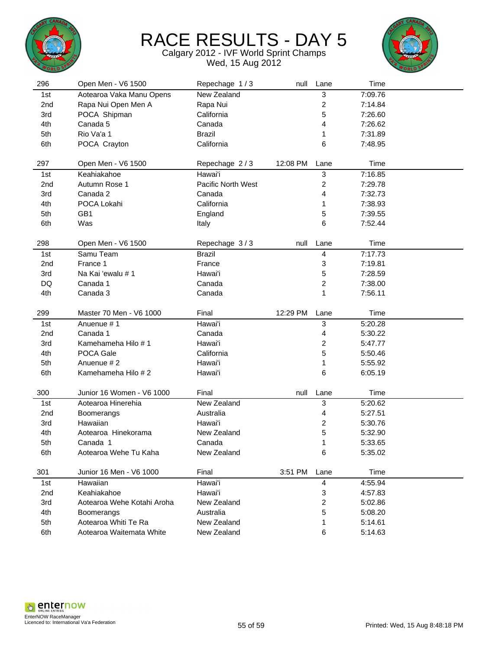



| 296 | Open Men - V6 1500         | Repechage 1/3             | null     | Lane                      | Time    |  |
|-----|----------------------------|---------------------------|----------|---------------------------|---------|--|
| 1st | Aotearoa Vaka Manu Opens   | New Zealand               |          | 3                         | 7:09.76 |  |
| 2nd | Rapa Nui Open Men A        | Rapa Nui                  |          | $\boldsymbol{2}$          | 7:14.84 |  |
| 3rd | POCA Shipman               | California                |          | 5                         | 7:26.60 |  |
| 4th | Canada 5                   | Canada                    |          | 4                         | 7:26.62 |  |
| 5th | Rio Va'a 1                 | <b>Brazil</b>             |          | 1                         | 7:31.89 |  |
| 6th | POCA Crayton               | California                |          | 6                         | 7:48.95 |  |
|     |                            |                           |          |                           |         |  |
| 297 | Open Men - V6 1500         | Repechage 2/3             | 12:08 PM | Lane                      | Time    |  |
| 1st | Keahiakahoe                | Hawai'i                   |          | $\ensuremath{\mathsf{3}}$ | 7:16.85 |  |
| 2nd | Autumn Rose 1              | <b>Pacific North West</b> |          | $\boldsymbol{2}$          | 7:29.78 |  |
| 3rd | Canada 2                   | Canada                    |          | 4                         | 7:32.73 |  |
| 4th | POCA Lokahi                | California                |          | 1                         | 7:38.93 |  |
| 5th | GB1                        | England                   |          | 5                         | 7:39.55 |  |
| 6th | Was                        | Italy                     |          | 6                         | 7:52.44 |  |
|     |                            |                           |          |                           |         |  |
| 298 | Open Men - V6 1500         | Repechage 3/3             | null     | Lane                      | Time    |  |
| 1st | Samu Team                  | <b>Brazil</b>             |          | 4                         | 7:17.73 |  |
| 2nd | France 1                   | France                    |          | 3                         | 7:19.81 |  |
| 3rd | Na Kai 'ewalu # 1          | Hawai'i                   |          | 5                         | 7:28.59 |  |
| DQ  | Canada 1                   | Canada                    |          | $\overline{c}$            | 7:38.00 |  |
| 4th | Canada 3                   | Canada                    |          | 1                         | 7:56.11 |  |
|     |                            |                           |          |                           |         |  |
| 299 | Master 70 Men - V6 1000    | Final                     | 12:29 PM | Lane                      | Time    |  |
| 1st | Anuenue #1                 | Hawai'i                   |          | $\mathbf{3}$              | 5:20.28 |  |
| 2nd | Canada 1                   | Canada                    |          | 4                         | 5:30.22 |  |
| 3rd | Kamehameha Hilo # 1        | Hawai'i                   |          | 2                         | 5:47.77 |  |
| 4th | POCA Gale                  | California                |          | 5                         | 5:50.46 |  |
| 5th | Anuenue #2                 | Hawai'i                   |          | 1                         | 5:55.92 |  |
| 6th | Kamehameha Hilo #2         | Hawai'i                   |          | 6                         | 6:05.19 |  |
|     |                            |                           |          |                           |         |  |
| 300 | Junior 16 Women - V6 1000  | Final                     | null     | Lane                      | Time    |  |
| 1st | Aotearoa Hinerehia         | New Zealand               |          | $\ensuremath{\mathsf{3}}$ | 5:20.62 |  |
| 2nd | Boomerangs                 | Australia                 |          | 4                         | 5:27.51 |  |
| 3rd | Hawaiian                   | Hawai'i                   |          | 2                         | 5:30.76 |  |
| 4th | Aotearoa Hinekorama        | New Zealand               |          | 5                         | 5:32.90 |  |
| 5th | Canada 1                   | Canada                    |          | 1                         | 5:33.65 |  |
| 6th | Aotearoa Wehe Tu Kaha      | New Zealand               |          | 6                         | 5:35.02 |  |
| 301 | Junior 16 Men - V6 1000    | Final                     | 3:51 PM  |                           | Time    |  |
|     |                            |                           |          | Lane                      |         |  |
| 1st | Hawaiian                   | Hawai'i                   |          | 4                         | 4:55.94 |  |
| 2nd | Keahiakahoe                | Hawai'i                   |          | 3                         | 4:57.83 |  |
| 3rd | Aotearoa Wehe Kotahi Aroha | New Zealand               |          | 2                         | 5:02.86 |  |
| 4th | Boomerangs                 | Australia                 |          | 5                         | 5:08.20 |  |
| 5th | Aotearoa Whiti Te Ra       | New Zealand               |          | 1                         | 5:14.61 |  |
| 6th | Aotearoa Waitemata White   | New Zealand               |          | 6                         | 5:14.63 |  |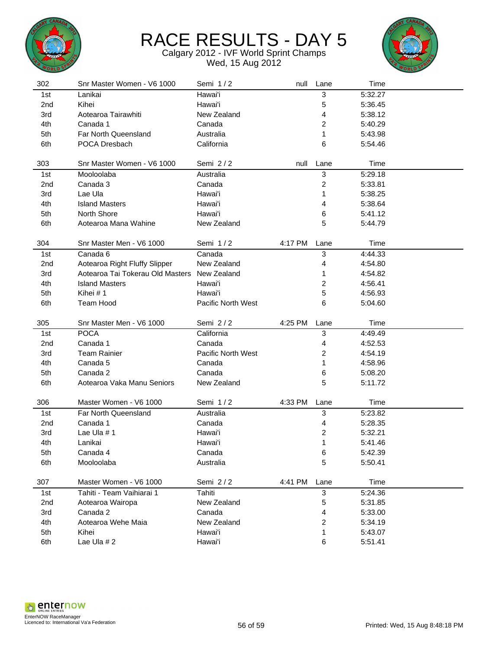



| 302             | Snr Master Women - V6 1000       | Semi 1/2           | null    | Lane           | Time               |  |
|-----------------|----------------------------------|--------------------|---------|----------------|--------------------|--|
| 1st             | Lanikai                          | Hawai'i            |         | 3              | 5:32.27            |  |
| 2 <sub>nd</sub> | Kihei                            | Hawai'i            |         | 5              | 5:36.45            |  |
| 3rd             | Aotearoa Tairawhiti              | New Zealand        |         | 4              | 5:38.12            |  |
| 4th             | Canada 1                         | Canada             |         | 2              | 5:40.29            |  |
| 5th             | Far North Queensland             | Australia          |         | 1              | 5:43.98            |  |
| 6th             | POCA Dresbach                    | California         |         | 6              | 5:54.46            |  |
|                 |                                  |                    |         |                |                    |  |
| 303             | Snr Master Women - V6 1000       | Semi 2/2           | null    | Lane           | Time               |  |
| 1st             | Mooloolaba                       | Australia          |         | 3              | 5:29.18            |  |
| 2 <sub>nd</sub> | Canada 3                         | Canada             |         | 2              | 5:33.81            |  |
| 3rd             | Lae Ula                          | Hawai'i            |         | 1              | 5:38.25            |  |
| 4th             | <b>Island Masters</b>            | Hawai'i            |         | 4              | 5:38.64            |  |
| 5th             | North Shore                      | Hawai'i            |         | 6              | 5:41.12            |  |
| 6th             | Aotearoa Mana Wahine             | New Zealand        |         | 5              | 5:44.79            |  |
|                 |                                  |                    |         |                |                    |  |
| 304             | Snr Master Men - V6 1000         | Semi 1/2           | 4:17 PM | Lane           | Time               |  |
| 1st             | Canada 6                         | Canada             |         | 3              | 4:44.33            |  |
| 2nd             | Aotearoa Right Fluffy Slipper    | New Zealand        |         | 4              | 4:54.80            |  |
| 3rd             | Aotearoa Tai Tokerau Old Masters | New Zealand        |         | 1              | 4:54.82            |  |
| 4th             | <b>Island Masters</b>            | Hawai'i            |         | 2              | 4:56.41            |  |
| 5th             | Kihei #1                         | Hawai'i            |         | 5              | 4:56.93            |  |
| 6th             | Team Hood                        | Pacific North West |         | 6              | 5:04.60            |  |
|                 |                                  |                    |         |                |                    |  |
| 305             | Snr Master Men - V6 1000         | Semi 2/2           | 4:25 PM | Lane           | Time               |  |
|                 |                                  |                    |         |                |                    |  |
| 1st             | <b>POCA</b>                      | California         |         | 3              | 4:49.49            |  |
| 2 <sub>nd</sub> | Canada 1                         | Canada             |         | 4              | 4:52.53            |  |
| 3rd             | <b>Team Rainier</b>              | Pacific North West |         | 2              | 4:54.19            |  |
| 4th             | Canada 5                         | Canada             |         | 1              | 4:58.96            |  |
| 5th             | Canada 2                         | Canada             |         | 6              | 5:08.20            |  |
| 6th             | Aotearoa Vaka Manu Seniors       | New Zealand        |         | 5              | 5:11.72            |  |
|                 |                                  |                    |         |                |                    |  |
| 306             | Master Women - V6 1000           | Semi 1/2           | 4:33 PM | Lane           | Time               |  |
| 1st             | Far North Queensland             | Australia          |         | 3              | 5:23.82            |  |
| 2nd             | Canada 1                         | Canada             |         | 4              | 5:28.35            |  |
| 3rd             | Lae Ula #1                       | Hawai'i            |         | 2              | 5:32.21            |  |
| 4th             | Lanikai                          | Hawai'i            |         | 1              | 5:41.46            |  |
| 5th             | Canada 4                         | Canada             |         | 6              | 5:42.39            |  |
| 6th             | Mooloolaba                       | Australia          |         | 5              | 5:50.41            |  |
|                 |                                  |                    |         |                |                    |  |
| 307             | Master Women - V6 1000           | Semi 2/2           | 4:41 PM | Lane           | Time               |  |
| 1st             | Tahiti - Team Vaihiarai 1        | Tahiti             |         | $\mathbf{3}$   | 5:24.36            |  |
| 2nd             | Aotearoa Wairopa                 | New Zealand        |         | 5              | 5:31.85            |  |
| 3rd             | Canada 2                         | Canada             |         | 4              | 5:33.00            |  |
| 4th             | Aotearoa Wehe Maia               | New Zealand        |         | $\overline{c}$ | 5:34.19            |  |
| 5th<br>6th      | Kihei<br>Lae Ula #2              | Hawai'i<br>Hawai'i |         | 1              | 5:43.07<br>5:51.41 |  |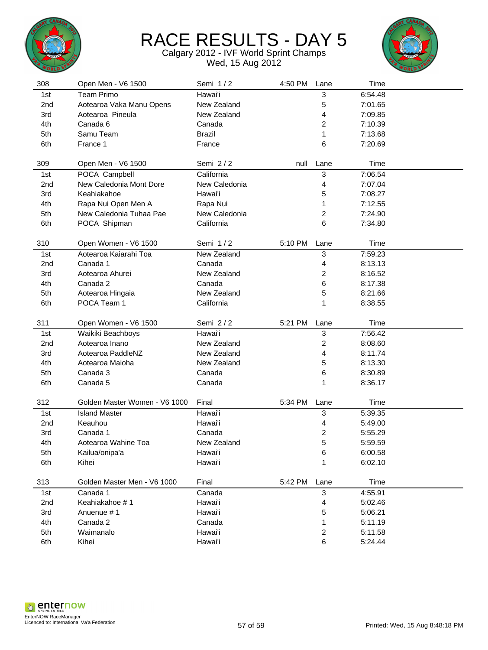



| 308             | Open Men - V6 1500            | Semi 1/2           | 4:50 PM | Lane                      | Time    |  |
|-----------------|-------------------------------|--------------------|---------|---------------------------|---------|--|
| 1st             | <b>Team Primo</b>             | Hawai'i            |         | 3                         | 6:54.48 |  |
| 2nd             | Aotearoa Vaka Manu Opens      | New Zealand        |         | 5                         | 7:01.65 |  |
| 3rd             | Aotearoa Pineula              | New Zealand        |         | 4                         | 7:09.85 |  |
| 4th             | Canada 6                      | Canada             |         | 2                         | 7:10.39 |  |
| 5th             | Samu Team                     | <b>Brazil</b>      |         | 1                         | 7:13.68 |  |
| 6th             | France 1                      | France             |         | 6                         | 7:20.69 |  |
|                 |                               |                    |         |                           |         |  |
| 309             | Open Men - V6 1500            | Semi 2/2           | null    | Lane                      | Time    |  |
| 1st             | POCA Campbell                 | California         |         | $\ensuremath{\mathsf{3}}$ | 7:06.54 |  |
| 2nd             | New Caledonia Mont Dore       | New Caledonia      |         | 4                         | 7:07.04 |  |
| 3rd             | Keahiakahoe                   | Hawai'i            |         | 5                         | 7:08.27 |  |
| 4th             | Rapa Nui Open Men A           | Rapa Nui           |         | 1                         | 7:12.55 |  |
| 5th             | New Caledonia Tuhaa Pae       | New Caledonia      |         | 2                         | 7:24.90 |  |
| 6th             | POCA Shipman                  | California         |         | 6                         | 7:34.80 |  |
|                 |                               |                    |         |                           |         |  |
| 310             | Open Women - V6 1500          | Semi 1/2           | 5:10 PM | Lane                      | Time    |  |
| 1st             | Aotearoa Kaiarahi Toa         | New Zealand        |         | 3                         | 7:59.23 |  |
| 2nd             | Canada 1                      | Canada             |         | 4                         | 8:13.13 |  |
| 3rd             | Aotearoa Ahurei               | New Zealand        |         | 2                         | 8:16.52 |  |
| 4th             | Canada 2                      | Canada             |         | 6                         | 8:17.38 |  |
| 5th             | Aotearoa Hingaia              | New Zealand        |         | 5                         | 8:21.66 |  |
| 6th             | POCA Team 1                   | California         |         | 1                         | 8:38.55 |  |
|                 |                               |                    |         |                           |         |  |
|                 |                               |                    |         |                           |         |  |
| 311             | Open Women - V6 1500          | Semi 2/2           | 5:21 PM | Lane                      | Time    |  |
| 1st             | Waikiki Beachboys             | Hawai'i            |         | $\ensuremath{\mathsf{3}}$ | 7:56.42 |  |
| 2 <sub>nd</sub> | Aotearoa Inano                | New Zealand        |         | 2                         | 8:08.60 |  |
| 3rd             | Aotearoa PaddleNZ             | New Zealand        |         | 4                         | 8:11.74 |  |
| 4th             | Aotearoa Maioha               | New Zealand        |         | 5                         | 8:13.30 |  |
| 5th             | Canada 3                      | Canada             |         | 6                         | 8:30.89 |  |
| 6th             | Canada 5                      | Canada             |         | 1                         | 8:36.17 |  |
|                 |                               |                    |         |                           |         |  |
| 312             | Golden Master Women - V6 1000 | Final              | 5:34 PM | Lane                      | Time    |  |
| 1st             | <b>Island Master</b>          | Hawai'i            |         | 3                         | 5:39.35 |  |
| 2nd             | Keauhou                       | Hawai'i            |         | 4                         | 5:49.00 |  |
| 3rd             | Canada 1                      | Canada             |         | 2                         | 5:55.29 |  |
| 4th             | Aotearoa Wahine Toa           | New Zealand        |         | 5                         | 5:59.59 |  |
| 5th             | Kailua/onipa'a                | Hawai'i            |         | 6                         | 6:00.58 |  |
| 6th             | Kihei                         | Hawai'i            |         | 1                         | 6:02.10 |  |
|                 |                               |                    |         |                           |         |  |
| 313             | Golden Master Men - V6 1000   | Final              | 5:42 PM | Lane                      | Time    |  |
| 1st             | Canada 1                      | Canada             |         | $\mathbf{3}$              | 4:55.91 |  |
| 2nd             | Keahiakahoe #1                | Hawai'i            |         | 4                         | 5:02.46 |  |
| 3rd             | Anuenue #1                    | Hawai'i            |         | 5                         | 5:06.21 |  |
| 4th             | Canada 2                      | Canada             |         | 1                         | 5:11.19 |  |
| 5th             | Waimanalo                     | Hawai'i<br>Hawai'i |         | $\boldsymbol{2}$<br>6     | 5:11.58 |  |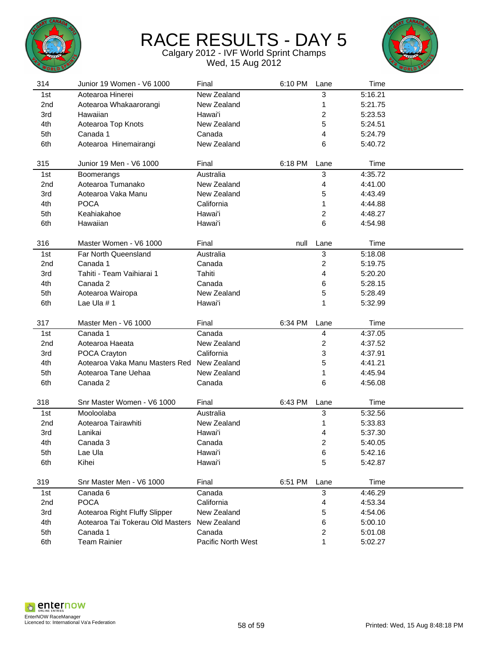



| 314             | Junior 19 Women - V6 1000        | Final                        | 6:10 PM | Lane                    | Time               |  |
|-----------------|----------------------------------|------------------------------|---------|-------------------------|--------------------|--|
| 1st             | Aotearoa Hinerei                 | New Zealand                  |         | 3                       | 5:16.21            |  |
| 2 <sub>nd</sub> | Aotearoa Whakaarorangi           | New Zealand                  |         | 1                       | 5:21.75            |  |
| 3rd             | Hawaiian                         | Hawai'i                      |         | 2                       | 5:23.53            |  |
| 4th             | Aotearoa Top Knots               | New Zealand                  |         | 5                       | 5:24.51            |  |
| 5th             | Canada 1                         | Canada                       |         | 4                       | 5:24.79            |  |
| 6th             | Aotearoa Hinemairangi            | New Zealand                  |         | 6                       | 5:40.72            |  |
|                 |                                  |                              |         |                         |                    |  |
| 315             | Junior 19 Men - V6 1000          | Final                        | 6:18 PM | Lane                    | Time               |  |
| 1st             | <b>Boomerangs</b>                | Australia                    |         | 3                       | 4:35.72            |  |
| 2 <sub>nd</sub> | Aotearoa Tumanako                | New Zealand                  |         | 4                       | 4:41.00            |  |
| 3rd             | Aotearoa Vaka Manu               | New Zealand                  |         | 5                       | 4:43.49            |  |
| 4th             | <b>POCA</b>                      | California                   |         | 1                       | 4:44.88            |  |
| 5th             | Keahiakahoe                      | Hawai'i                      |         | 2                       | 4:48.27            |  |
| 6th             | Hawaiian                         | Hawai'i                      |         | 6                       | 4:54.98            |  |
|                 |                                  |                              |         |                         |                    |  |
| 316             | Master Women - V6 1000           | Final                        | null    | Lane                    | Time               |  |
| 1st             | Far North Queensland             | Australia                    |         | 3                       | 5:18.08            |  |
| 2nd             | Canada 1                         | Canada                       |         | 2                       | 5:19.75            |  |
| 3rd             | Tahiti - Team Vaihiarai 1        | Tahiti                       |         | 4                       | 5:20.20            |  |
| 4th             | Canada 2                         | Canada                       |         | 6                       | 5:28.15            |  |
| 5th             | Aotearoa Wairopa                 | New Zealand                  |         | 5                       | 5:28.49            |  |
| 6th             | Lae Ula #1                       | Hawai'i                      |         | 1                       | 5:32.99            |  |
|                 |                                  |                              |         |                         |                    |  |
|                 |                                  |                              |         |                         |                    |  |
| 317             | Master Men - V6 1000             | Final                        | 6:34 PM | Lane                    | Time               |  |
| 1st             | Canada 1                         | Canada                       |         | 4                       | 4:37.05            |  |
| 2 <sub>nd</sub> | Aotearoa Haeata                  | New Zealand                  |         | $\overline{\mathbf{c}}$ | 4:37.52            |  |
| 3rd             | POCA Crayton                     | California                   |         | 3                       | 4:37.91            |  |
| 4th             | Aotearoa Vaka Manu Masters Red   | New Zealand                  |         | 5                       | 4:41.21            |  |
| 5th             | Aotearoa Tane Uehaa              | New Zealand                  |         | 1                       | 4:45.94            |  |
| 6th             | Canada 2                         | Canada                       |         | 6                       | 4:56.08            |  |
|                 |                                  |                              |         |                         |                    |  |
| 318             | Snr Master Women - V6 1000       | Final                        | 6:43 PM | Lane                    | Time               |  |
| 1st             | Mooloolaba                       | Australia                    |         | 3                       | 5:32.56            |  |
| 2nd             | Aotearoa Tairawhiti              | New Zealand                  |         | 1                       | 5:33.83            |  |
| 3rd             | Lanikai                          | Hawai'i                      |         | 4                       | 5:37.30            |  |
| 4th             | Canada 3                         | Canada                       |         | $\overline{c}$          | 5:40.05            |  |
| 5th             | Lae Ula                          | Hawai'i                      |         | 6                       | 5:42.16            |  |
| 6th             | Kihei                            | Hawai'i                      |         | 5                       | 5:42.87            |  |
|                 |                                  |                              |         |                         |                    |  |
| 319             | Snr Master Men - V6 1000         | Final                        | 6:51 PM | Lane                    | Time               |  |
| 1st             | Canada 6                         | Canada                       |         | $\mathbf{3}$            | 4:46.29            |  |
| 2nd             | <b>POCA</b>                      | California                   |         | 4                       | 4:53.34            |  |
| 3rd             | Aotearoa Right Fluffy Slipper    | New Zealand                  |         | 5                       | 4:54.06            |  |
| 4th             | Aotearoa Tai Tokerau Old Masters | New Zealand                  |         | 6                       | 5:00.10            |  |
| 5th<br>6th      | Canada 1<br><b>Team Rainier</b>  | Canada<br>Pacific North West |         | 2<br>1                  | 5:01.08<br>5:02.27 |  |